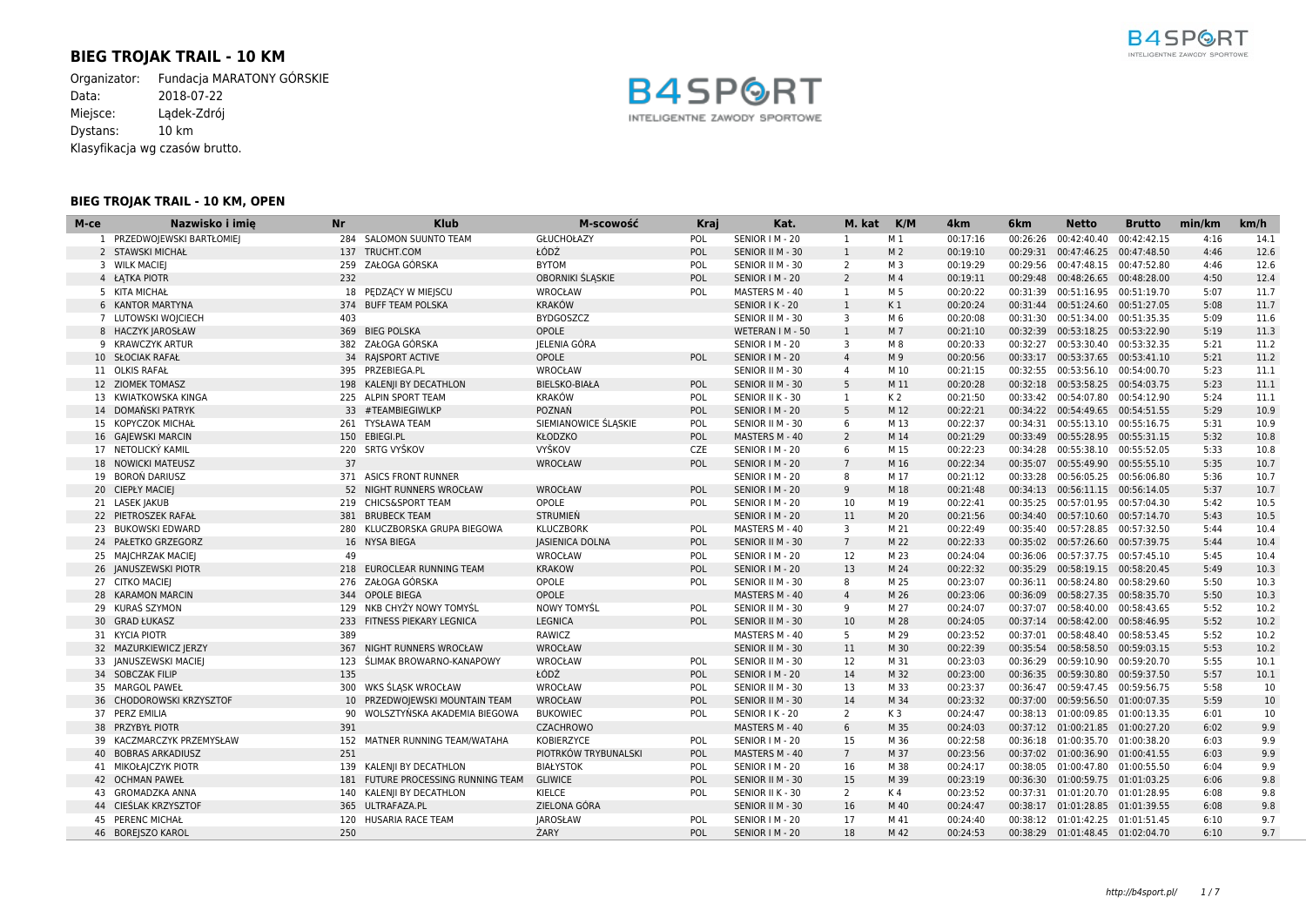# **BIEG TROJAK TRAIL - 10 KM**

Organizator: Fundacja MARATONY GÓRSKIE Data: 2018-07-22 Miejsce: Lądek-Zdrój Dystans: 10 km Klasyfikacja wg czasów brutto.

### **BIEG TROJAK TRAIL - 10 KM, OPEN**



| M-ce | Nazwisko i imię            | <b>Nr</b> | <b>Klub</b>                    | M-scowość              | Kraj       | Kat.             | M. kat           | K/M            | 4 <sub>km</sub> | 6 <sub>km</sub> | <b>Netto</b>                     | <b>Brutto</b> | min/km | km/h |
|------|----------------------------|-----------|--------------------------------|------------------------|------------|------------------|------------------|----------------|-----------------|-----------------|----------------------------------|---------------|--------|------|
|      | 1 PRZEDWOJEWSKI BARTŁOMIEJ |           | 284 SALOMON SUUNTO TEAM        | GŁUCHOŁAZY             | POL        | SENIOR   M - 20  | -1               | M <sub>1</sub> | 00:17:16        | 00:26:26        | 00:42:40.40                      | 00:42:42.15   | 4:16   | 14.1 |
|      | 2 STAWSKI MICHAŁ           | 137       | TRUCHT.COM                     | ŁÓDŹ                   | <b>POL</b> | SENIOR II M - 30 | $\mathbf{1}$     | M <sub>2</sub> | 00:19:10        | 00:29:31        | 00:47:46.25 00:47:48.50          |               | 4:46   | 12.6 |
|      | 3 WILK MACIEI              | 259       | ZAŁOGA GÓRSKA                  | <b>BYTOM</b>           | POL        | SENIOR II M - 30 | 2                | M 3            | 00:19:29        | 00:29:56        | 00:47:48.15 00:47:52.80          |               | 4:46   | 12.6 |
|      | 4 ŁĄTKA PIOTR              | 232       |                                | OBORNIKI ŚLĄSKIE       | POL        | SENIOR   M - 20  | $\overline{2}$   | M <sub>4</sub> | 00:19:11        |                 | 00:29:48 00:48:26.65 00:48:28.00 |               | 4:50   | 12.4 |
|      | 5 KITA MICHAŁ              |           | 18 PEDZACY W MIEJSCU           | WROCŁAW                | POL        | MASTERS M - 40   | -1               | M 5            | 00:20:22        | 00:31:39        | 00:51:16.95 00:51:19.70          |               | 5:07   | 11.7 |
|      | 6 KANTOR MARTYNA           |           | 374 BUFF TEAM POLSKA           | <b>KRAKÓW</b>          |            | SENIOR I K - 20  | $\mathbf{1}$     | K <sub>1</sub> | 00:20:24        |                 | 00:31:44 00:51:24.60 00:51:27.05 |               | 5:08   | 11.7 |
|      | 7 LUTOWSKI WOJCIECH        | 403       |                                | <b>BYDGOSZCZ</b>       |            | SENIOR II M - 30 | 3                | M 6            | 00:20:08        | 00:31:30        | 00:51:34.00 00:51:35.35          |               | 5:09   | 11.6 |
|      | 8 HACZYK JAROSŁAW          | 369       | <b>BIEG POLSKA</b>             | OPOLE                  |            | WETERAN I M - 50 | $\mathbf{1}$     | M <sub>7</sub> | 00:21:10        | 00:32:39        | 00:53:18.25 00:53:22.90          |               | 5:19   | 11.3 |
|      | 9 KRAWCZYK ARTUR           |           | 382 ZAŁOGA GÓRSKA              | JELENIA GÓRA           |            | SENIOR   M - 20  | 3                | M 8            | 00:20:33        | 00:32:27        | 00:53:30.40 00:53:32.35          |               | 5:21   | 11.2 |
|      | 10 SŁOCIAK RAFAŁ           |           | 34 RAJSPORT ACTIVE             | OPOLE                  | <b>POL</b> | SENIOR   M - 20  | $\overline{4}$   | M 9            | 00:20:56        |                 | 00:33:17 00:53:37.65 00:53:41.10 |               | 5:21   | 11.2 |
|      | 11 OLKIS RAFAŁ             |           | 395 PRZEBIEGA.PL               | WROCŁAW                |            | SENIOR II M - 30 | 4                | M 10           | 00:21:15        | 00:32:55        | 00:53:56.10 00:54:00.70          |               | 5:23   | 11.1 |
|      | 12 ZIOMEK TOMASZ           |           | 198 KALEN I BY DECATHLON       | <b>BIELSKO-BIAŁA</b>   | <b>POL</b> | SENIOR II M - 30 | 5                | M 11           | 00:20:28        |                 | 00:32:18 00:53:58.25 00:54:03.75 |               | 5:23   | 11.1 |
|      | 13 KWIATKOWSKA KINGA       |           | 225 ALPIN SPORT TEAM           | <b>KRAKÓW</b>          | POL        | SENIOR II K - 30 | 1                | K <sub>2</sub> | 00:21:50        |                 | 00:33:42 00:54:07.80 00:54:12.90 |               | 5:24   | 11.1 |
|      | 14 DOMAŃSKI PATRYK         |           | 33 #TEAMBIEGIWLKP              | POZNAŃ                 | POL        | SENIOR   M - 20  | 5                | M 12           | 00:22:21        |                 | 00:34:22 00:54:49.65 00:54:51.55 |               | 5:29   | 10.9 |
|      | 15 KOPYCZOK MICHAŁ         |           | 261 TYSŁAWA TEAM               | SIEMIANOWICE ŚLĄSKIE   | POL        | SENIOR II M - 30 | 6                | M 13           | 00:22:37        |                 | 00:34:31 00:55:13.10 00:55:16.75 |               | 5:31   | 10.9 |
|      | 16 GAJEWSKI MARCIN         |           | 150 EBIEGI.PL                  | KŁODZKO                | POL        | MASTERS M - 40   | 2                | M 14           | 00:21:29        |                 | 00:33:49 00:55:28.95 00:55:31.15 |               | 5:32   | 10.8 |
|      | 17 NETOLICKÝ KAMIL         |           | 220 SRTG VYŠKOV                | VYŠKOV                 | CZE        | SENIOR   M - 20  | 6                | M 15           | 00:22:23        | 00:34:28        | 00:55:38.10 00:55:52.05          |               | 5:33   | 10.8 |
|      | 18 NOWICKI MATEUSZ         | 37        |                                | WROCŁAW                | POL        | SENIOR   M - 20  | $7\overline{ }$  | M 16           | 00:22:34        | 00:35:07        | 00:55:49.90 00:55:55.10          |               | 5:35   | 10.7 |
|      | 19 BOROŃ DARIUSZ           |           | 371 ASICS FRONT RUNNER         |                        |            | SENIOR   M - 20  | 8                | M 17           | 00:21:12        | 00:33:28        | 00:56:05.25 00:56:06.80          |               | 5:36   | 10.7 |
|      | 20 CIEPŁY MACIEJ           |           | 52 NIGHT RUNNERS WROCŁAW       | WROCŁAW                | POL        | SENIOR   M - 20  | 9                | M 18           | 00:21:48        |                 | 00:34:13 00:56:11.15 00:56:14.05 |               | 5:37   | 10.7 |
|      | 21 LASEK JAKUB             |           | 219 CHICS&SPORT TEAM           | OPOLE                  | POL        | SENIOR   M - 20  | 10               | M 19           | 00:22:41        |                 | 00:35:25 00:57:01.95 00:57:04.30 |               | 5:42   | 10.5 |
|      | 22 PIETROSZEK RAFAŁ        |           | 381 BRUBECK TEAM               | <b>STRUMIEŃ</b>        |            | SENIOR   M - 20  | 11               | M 20           | 00:21:56        | 00:34:40        | 00:57:10.60 00:57:14.70          |               | 5:43   | 10.5 |
|      | 23 BUKOWSKI EDWARD         |           | 280 KLUCZBORSKA GRUPA BIEGOWA  | <b>KLUCZBORK</b>       | POL        | MASTERS M - 40   | 3                | M 21           | 00:22:49        | 00:35:40        | 00:57:28.85 00:57:32.50          |               | 5:44   | 10.4 |
|      | 24 PAŁETKO GRZEGORZ        |           | 16 NYSA BIEGA                  | <b>JASIENICA DOLNA</b> | POL        | SENIOR II M - 30 | $7\overline{ }$  | M 22           | 00:22:33        |                 | 00:35:02 00:57:26.60 00:57:39.75 |               | 5:44   | 10.4 |
|      | 25 MAJCHRZAK MACIEJ        | 49        |                                | WROCŁAW                | POL        | SENIOR   M - 20  | 12               | M 23           | 00:24:04        | 00:36:06        | 00:57:37.75 00:57:45.10          |               | 5:45   | 10.4 |
|      | 26 JANUSZEWSKI PIOTR       |           | 218 EUROCLEAR RUNNING TEAM     | <b>KRAKOW</b>          | POL        | SENIOR   M - 20  | 13               | M 24           | 00:22:32        | 00:35:29        | 00:58:19.15 00:58:20.45          |               | 5:49   | 10.3 |
|      | 27 CITKO MACIEJ            |           | 276 ZAŁOGA GÓRSKA              | OPOLE                  | POL        | SENIOR II M - 30 | 8                | M 25           | 00:23:07        | 00:36:11        | 00:58:24.80 00:58:29.60          |               | 5:50   | 10.3 |
|      | 28 KARAMON MARCIN          |           | 344 OPOLE BIEGA                | OPOLE                  |            | MASTERS M - 40   | $\overline{4}$   | M 26           | 00:23:06        |                 | 00:36:09 00:58:27.35 00:58:35.70 |               | 5:50   | 10.3 |
|      | 29 KURAŚ SZYMON            |           | 129 NKB CHYŻY NOWY TOMYŚL      | NOWY TOMYŚL            | POL        | SENIOR II M - 30 | 9                | M 27           | 00:24:07        | 00:37:07        | 00:58:40.00 00:58:43.65          |               | 5:52   | 10.2 |
|      | 30 GRAD ŁUKASZ             |           | 233 FITNESS PIEKARY LEGNICA    | <b>LEGNICA</b>         | POL        | SENIOR II M - 30 | 10               | M 28           | 00:24:05        | 00:37:14        | 00:58:42.00 00:58:46.95          |               | 5:52   | 10.2 |
|      | 31 KYCIA PIOTR             | 389       |                                | RAWICZ                 |            | MASTERS M - 40   | 5                | M 29           | 00:23:52        |                 | 00:37:01 00:58:48.40 00:58:53.45 |               | 5:52   | 10.2 |
|      | 32 MAZURKIEWICZ JERZY      | 367       | NIGHT RUNNERS WROCŁAW          | WROCŁAW                |            | SENIOR II M - 30 | 11               | M 30           | 00:22:39        |                 | 00:35:54 00:58:58.50 00:59:03.15 |               | 5:53   | 10.2 |
|      | 33 JANUSZEWSKI MACIEJ      | 123       | ŚLIMAK BROWARNO-KANAPOWY       | WROCŁAW                | POL        | SENIOR II M - 30 | 12               | M 31           | 00:23:03        | 00:36:29        | 00:59:10.90 00:59:20.70          |               | 5:55   | 10.1 |
|      | 34 SOBCZAK FILIP           | 135       |                                | ŁÓDŹ                   | POL        | SENIOR   M - 20  | 14               | M 32           | 00:23:00        | 00:36:35        | 00:59:30.80 00:59:37.50          |               | 5:57   | 10.1 |
|      | 35 MARGOL PAWEŁ            |           | 300 WKS ŚLASK WROCŁAW          | WROCŁAW                | POL        | SENIOR II M - 30 | 13               | M 33           | 00:23:37        | 00:36:47        | 00:59:47.45 00:59:56.75          |               | 5:58   | 10   |
|      | 36 CHODOROWSKI KRZYSZTOF   |           | 10 PRZEDWOJEWSKI MOUNTAIN TEAM | WROCŁAW                | POL        | SENIOR II M - 30 | 14               | M 34           | 00:23:32        | 00:37:00        | 00:59:56.50 01:00:07.35          |               | 5:59   | 10   |
|      | 37 PERZ EMILIA             |           | WOLSZTYŃSKA AKADEMIA BIEGOWA   | <b>BUKOWIEC</b>        | POL        | SENIOR I K - 20  | 2                | K <sub>3</sub> | 00:24:47        | 00:38:13        | 01:00:09.85 01:00:13.35          |               | 6:01   | 10   |
|      | 38 PRZYBYŁ PIOTR           | 391       |                                | <b>CZACHROWO</b>       |            | MASTERS M - 40   | $6 \overline{6}$ | M 35           | 00:24:03        |                 | 00:37:12 01:00:21.85 01:00:27.20 |               | 6:02   | 9.9  |

 KACZMARCZYK PRZEMYSŁAW 152 MATNER RUNNING TEAM/WATAHA KOBIERZYCE POL SENIOR I M - 20 15 M 36 00:22:58 00:36:18 01:00:35.70 01:00:38.20 6:03 9.9 BOBRAS ARKADIUSZ 251 PIOTRKÓW TRYBUNALSKI POL MASTERS M - 40 7 M 37 00:23:56 00:37:02 01:00:36.90 01:00:41.55 6:03 9.9 MIKOŁAJCZYK PIOTR 139 KALENJI BY DECATHLON BIAŁYSTOK POL SENIOR I M - 20 16 M 38 00:24:17 00:38:05 01:00:47.80 01:00:55.50 6:04 9.9 OCHMAN PAWEŁ 181 FUTURE PROCESSING RUNNING TEAM GLIWICE POL SENIOR II M - 30 15 M 39 00:23:19 00:36:30 01:00:59.75 01:01:03.25 6:06 9.8 43 GROMADZKA ANNA 140 KALENJI BY DECATHLON KIELCE POL SENIOR II K - 30 2 K 4 00:23:52 00:37:31 01:01:20.70 01:01:28.95 6:08 9.8 CIEŚLAK KRZYSZTOF 365 ULTRAFAZA.PL ZIELONA GÓRA SENIOR II M - 30 16 M 40 00:24:47 00:38:17 01:01:28.85 01:01:39.55 6:08 9.8 PERENC MICHAŁ 120 HUSARIA RACE TEAM JAROSŁAW POL SENIOR I M - 20 17 M 41 00:24:40 00:38:12 01:01:42.25 01:01:51.45 6:10 9.7 BOREJSZO KAROL 250 ŻARY POL SENIOR I M - 20 18 M 42 00:24:53 00:38:29 01:01:48.45 01:02:04.70 6:10 9.7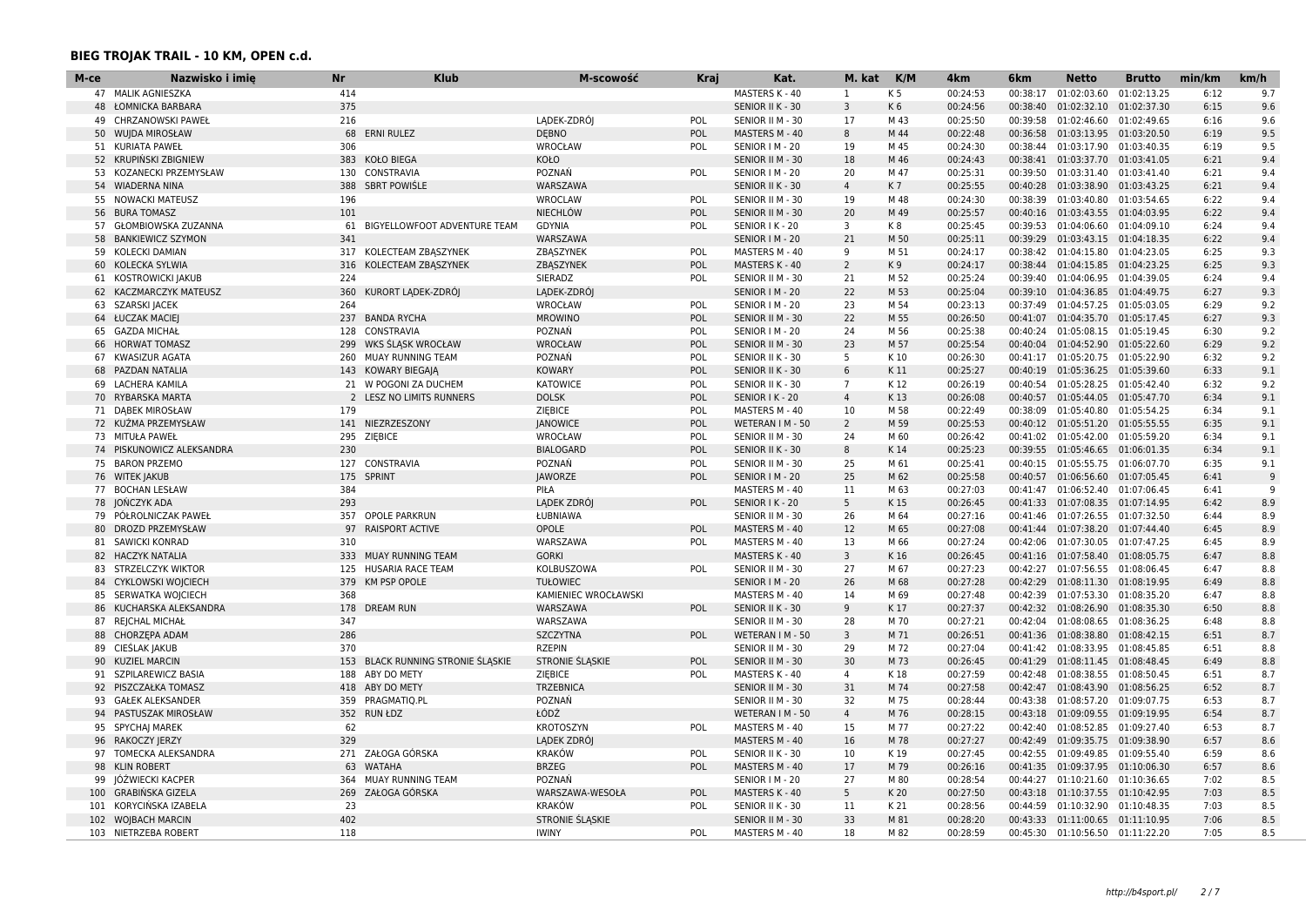| М-се | Nazwisko i imie           | <b>Nr</b> | <b>Klub</b>                   | M-scowość              | Kraj       | Kat.             | M. kat         | K/M            | 4 <sub>km</sub> | 6km      | <b>Netto</b>                       | <b>Brutto</b> | min/km | km/h |
|------|---------------------------|-----------|-------------------------------|------------------------|------------|------------------|----------------|----------------|-----------------|----------|------------------------------------|---------------|--------|------|
|      | 47 MALIK AGNIESZKA        | 414       |                               |                        |            | MASTERS K - 40   | 1              | K <sub>5</sub> | 00:24:53        | 00:38:17 | 01:02:03.60                        | 01:02:13.25   | 6:12   | 9.7  |
|      | 48 ŁOMNICKA BARBARA       | 375       |                               |                        |            | SENIOR II K - 30 | $\overline{3}$ | K <sub>6</sub> | 00:24:56        | 00:38:40 | 01:02:32.10 01:02:37.30            |               | 6:15   | 9.6  |
| 49   | <b>CHRZANOWSKI PAWEŁ</b>  | 216       |                               | LADEK-ZDRÓJ            | POL        | SENIOR II M - 30 | 17             | M 43           | 00:25:50        | 00:39:58 | 01:02:46.60                        | 01:02:49.65   | 6:16   | 9.6  |
|      | 50 WUJDA MIROSŁAW         | 68        | <b>ERNI RULEZ</b>             | <b>DEBNO</b>           | POL        | MASTERS M - 40   | 8              | M 44           | 00:22:48        | 00:36:58 | 01:03:13.95 01:03:20.50            |               | 6:19   | 9.5  |
|      | 51 KURIATA PAWEŁ          | 306       |                               | <b>WROCŁAW</b>         | POL        | SENIOR   M - 20  | 19             | M 45           | 00:24:30        |          | 00:38:44 01:03:17.90 01:03:40.35   |               | 6:19   | 9.5  |
|      | 52 KRUPIŃSKI ZBIGNIEW     | 383       | <b>KOŁO BIEGA</b>             | <b>KOŁO</b>            |            | SENIOR II M - 30 | 18             | M 46           | 00:24:43        |          | 00:38:41  01:03:37.70  01:03:41.05 |               | 6:21   | 9.4  |
| 53   | KOZANECKI PRZEMYSŁAW      |           | 130 CONSTRAVIA                | POZNAŃ                 | POL        | SENIOR   M - 20  | 20             | M 47           | 00:25:31        |          | 00:39:50 01:03:31.40               | 01:03:41.40   | 6:21   | 9.4  |
|      | 54 WIADERNA NINA          |           | 388 SBRT POWIŚLE              | WARSZAWA               |            | SENIOR II K - 30 | $\overline{4}$ | K 7            | 00:25:55        |          | 00:40:28 01:03:38.90 01:03:43.25   |               | 6:21   | 9.4  |
| 55   | NOWACKI MATEUSZ           | 196       |                               | <b>WROCLAW</b>         | POL        | SENIOR II M - 30 | 19             | M 48           | 00:24:30        |          | 00:38:39 01:03:40.80 01:03:54.65   |               | 6:22   | 9.4  |
| 56   | <b>BURA TOMASZ</b>        | 101       |                               | <b>NIECHLÓW</b>        | POL        | SENIOR II M - 30 | 20             | M 49           | 00:25:57        |          | 00:40:16 01:03:43.55 01:04:03.95   |               | 6:22   | 9.4  |
|      | 57 GŁOMBIOWSKA ZUZANNA    | 61        | BIGYELLOWFOOT ADVENTURE TEAM  | <b>GDYNIA</b>          | POL        | SENIOR I K - 20  | 3              | K8             | 00:25:45        |          | 00:39:53 01:04:06.60               | 01:04:09.10   | 6:24   | 9.4  |
| 58   | <b>BANKIEWICZ SZYMON</b>  | 341       |                               | WARSZAWA               |            | SENIOR I M - 20  | 21             | M 50           | 00:25:11        |          | 00:39:29  01:03:43.15  01:04:18.35 |               | 6:22   | 9.4  |
| 59   | <b>KOLECKI DAMIAN</b>     | 317       | KOLECTEAM ZBASZYNEK           | ZBASZYNEK              | POL        | MASTERS M - 40   | 9              | M 51           | 00:24:17        |          | 00:38:42 01:04:15.80               | 01:04:23.05   | 6:25   | 9.3  |
|      | 60 KOLECKA SYLWIA         | 316       | KOLECTEAM ZBASZYNEK           | ZBASZYNEK              | POL        | MASTERS K - 40   | $\overline{2}$ | K 9            | 00:24:17        |          | 00:38:44  01:04:15.85  01:04:23.25 |               | 6:25   | 9.3  |
|      | 61 KOSTROWICKI JAKUB      | 224       |                               | SIERADZ                | POL        | SENIOR II M - 30 | 21             | M 52           | 00:25:24        |          | 00:39:40  01:04:06.95  01:04:39.05 |               | 6:24   | 9.4  |
|      | 62 KACZMARCZYK MATEUSZ    | 360       | KURORT LADEK-ZDRÓJ            | LADEK-ZDRÓJ            |            | SENIOR   M - 20  | 22             | M 53           | 00:25:04        |          | 00:39:10 01:04:36.85 01:04:49.75   |               | 6:27   | 9.3  |
| 63   | SZARSKI JACEK             | 264       |                               | WROCŁAW                | POL        | SENIOR   M - 20  | 23             | M 54           | 00:23:13        | 00:37:49 | 01:04:57.25 01:05:03.05            |               | 6:29   | 9.2  |
|      | 64 ŁUCZAK MACIEJ          | 237       | <b>BANDA RYCHA</b>            | <b>MROWINO</b>         | POL        | SENIOR II M - 30 | 22             | M 55           | 00:26:50        |          | 00:41:07 01:04:35.70 01:05:17.45   |               | 6:27   | 9.3  |
|      | 65 GAZDA MICHAŁ           | 128       | CONSTRAVIA                    | POZNAŃ                 | POL        | SENIOR I M - 20  | 24             | M 56           | 00:25:38        |          | 00:40:24 01:05:08.15 01:05:19.45   |               | 6:30   | 9.2  |
|      | 66 HORWAT TOMASZ          | 299       | WKS SLASK WROCŁAW             | WROCŁAW                | POL        | SENIOR II M - 30 | 23             | M 57           | 00:25:54        |          | 00:40:04  01:04:52.90  01:05:22.60 |               | 6:29   | 9.2  |
|      | 67 KWASIZUR AGATA         | 260       | MUAY RUNNING TEAM             | POZNAŃ                 | POL        | SENIOR II K - 30 | 5              | K 10           | 00:26:30        |          | 00:41:17 01:05:20.75 01:05:22.90   |               | 6:32   | 9.2  |
|      | 68 PAZDAN NATALIA         | 143       | <b>KOWARY BIEGAJA</b>         | <b>KOWARY</b>          | POL        | SENIOR II K - 30 | 6              | K11            | 00:25:27        |          | 00:40:19 01:05:36.25 01:05:39.60   |               | 6:33   | 9.1  |
|      | 69 LACHERA KAMILA         |           | 21 W POGONI ZA DUCHEM         | <b>KATOWICE</b>        | POL        | SENIOR II K - 30 | $\overline{7}$ | K 12           | 00:26:19        |          | 00:40:54  01:05:28.25  01:05:42.40 |               | 6:32   | 9.2  |
|      | 70 RYBARSKA MARTA         | 2         | LESZ NO LIMITS RUNNERS        | <b>DOLSK</b>           | POL        | SENIOR I K - 20  | $\overline{4}$ | K13            | 00:26:08        |          | 00:40:57 01:05:44.05 01:05:47.70   |               | 6:34   | 9.1  |
|      | 71 DABEK MIROSŁAW         | 179       |                               | ZIEBICE                | POL        | MASTERS M - 40   | 10             | M 58           | 00:22:49        |          | 00:38:09 01:05:40.80 01:05:54.25   |               | 6:34   | 9.1  |
|      | 72 KUŹMA PRZEMYSŁAW       | 141       | NIEZRZESZONY                  | <b>JANOWICE</b>        | POL        | WETERAN I M - 50 | $\overline{2}$ | M 59           | 00:25:53        |          | 00:40:12  01:05:51.20  01:05:55.55 |               | 6:35   | 9.1  |
|      | 73 MITUŁA PAWEŁ           | 295       | ZIEBICE                       | WROCŁAW                | POL        | SENIOR II M - 30 | 24             | M 60           | 00:26:42        |          | 00:41:02  01:05:42.00  01:05:59.20 |               | 6:34   | 9.1  |
| 74   | PISKUNOWICZ ALEKSANDRA    | 230       |                               | <b>BIALOGARD</b>       | POL        | SENIOR II K - 30 | 8              | K14            | 00:25:23        |          | 00:39:55 01:05:46.65               | 01:06:01.35   | 6:34   | 9.1  |
|      | 75 BARON PRZEMO           | 127       | CONSTRAVIA                    | POZNAŃ                 | POL        | SENIOR II M - 30 | 25             | M 61           | 00:25:41        |          | 00:40:15 01:05:55.75 01:06:07.70   |               | 6:35   | 9.1  |
|      | 76 WITEK JAKUB            | 175       | SPRINT                        | <b>JAWORZE</b>         | <b>POL</b> | SENIOR   M - 20  | 25             | M 62           | 00:25:58        |          | 00:40:57 01:06:56.60 01:07:05.45   |               | 6:41   | 9    |
|      | 77 BOCHAN LESŁAW          | 384       |                               | PIŁA                   |            | MASTERS M - 40   | 11             | M 63           | 00:27:03        |          | 00:41:47 01:06:52.40               | 01:07:06.45   | 6:41   | q    |
|      | 78 JONCZYK ADA            | 293       |                               | LADEK ZDRÓJ            | POL        | SENIOR I K - 20  | 5              | K15            | 00:26:45        |          | 00:41:33 01:07:08.35 01:07:14.95   |               | 6:42   | 8.9  |
|      | 79 PÓŁROLNICZAK PAWEŁ     | 357       | <b>OPOLE PARKRUN</b>          | ŁUBNIAWA               |            | SENIOR II M - 30 | 26             | M 64           | 00:27:16        |          | 00:41:46 01:07:26.55 01:07:32.50   |               | 6:44   | 8.9  |
|      | 80 DROZD PRZEMYSŁAW       | 97        | <b>RAISPORT ACTIVE</b>        | OPOLE                  | <b>POL</b> | MASTERS M - 40   | 12             | M 65           | 00:27:08        |          | 00:41:44 01:07:38.20 01:07:44.40   |               | 6:45   | 8.9  |
| 81   | <b>SAWICKI KONRAD</b>     | 310       |                               | WARSZAWA               | POL        | MASTERS M - 40   | 13             | M 66           | 00:27:24        | 00:42:06 | 01:07:30.05                        | 01:07:47.25   | 6:45   | 8.9  |
|      | 82 HACZYK NATALIA         | 333       | <b>MUAY RUNNING TEAM</b>      | <b>GORKI</b>           |            | MASTERS K - 40   | 3              | K 16           | 00:26:45        |          | 00:41:16 01:07:58.40 01:08:05.75   |               | 6:47   | 8.8  |
|      | 83 STRZELCZYK WIKTOR      | 125       | HUSARIA RACE TEAM             | KOLBUSZOWA             | POL        | SENIOR II M - 30 | 27             | M 67           | 00:27:23        |          | 00:42:27 01:07:56.55 01:08:06.45   |               | 6:47   | 8.8  |
| 84   | <b>CYKLOWSKI WOJCIECH</b> | 379       | <b>KM PSP OPOLE</b>           | <b>TUŁOWIEC</b>        |            | SENIOR   M - 20  | 26             | M 68           | 00:27:28        |          | 00:42:29 01:08:11.30 01:08:19.95   |               | 6:49   | 8.8  |
| 85   | SERWATKA WOJCIECH         | 368       |                               | KAMIENIEC WROCŁAWSKI   |            | MASTERS M - 40   | 14             | M 69           | 00:27:48        |          | 00:42:39 01:07:53.30               | 01:08:35.20   | 6:47   | 8.8  |
|      | 86 KUCHARSKA ALEKSANDRA   | 178       | <b>DREAM RUN</b>              | WARSZAWA               | POL        | SENIOR II K - 30 | 9              | K17            | 00:27:37        |          | 00:42:32 01:08:26.90 01:08:35.30   |               | 6:50   | 8.8  |
|      | 87 REJCHAL MICHAŁ         | 347       |                               | WARSZAWA               |            | SENIOR II M - 30 | 28             | M 70           | 00:27:21        |          | 00:42:04 01:08:08.65 01:08:36.25   |               | 6:48   | 8.8  |
| 88   | CHORZEPA ADAM             | 286       |                               | SZCZYTNA               | POL        | WETERAN I M - 50 | 3              | M 71           | 00:26:51        |          | 00:41:36 01:08:38.80               | 01:08:42.15   | 6:51   | 8.7  |
| 89   | CIEŚLAK JAKUB             | 370       |                               | <b>RZEPIN</b>          |            | SENIOR II M - 30 | 29             | M 72           | 00:27:04        |          | 00:41:42 01:08:33.95 01:08:45.85   |               | 6:51   | 8.8  |
| 90   | <b>KUZIEL MARCIN</b>      | 153       | BLACK RUNNING STRONIE ŚLĄSKIE | <b>STRONIE SLASKIE</b> | <b>POL</b> | SENIOR II M - 30 | 30             | M 73           | 00:26:45        |          | 00:41:29  01:08:11.45  01:08:48.45 |               | 6:49   | 8.8  |
|      | 91 SZPILAREWICZ BASIA     | 188       | ABY DO METY                   | ZIEBICE                | POL        | MASTERS K - 40   | $\overline{4}$ | K18            | 00:27:59        | 00:42:48 | 01:08:38.55 01:08:50.45            |               | 6:51   | 8.7  |
| 92   | PISZCZAŁKA TOMASZ         | 418       | ABY DO METY                   | <b>TRZEBNICA</b>       |            | SENIOR II M - 30 | 31             | M 74           | 00:27:58        |          | 00:42:47 01:08:43.90               | 01:08:56.25   | 6:52   | 8.7  |
|      | 93 GAŁEK ALEKSANDER       |           | 359 PRAGMATIQ.PL              | POZNAŃ                 |            | SENIOR II M - 30 | 32             | M 75           | 00:28:44        |          | 00:43:38  01:08:57.20  01:09:07.75 |               | 6:53   | 8.7  |
| 94   | PASTUSZAK MIROSŁAW        |           | 352 RUN ŁDZ                   | ŁÓDŹ                   |            | WETERAN I M - 50 | $\overline{4}$ | M 76           | 00:28:15        |          | 00:43:18 01:09:09.55 01:09:19.95   |               | 6:54   | 8.7  |
| 95   | <b>SPYCHAJ MAREK</b>      | 62        |                               | KROTOSZYN              | POL        | MASTERS M - 40   | 15             | M 77           | 00:27:22        | 00:42:40 | 01:08:52.85 01:09:27.40            |               | 6:53   | 8.7  |
| 96   | RAKOCZY JERZY             | 329       |                               | LADEK ZDRÓJ            |            | MASTERS M - 40   | 16             | M 78           | 00:27:27        |          | 00:42:49 01:09:35.75 01:09:38.90   |               | 6:57   | 8.6  |
| 97   | <b>TOMECKA ALEKSANDRA</b> |           | 271 ZAŁOGA GÓRSKA             | <b>KRAKÓW</b>          | POL        | SENIOR II K - 30 | 10             | K 19           | 00:27:45        |          | 00:42:55 01:09:49.85 01:09:55.40   |               | 6:59   | 8.6  |
| 98   | <b>KLIN ROBERT</b>        | 63        | <b>WATAHA</b>                 | <b>BRZEG</b>           | POL        | MASTERS M - 40   | 17             | M 79           | 00:26:16        |          | 00:41:35 01:09:37.95 01:10:06.30   |               | 6:57   | 8.6  |
| 99   | JÓŹWIECKI KACPER          | 364       | MUAY RUNNING TEAM             | POZNAŃ                 |            | SENIOR I M - 20  | 27             | M 80           | 00:28:54        |          | 00:44:27 01:10:21.60               | 01:10:36.65   | 7:02   | 8.5  |
| 100  | GRABIŃSKA GIZELA          | 269       | ZAŁOGA GÓRSKA                 | WARSZAWA-WESOŁA        | POL        | MASTERS K - 40   | 5              | K 20           | 00:27:50        |          | 00:43:18  01:10:37.55  01:10:42.95 |               | 7:03   | 8.5  |
|      | 101 KORYCINSKA IZABELA    | 23        |                               | <b>KRAKÓW</b>          | POL        | SENIOR II K - 30 | 11             | K 21           | 00:28:56        |          | 00:44:59 01:10:32.90 01:10:48.35   |               | 7:03   | 8.5  |
|      | 102 WOJBACH MARCIN        | 402       |                               | <b>STRONIE ŚLASKIE</b> |            | SENIOR II M - 30 | 33             | M 81           | 00:28:20        |          | 00:43:33  01:11:00.65  01:11:10.95 |               | 7:06   | 8.5  |
|      | 103 NIETRZEBA ROBERT      | 118       |                               | <b>IWINY</b>           | POL        | MASTERS M - 40   | 18             | M 82           | 00:28:59        |          | 00:45:30 01:10:56.50 01:11:22.20   |               | 7:05   | 8.5  |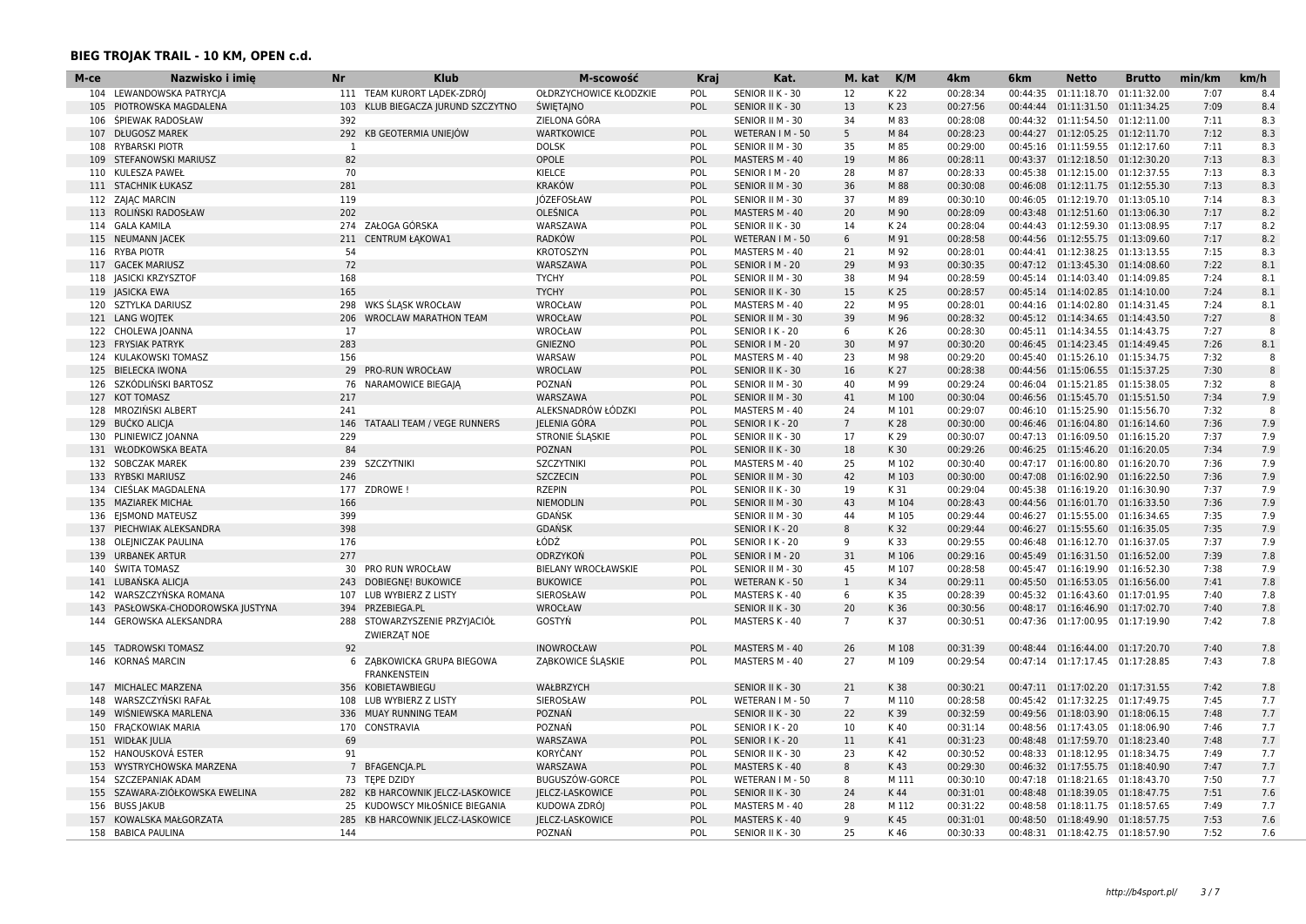| M-ce | Nazwisko i imie                | Nr              | <b>Klub</b>                   | M-scowość              | <b>Kraj</b> | Kat.             | M. kat          | K/M   | 4km      | 6 <sub>km</sub> | <b>Netto</b>                       | <b>Brutto</b> | min/km | km/h         |
|------|--------------------------------|-----------------|-------------------------------|------------------------|-------------|------------------|-----------------|-------|----------|-----------------|------------------------------------|---------------|--------|--------------|
| 104  | LEWANDOWSKA PATRYCJA           |                 | 111 TEAM KURORT LADEK-ZDRÓJ   | OŁDRZYCHOWICE KŁODZKIE | POL         | SENIOR II K - 30 | 12              | K 22  | 00:28:34 | 00:44:35        | 01:11:18.70                        | 01:11:32.00   | 7:07   | 8.4          |
|      | 105 PIOTROWSKA MAGDALENA       | 103             | KLUB BIEGACZA JURUND SZCZYTNO | ŚWIĘTAJNO              | POL         | SENIOR II K - 30 | 13              | K 23  | 00:27:56 | 00:44:44        | 01:11:31.50 01:11:34.25            |               | 7:09   | 8.4          |
| 106  | SPIEWAK RADOSŁAW               | 392             |                               | ZIELONA GÓRA           |             | SENIOR II M - 30 | 34              | M 83  | 00:28:08 | 00:44:32        | 01:11:54.50                        | 01:12:11.00   | 7:11   | 8.3          |
|      | 107 DŁUGOSZ MAREK              |                 | 292 KB GEOTERMIA UNIEJÓW      | <b>WARTKOWICE</b>      | POL         | WETERAN I M - 50 | 5               | M 84  | 00:28:23 |                 | 00:44:27 01:12:05.25 01:12:11.70   |               | 7:12   | 8.3          |
|      | 108 RYBARSKI PIOTR             | 1               |                               | <b>DOLSK</b>           | <b>POL</b>  | SENIOR II M - 30 | 35              | M 85  | 00:29:00 |                 | 00:45:16 01:11:59.55 01:12:17.60   |               | 7:11   | 8.3          |
| 109  | STEFANOWSKI MARIUSZ            | 82              |                               | OPOLE                  | POL         | MASTERS M - 40   | 19              | M 86  | 00:28:11 |                 | 00:43:37 01:12:18.50 01:12:30.20   |               | 7:13   | 8.3          |
|      | 110 KULESZA PAWEŁ              | 70              |                               | <b>KIELCE</b>          | POL         | SENIOR   M - 20  | 28              | M 87  | 00:28:33 | 00:45:38        | 01:12:15.00 01:12:37.55            |               | 7:13   | 8.3          |
|      | 111 STACHNIK ŁUKASZ            | 281             |                               | <b>KRAKÓW</b>          | POL         | SENIOR II M - 30 | 36              | M 88  | 00:30:08 |                 | 00:46:08 01:12:11.75 01:12:55.30   |               | 7:13   | 8.3          |
|      | 112 ZAJĄC MARCIN               | 119             |                               | JÓZEFOSŁAW             | POL         | SENIOR II M - 30 | 37              | M 89  | 00:30:10 |                 | 00:46:05 01:12:19.70 01:13:05.10   |               | 7:14   | 8.3          |
|      | 113 ROLIŃSKI RADOSŁAW          | 202             |                               | OLEŚNICA               | POL         | MASTERS M - 40   | 20              | M 90  | 00:28:09 | 00:43:48        | 01:12:51.60                        | 01:13:06.30   | 7:17   | 8.2          |
|      | 114 GALA KAMILA                |                 | 274 ZAŁOGA GÓRSKA             | WARSZAWA               | POL         | SENIOR II K - 30 | 14              | K 24  | 00:28:04 |                 | 00:44:43 01:12:59.30 01:13:08.95   |               | 7:17   | 8.2          |
|      | 115 NEUMANN JACEK              | 211             | <b>CENTRUM ŁAKOWA1</b>        | <b>RADKÓW</b>          | POL         | WETERAN I M - 50 | 6               | M 91  | 00:28:58 |                 | 00:44:56 01:12:55.75 01:13:09.60   |               | 7:17   | 8.2          |
|      | 116 RYBA PIOTR                 | 54              |                               | <b>KROTOSZYN</b>       | POL         | MASTERS M - 40   | 21              | M 92  | 00:28:01 |                 | 00:44:41 01:12:38.25 01:13:13.55   |               | 7:15   | 8.3          |
| 117  | <b>GACEK MARIUSZ</b>           | 72              |                               | WARSZAWA               | POL         | SENIOR   M - 20  | 29              | M 93  | 00:30:35 |                 | 00:47:12 01:13:45.30               | 01:14:08.60   | 7:22   | 8.1          |
|      | 118   ASICKI KRZYSZTOF         | 168             |                               | <b>TYCHY</b>           | POL         | SENIOR II M - 30 | 38              | M 94  | 00:28:59 |                 | 00:45:14 01:14:03.40 01:14:09.85   |               | 7:24   | 8.1          |
|      | 119 JASICKA EWA                | 165             |                               | <b>TYCHY</b>           | POL         | SENIOR II K - 30 | 15              | K 25  | 00:28:57 |                 | 00:45:14  01:14:02.85  01:14:10.00 |               | 7:24   | 8.1          |
|      | 120 SZTYLKA DARIUSZ            | 298             | WKS ŚLASK WROCŁAW             | <b>WROCŁAW</b>         | POL         | MASTERS M - 40   | 22              | M 95  | 00:28:01 |                 | 00:44:16 01:14:02.80 01:14:31.45   |               | 7:24   | 8.1          |
|      | 121 LANG WOJTEK                | 206             | <b>WROCLAW MARATHON TEAM</b>  | WROCŁAW                | POL         | SENIOR II M - 30 | 39              | M 96  | 00:28:32 |                 | 00:45:12 01:14:34.65 01:14:43.50   |               | 7:27   | $\mathsf{R}$ |
|      | 122 CHOLEWA JOANNA             | 17              |                               | <b>WROCŁAW</b>         | POL         | SENIOR I K - 20  | 6               | K 26  | 00:28:30 |                 | 00:45:11 01:14:34.55 01:14:43.75   |               | 7:27   | 8            |
|      | 123 FRYSIAK PATRYK             | 283             |                               | <b>GNIEZNO</b>         | POL         | SENIOR   M - 20  | 30              | M 97  | 00:30:20 |                 | 00:46:45 01:14:23.45 01:14:49.45   |               | 7:26   | 8.1          |
|      | 124 KULAKOWSKI TOMASZ          | 156             |                               | WARSAW                 | POL         | MASTERS M - 40   | 23              | M 98  | 00:29:20 |                 | 00:45:40 01:15:26.10               | 01:15:34.75   | 7:32   | 8            |
|      | 125 BIELECKA IWONA             | 29              | PRO-RUN WROCŁAW               | <b>WROCLAW</b>         | POL         | SENIOR II K - 30 | 16              | K 27  | 00:28:38 |                 | 00:44:56 01:15:06.55 01:15:37.25   |               | 7:30   |              |
|      | 126 SZKÓDLIŃSKI BARTOSZ        | 76              | NARAMOWICE BIEGAJA            | POZNAŃ                 | POL         | SENIOR II M - 30 | 40              | M 99  | 00:29:24 | 00:46:04        | 01:15:21.85 01:15:38.05            |               | 7:32   | 8            |
|      | 127 KOT TOMASZ                 | 217             |                               | WARSZAWA               | POL         | SENIOR II M - 30 | 41              | M 100 | 00:30:04 |                 | 00:46:56 01:15:45.70 01:15:51.50   |               | 7:34   | 7.9          |
|      | 128 MROZIŃSKI ALBERT           | 241             |                               | ALEKSNADRÓW ŁÓDZKI     | <b>POL</b>  | MASTERS M - 40   | 24              | M 101 | 00:29:07 |                 | 00:46:10 01:15:25.90 01:15:56.70   |               | 7:32   | $\mathbf{R}$ |
|      | 129 BUČKO ALICIA               | 146             | TATAALI TEAM / VEGE RUNNERS   | JELENIA GÓRA           | POL         | SENIOR I K - 20  | $7\overline{ }$ | K 28  | 00:30:00 |                 | 00:46:46 01:16:04.80 01:16:14.60   |               | 7:36   | 7.9          |
|      | 130 PLINIEWICZ JOANNA          | 229             |                               | STRONIE SLASKIE        | POL         | SENIOR II K - 30 | 17              | K 29  | 00:30:07 |                 | 00:47:13 01:16:09.50 01:16:15.20   |               | 7:37   | 7.9          |
|      | 131 WŁODKOWSKA BEATA           | 84              |                               | POZNAN                 | POL         | SENIOR II K - 30 | 18              | K 30  | 00:29:26 |                 | 00:46:25 01:15:46.20 01:16:20.05   |               | 7:34   | 7.9          |
|      | 132 SOBCZAK MAREK              | 239             | <b>SZCZYTNIKI</b>             | <b>SZCZYTNIKI</b>      | POL         | MASTERS M - 40   | 25              | M 102 | 00:30:40 | 00:47:17        | 01:16:00.80 01:16:20.70            |               | 7:36   | 7.9          |
|      | 133 RYBSKI MARIUSZ             | 246             |                               | <b>SZCZECIN</b>        | POL         | SENIOR II M - 30 | 42              | M 103 | 00:30:00 |                 | 00:47:08 01:16:02.90 01:16:22.50   |               | 7:36   | 7.9          |
|      | 134 CIESLAK MAGDALENA          | 177             | ZDROWE !                      | <b>RZEPIN</b>          | POL         | SENIOR II K - 30 | 19              | K 31  | 00:29:04 | 00:45:38        | 01:16:19.20 01:16:30.90            |               | 7:37   | 7.9          |
| 135  | <b>MAZIAREK MICHAŁ</b>         | 166             |                               | NIEMODLIN              | POL         | SENIOR II M - 30 | 43              | M 104 | 00:28:43 | 00:44:56        | 01:16:01.70                        | 01:16:33.50   | 7:36   | 7.9          |
|      | 136 EJSMOND MATEUSZ            | 399             |                               | <b>GDAŃSK</b>          |             | SENIOR II M - 30 | 44              | M 105 | 00:29:44 | 00:46:27        | 01:15:55.00 01:16:34.65            |               | 7:35   | 7.9          |
|      | 137 PIECHWIAK ALEKSANDRA       | 398             |                               | <b>GDANSK</b>          |             | SENIOR I K - 20  | 8               | K 32  | 00:29:44 |                 | 00:46:27 01:15:55.60 01:16:35.05   |               | 7:35   | 7.9          |
|      | 138 OLEJNICZAK PAULINA         | 176             |                               | ŁÓDŹ                   | POL         | SENIOR I K - 20  | q               | K 33  | 00:29:55 | 00:46:48        | 01:16:12.70 01:16:37.05            |               | 7:37   | 7.9          |
|      | 139 URBANEK ARTUR              | 277             |                               | ODRZYKOŃ               | POL         | SENIOR   M - 20  | 31              | M 106 | 00:29:16 |                 | 00:45:49  01:16:31.50  01:16:52.00 |               | 7:39   | 7.8          |
|      | 140 ŚWITA TOMASZ               | 30              | PRO RUN WROCŁAW               | BIELANY WROCŁAWSKIE    | POL         | SENIOR II M - 30 | 45              | M 107 | 00:28:58 |                 | 00:45:47 01:16:19.90 01:16:52.30   |               | 7:38   | 7.9          |
|      | 141 LUBAŃSKA ALICIA            | 243             | <b>DOBIEGNE! BUKOWICE</b>     | <b>BUKOWICE</b>        | POL         | WETERAN K - 50   | $\mathbf{1}$    | K 34  | 00:29:11 |                 | 00:45:50 01:16:53.05 01:16:56.00   |               | 7:41   | 7.8          |
| 142  | WARSZCZYŃSKA ROMANA            | 107             | LUB WYBIERZ Z LISTY           | SIEROSŁAW              | POL         | MASTERS K - 40   | 6               | K 35  | 00:28:39 |                 | 00:45:32 01:16:43.60               | 01:17:01.95   | 7:40   | 7.8          |
| 143  | PASŁOWSKA-CHODOROWSKA JUSTYNA  | 394             | PRZEBIEGA.PL                  | <b>WROCŁAW</b>         |             | SENIOR II K - 30 | 20              | K 36  | 00:30:56 |                 | 00:48:17 01:16:46.90 01:17:02.70   |               | 7:40   | 7.8          |
|      | 144 GEROWSKA ALEKSANDRA        | 288             | STOWARZYSZENIE PRZYJACIÓŁ     | GOSTYŃ                 | POL         | MASTERS K - 40   | $7^{\circ}$     | K 37  | 00:30:51 |                 | 00:47:36 01:17:00.95 01:17:19.90   |               | 7:42   | 7.8          |
|      |                                |                 | ZWIERZAT NOE                  |                        |             |                  |                 |       |          |                 |                                    |               |        |              |
| 145  | <b>TADROWSKI TOMASZ</b>        | 92              |                               | <b>INOWROCŁAW</b>      | POL         | MASTERS M - 40   | 26              | M 108 | 00:31:39 | 00:48:44        | 01:16:44.00                        | 01:17:20.70   | 7:40   | 7.8          |
|      | 146 KORNAŚ MARCIN              |                 | 6 ZABKOWICKA GRUPA BIEGOWA    | ZABKOWICE ŚLĄSKIE      | POL         | MASTERS M - 40   | 27              | M 109 | 00:29:54 |                 | 00:47:14 01:17:17.45 01:17:28.85   |               | 7:43   | 7.8          |
|      |                                |                 | <b>FRANKENSTEIN</b>           |                        |             |                  |                 |       |          |                 |                                    |               |        |              |
|      | 147 MICHALEC MARZENA           | 356             | KOBIETAWBIEGU                 | WAŁBRZYCH              |             | SENIOR II K - 30 | 21              | K38   | 00:30:21 |                 | 00:47:11 01:17:02.20 01:17:31.55   |               | 7:42   | 7.8          |
| 148  | WARSZCZYŃSKI RAFAŁ             | 108             | LUB WYBIERZ Z LISTY           | SIEROSŁAW              | POL         | WETERAN I M - 50 | $\overline{7}$  | M 110 | 00:28:58 |                 | 00:45:42 01:17:32.25 01:17:49.75   |               | 7:45   | 7.7          |
| 149  | WIŚNIEWSKA MARLENA             | 336             | MUAY RUNNING TEAM             | POZNAŃ                 |             | SENIOR II K - 30 | 22              | K 39  | 00:32:59 |                 | 00:49:56 01:18:03.90               | 01:18:06.15   | 7:48   | 7.7          |
|      | 150 FRACKOWIAK MARIA           | 170             | CONSTRAVIA                    | POZNAŃ                 | POL         | SENIOR I K - 20  | 10              | K40   | 00:31:14 |                 | 00:48:56 01:17:43.05 01:18:06.90   |               | 7:46   | 7.7          |
|      | 151 WIDŁAK JULIA               | 69              |                               | WARSZAWA               | POL         | SENIOR I K - 20  | 11              | K41   | 00:31:23 |                 | 00:48:48 01:17:59.70               | 01:18:23.40   | 7:48   | 7.7          |
|      | 152 HANOUSKOVÁ ESTER           | 91              |                               | <b>KORYČANY</b>        | POL         | SENIOR II K - 30 | 23              | K42   | 00:30:52 | 00:48:33        | 01:18:12.95 01:18:34.75            |               | 7:49   | 7.7          |
|      | 153 WYSTRYCHOWSKA MARZENA      | $7\overline{ }$ | BFAGENCIA.PL                  | WARSZAWA               | POL         | MASTERS K - 40   | 8               | K43   | 00:29:30 |                 | 00:46:32 01:17:55.75 01:18:40.90   |               | 7:47   | 7.7          |
|      | 154 SZCZEPANIAK ADAM           |                 | 73 TEPE DZIDY                 | <b>BUGUSZÓW-GORCE</b>  | POL         | WETERAN I M - 50 | 8               | M 111 | 00:30:10 | 00:47:18        | 01:18:21.65 01:18:43.70            |               | 7:50   | 7.7          |
|      | 155 SZAWARA-ZIÓŁKOWSKA EWELINA | 282             | KB HARCOWNIK JELCZ-LASKOWICE  | JELCZ-LASKOWICE        | POL         | SENIOR II K - 30 | 24              | K44   | 00:31:01 |                 | 00:48:48 01:18:39.05 01:18:47.75   |               | 7:51   | 7.6          |
|      | 156 BUSS JAKUB                 | 25              | KUDOWSCY MIŁOŚNICE BIEGANIA   | KUDOWA ZDRÓJ           | POL         | MASTERS M - 40   | 28              | M 112 | 00:31:22 |                 | 00:48:58 01:18:11.75 01:18:57.65   |               | 7:49   | 7.7          |
|      | 157 KOWALSKA MAŁGORZATA        | 285             | KB HARCOWNIK JELCZ-LASKOWICE  | JELCZ-LASKOWICE        | POL         | MASTERS K - 40   | 9               | K45   | 00:31:01 |                 | 00:48:50 01:18:49.90 01:18:57.75   |               | 7:53   | 7.6          |
|      | 158 BABICA PAULINA             | 144             |                               | POZNAŃ                 | POL         | SENIOR II K - 30 | 25              | K46   | 00:30:33 |                 | 00:48:31 01:18:42.75 01:18:57.90   |               | 7:52   | 7.6          |
|      |                                |                 |                               |                        |             |                  |                 |       |          |                 |                                    |               |        |              |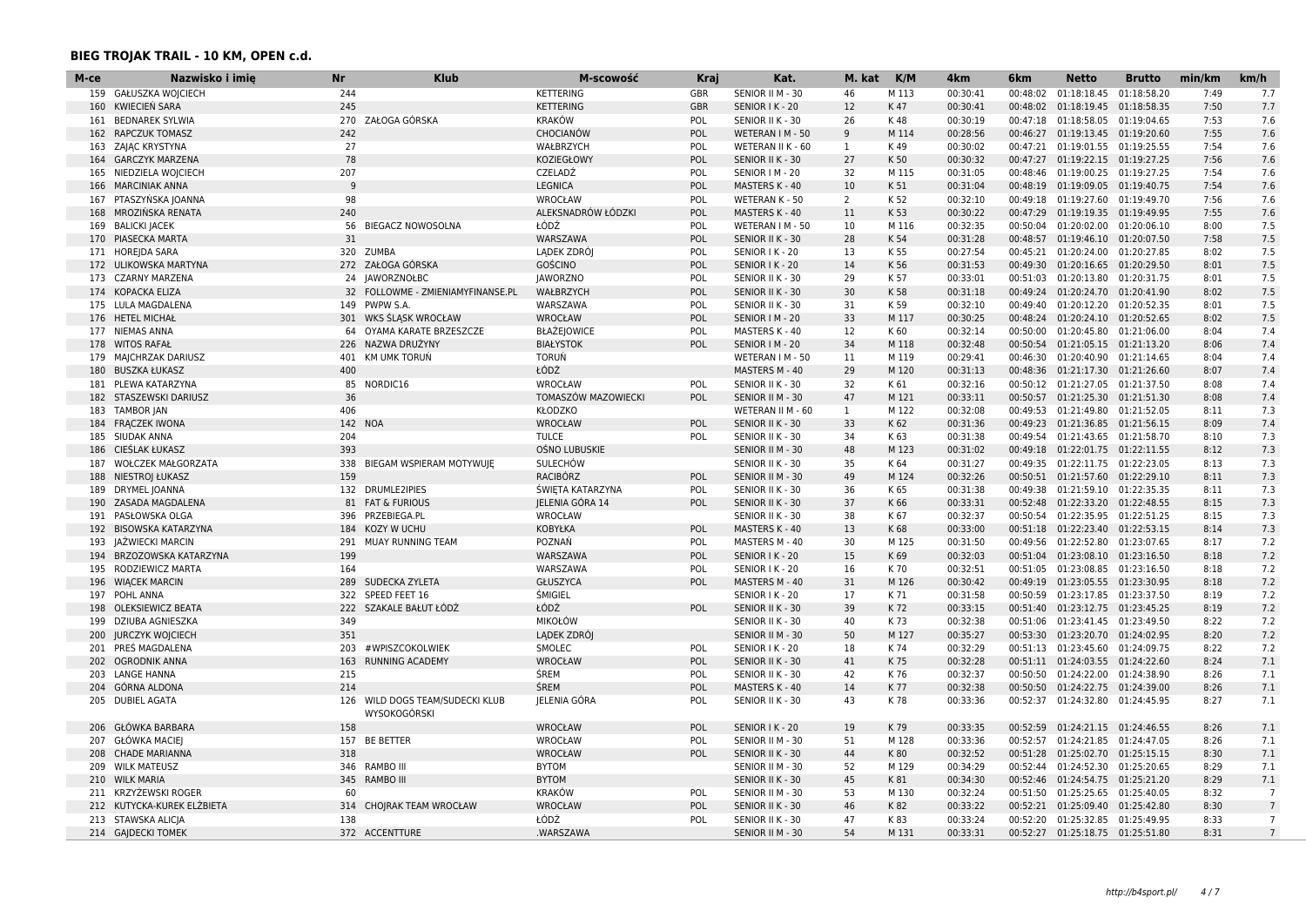| 7.7<br>159 GAŁUSZKA WOJCIECH<br>244<br><b>KETTERING</b><br>GBR<br>SENIOR II M - 30<br>46<br>M 113<br>00:30:41<br>00:48:02<br>01:18:18.45 01:18:58.20<br>7:49<br>KWIECIEŃ SARA<br>245<br><b>KETTERING</b><br>12<br>K47<br>00:30:41<br>00:48:02  01:18:19.45  01:18:58.35<br>7:50<br>7.7<br>160<br><b>GBR</b><br>SENIOR I K - 20<br><b>BEDNAREK SYLWIA</b><br>ZAŁOGA GÓRSKA<br><b>KRAKÓW</b><br>K48<br>00:30:19<br>00:47:18 01:18:58.05 01:19:04.65<br>7.6<br>270<br>POL<br>SENIOR II K - 30<br>26<br>7:53<br>161<br>162 RAPCZUK TOMASZ<br>242<br><b>CHOCIANÓW</b><br>POL<br>9<br>M 114<br>00:28:56<br>00:46:27 01:19:13.45 01:19:20.60<br>7:55<br>7.6<br>WETERAN I M - 50<br>27<br>7.6<br>163 ZAJĄC KRYSTYNA<br>WAŁBRZYCH<br>$\mathbf{1}$<br>K49<br>00:30:02<br>00:47:21  01:19:01.55  01:19:25.55<br>7:54<br>POL<br>WETERAN II K - 60<br>78<br>7:56<br><b>GARCZYK MARZENA</b><br>KOZIEGŁOWY<br>POL<br>27<br>K 50<br>00:30:32<br>00:47:27 01:19:22.15 01:19:27.25<br>7.6<br>164<br>SENIOR II K - 30<br>NIEDZIELA WOJCIECH<br>207<br>CZELADŹ<br>32<br>M 115<br>00:31:05<br>00:48:46<br>01:19:00.25 01:19:27.25<br>7:54<br>7.6<br>165<br><b>POL</b><br>SENIOR   M - 20<br>$\mathbf{q}$<br><b>LEGNICA</b><br>K 51<br>7:54<br>7.6<br><b>MARCINIAK ANNA</b><br>POL<br>MASTERS K - 40<br>10<br>00:31:04<br>00:48:19 01:19:09.05 01:19:40.75<br>166<br>167 PTASZYŃSKA JOANNA<br>98<br>WROCŁAW<br>2<br>K 52<br>00:32:10<br>00:49:18 01:19:27.60 01:19:49.70<br>7:56<br>7.6<br>POL<br>WETERAN K - 50<br>MROZIŃSKA RENATA<br>240<br>ALEKSNADRÓW ŁÓDZKI<br>POL<br>MASTERS K - 40<br>11<br>K 53<br>00:30:22<br>00:47:29 01:19:19.35 01:19:49.95<br>7:55<br>7.6<br>168<br>169 BALICKI JACEK<br>56<br><b>BIEGACZ NOWOSOLNA</b><br>ŁÓDŹ<br>10<br>M 116<br>00:32:35<br>00:50:04  01:20:02.00  01:20:06.10<br>8:00<br>7.5<br>POL<br>WETERAN I M - 50<br>PIASECKA MARTA<br>31<br>WARSZAWA<br>POL<br>K 54<br>00:31:28<br>7:58<br>7.5<br>SENIOR II K - 30<br>28<br>00:48:57 01:19:46.10 01:20:07.50<br>170<br>320 ZUMBA<br>LADEK ZDRÓJ<br>8:02<br>7.5<br>171 HOREIDA SARA<br>POL<br>13<br>K 55<br>00:27:54<br>00:45:21  01:20:24.00  01:20:27.85<br>SENIOR I K - 20<br>272 ZAŁOGA GÓRSKA<br><b>GOŚCINO</b><br>7.5<br>POL<br>14<br>K 56<br>00:31:53<br>00:49:30 01:20:16.65 01:20:29.50<br>8:01<br>172<br>ULIKOWSKA MARTYNA<br>SENIOR I K - 20<br>7.5<br>173 CZARNY MARZENA<br>24 IAWORZNOŁBC<br><b>JAWORZNO</b><br>POL<br>SENIOR II K - 30<br>29<br>K 57<br>00:33:01<br>00:51:03 01:20:13.80 01:20:31.75<br>8:01<br>7.5<br>174 KOPACKA ELIZA<br>32<br>FOLLOWME - ZMIENIAMYFINANSE.PL<br>WAŁBRZYCH<br>POL<br>SENIOR II K - 30<br>30<br>K 58<br>00:31:18<br>00:49:24  01:20:24.70  01:20:41.90<br>8:02<br>7.5<br>175 LULA MAGDALENA<br>PWPW S.A.<br>WARSZAWA<br>31<br>K 59<br>00:32:10<br>8:01<br>149<br>POL<br>SENIOR II K - 30<br>00:49:40<br>01:20:12.20 01:20:52.35<br>M 117<br>00:30:25<br>8:02<br>7.5<br>176 HETEL MICHAŁ<br>301 WKS SLASK WROCŁAW<br>WROCŁAW<br>POL<br>SENIOR   M - 20<br>33<br>00:48:24  01:20:24.10  01:20:52.65<br>12<br>K 60<br>00:32:14<br>00:50:00 01:20:45.80 01:21:06.00<br>7.4<br>177 NIEMAS ANNA<br>64 OYAMA KARATE BRZESZCZE<br><b>BŁAŻEJOWICE</b><br>POL<br>MASTERS K - 40<br>8:04<br>NAZWA DRUŻYNY<br>34<br>M 118<br>00:32:48<br>8:06<br>7.4<br>178 WITOS RAFAŁ<br>226<br><b>BIAŁYSTOK</b><br>POL<br>SENIOR   M - 20<br>00:50:54  01:21:05.15  01:21:13.20<br>KM UMK TORUŃ<br>7.4<br>179 MAJCHRZAK DARIUSZ<br>401<br><b>TORUN</b><br>WETERAN I M - 50<br>11<br>M 119<br>00:29:41<br>00:46:30 01:20:40.90 01:21:14.65<br>8:04<br>ŁÓDŹ<br>400<br>MASTERS M - 40<br>29<br>00:48:36 01:21:17.30 01:21:26.60<br>8:07<br>7.4<br><b>BUSZKA ŁUKASZ</b><br>M 120<br>00:31:13<br>180<br>00:32:16<br>7.4<br>181 PLEWA KATARZYNA<br>85<br>NORDIC16<br>WROCŁAW<br><b>POL</b><br>SENIOR II K - 30<br>32<br>K 61<br>00:50:12 01:21:27.05 01:21:37.50<br>8:08<br>7.4<br>182 STASZEWSKI DARIUSZ<br>36<br>TOMASZÓW MAZOWIECKI<br>POL<br>SENIOR II M - 30<br>47<br>M 121<br>00:33:11<br>00:50:57 01:21:25.30 01:21:51.30<br>8:08<br>7.3<br><b>TAMBOR JAN</b><br>406<br><b>KŁODZKO</b><br>WETERAN II M - 60<br>M 122<br>00:32:08<br>00:49:53 01:21:49.80 01:21:52.05<br>8:11<br>183<br>1<br><b>FRACZEK IWONA</b><br>142 NOA<br><b>WROCŁAW</b><br>POL<br>SENIOR II K - 30<br>33<br>K 62<br>00:31:36<br>00:49:23 01:21:36.85 01:21:56.15<br>8:09<br>7.4<br>184<br>185 SIUDAK ANNA<br>204<br><b>TULCE</b><br>34<br>K 63<br>00:31:38<br>00:49:54  01:21:43.65  01:21:58.70<br>8:10<br>7.3<br>POL<br>SENIOR II K - 30<br>393<br>186 CIEŚLAK ŁUKASZ<br>OŚNO LUBUSKIE<br>48<br>M 123<br>00:31:02<br>00:49:18  01:22:01.75  01:22:11.55<br>8:12<br>7.3<br>SENIOR II M - 30<br>7.3<br>WOŁCZEK MAŁGORZATA<br>338<br><b>SULECHOW</b><br>35<br>K 64<br>00:49:35 01:22:11.75 01:22:23.05<br>8:13<br>187<br>BIEGAM WSPIERAM MOTYWUJE<br>SENIOR II K - 30<br>00:31:27<br>159<br>7.3<br>NIESTROJ ŁUKASZ<br>RACIBÓRZ<br>POL<br>49<br>M 124<br>00:32:26<br>00:50:51  01:21:57.60  01:22:29.10<br>8:11<br>188<br>SENIOR II M - 30<br>7.3<br>8:11<br>189 DRYMEL JOANNA<br>132 DRUMLE2IPIES<br>ŚWIETA KATARZYNA<br>POL<br>SENIOR II K - 30<br>36<br>K 65<br>00:31:38<br>00:49:38<br>01:21:59.10 01:22:35.35<br>190 ZASADA MAGDALENA<br><b>FAT &amp; FURIOUS</b><br>JELENIA GÓRA 14<br>POL<br>37<br>K 66<br>00:33:31<br>00:52:48  01:22:33.20  01:22:48.55<br>8:15<br>7.3<br>81<br>SENIOR II K - 30<br>WROCŁAW<br>K 67<br>00:32:37<br>00:50:54  01:22:35.95  01:22:51.25<br>8:15<br>7.3<br>191 PASŁOWSKA OLGA<br>396<br>PRZEBIEGA.PL<br>SENIOR II K - 30<br>38<br>7.3<br>192 BISOWSKA KATARZYNA<br>184 KOZY W UCHU<br>KOBYŁKA<br>POL<br>MASTERS K - 40<br>13<br>K 68<br>00:33:00<br>00:51:18  01:22:23.40  01:22:53.15<br>8:14<br>POZNAŃ<br>7.2<br>JAŻWIECKI MARCIN<br>291<br>MUAY RUNNING TEAM<br>POL<br>30<br>M 125<br>00:31:50<br>00:49:56 01:22:52.80 01:23:07.65<br>8:17<br>193<br>MASTERS M - 40<br>199<br>15<br>K 69<br>00:32:03<br>8:18<br>7.2<br>194 BRZOZOWSKA KATARZYNA<br>WARSZAWA<br>POL<br>00:51:04  01:23:08.10  01:23:16.50<br>SENIOR I K - 20<br>00:32:51<br>7.2<br>195 RODZIEWICZ MARTA<br>164<br>WARSZAWA<br>16<br>K 70<br>00:51:05<br>01:23:08.85 01:23:16.50<br>8:18<br>POL<br>SENIOR I K - 20<br>31<br>8:18<br>7.2<br>196 WIACEK MARCIN<br>289<br>SUDECKA ZYLETA<br>GŁUSZYCA<br>POL<br>MASTERS M - 40<br>M 126<br>00:30:42<br>00:49:19 01:23:05.55 01:23:30.95<br>ŚMIGIEL<br>7.2<br>197 POHL ANNA<br>322 SPEED FEET 16<br>SENIOR I K - 20<br>17<br>K 71<br>00:31:58<br>00:50:59<br>01:23:17.85 01:23:37.50<br>8:19<br>ŁÓDŹ<br>198 OLEKSIEWICZ BEATA<br>222 SZAKALE BAŁUT ŁÓDŹ<br><b>POL</b><br>SENIOR II K - 30<br>39<br>K 72<br>00:33:15<br>00:51:40  01:23:12.75  01:23:45.25<br>8:19<br>7.2<br>MIKOŁÓW<br>199 DZIUBA AGNIESZKA<br>349<br>SENIOR II K - 30<br>40<br>K 73<br>00:32:38<br>00:51:06 01:23:41.45 01:23:49.50<br>8:22<br>7.2<br>351<br><b>JURCZYK WOJCIECH</b><br>LADEK ZDRÓJ<br>SENIOR II M - 30<br>50<br>M 127<br>00:35:27<br>00:53:30  01:23:20.70  01:24:02.95<br>8:20<br>7.2<br>200<br>SMOLEC<br>K 74<br>00:32:29<br>7.2<br>201 PRES MAGDALENA<br>203<br>#WPISZCOKOLWIEK<br>POL<br>SENIOR I K - 20<br>18<br>00:51:13  01:23:45.60  01:24:09.75<br>8:22<br>RUNNING ACADEMY<br>WROCŁAW<br>POL<br>41<br>K 75<br>00:32:28<br>8:24<br>7.1<br><b>OGRODNIK ANNA</b><br>163<br>SENIOR II K - 30<br>00:51:11 01:24:03.55 01:24:22.60<br>202<br>215<br>ŚREM<br>42<br>K76<br>8:26<br>7.1<br>203 LANGE HANNA<br>POL<br>SENIOR II K - 30<br>00:32:37<br>00:50:50  01:24:22.00  01:24:38.90<br><b>ŚREM</b><br>214<br>K 77<br>00:32:38<br>8:26<br>7.1<br>204<br><b>GÓRNA ALDONA</b><br>POL<br>MASTERS K - 40<br>14<br>00:50:50  01:24:22.75  01:24:39.00<br>7.1<br>205 DUBIEL AGATA<br>126 WILD DOGS TEAM/SUDECKI KLUB<br><b>JELENIA GÓRA</b><br>POL<br>43<br>K 78<br>00:33:36<br>00:52:37 01:24:32.80 01:24:45.95<br>8:27<br>SENIOR II K - 30<br>WYSOKOGÓRSKI<br>206 GŁÓWKA BARBARA<br>158<br>K79<br>00:33:35<br>8:26<br>WROCŁAW<br><b>POL</b><br>SENIOR I K - 20<br>19<br>00:52:59<br>01:24:21.15 01:24:46.55<br>7.1<br>GŁÓWKA MACIEJ<br>157<br><b>BE BETTER</b><br>WROCŁAW<br>M 128<br>00:33:36<br>8:26<br>7.1<br>207<br>POL<br>SENIOR II M - 30<br>51<br>00:52:57 01:24:21.85 01:24:47.05<br><b>CHADE MARIANNA</b><br>318<br><b>WROCŁAW</b><br>POL<br>SENIOR II K - 30<br>44<br>K80<br>00:32:52<br>8:30<br>7.1<br>208<br>00:51:28  01:25:02.70  01:25:15.15<br>209 WILK MATEUSZ<br><b>RAMBO III</b><br><b>BYTOM</b><br>52<br>M 129<br>00:34:29<br>00:52:44 01:24:52.30 01:25:20.65<br>8:29<br>7.1<br>346<br>SENIOR II M - 30<br><b>BYTOM</b><br>7.1<br><b>WILK MARIA</b><br>345<br><b>RAMBO III</b><br>45<br>K 81<br>00:34:30<br>00:52:46 01:24:54.75 01:25:21.20<br>8:29<br>210<br>SENIOR II K - 30<br><b>KRAKÓW</b><br>211 KRZYŻEWSKI ROGER<br>60<br>POL<br>SENIOR II M - 30<br>53<br>M 130<br>00:32:24<br>00:51:50<br>01:25:25.65 01:25:40.05<br>8:32<br>$7\overline{ }$<br>314 CHOJRAK TEAM WROCŁAW<br>212 KUTYCKA-KUREK ELZBIETA<br><b>WROCŁAW</b><br>POL<br>SENIOR II K - 30<br>46<br>K82<br>00:33:22<br>00:52:21  01:25:09.40  01:25:42.80<br>8:30<br>$7\overline{ }$<br>213 STAWSKA ALICJA<br>138<br>ŁÓDŹ<br>47<br>K83<br>00:33:24<br>00:52:20 01:25:32.85 01:25:49.95<br>8:33<br>$\overline{7}$<br>POL<br>SENIOR II K - 30<br>8:31<br>214 GAJDECKI TOMEK<br>372 ACCENTTURE<br>.WARSZAWA<br>SENIOR II M - 30<br>54<br>M 131<br>00:33:31<br>00:52:27  01:25:18.75  01:25:51.80<br>7 | M-ce | Nazwisko i imię | Nr | <b>Klub</b> | M-scowość | Kraj | Kat. | M. kat | K/M | 4km | 6 <sub>km</sub> | <b>Netto</b> | <b>Brutto</b> | min/km | km/h |
|--------------------------------------------------------------------------------------------------------------------------------------------------------------------------------------------------------------------------------------------------------------------------------------------------------------------------------------------------------------------------------------------------------------------------------------------------------------------------------------------------------------------------------------------------------------------------------------------------------------------------------------------------------------------------------------------------------------------------------------------------------------------------------------------------------------------------------------------------------------------------------------------------------------------------------------------------------------------------------------------------------------------------------------------------------------------------------------------------------------------------------------------------------------------------------------------------------------------------------------------------------------------------------------------------------------------------------------------------------------------------------------------------------------------------------------------------------------------------------------------------------------------------------------------------------------------------------------------------------------------------------------------------------------------------------------------------------------------------------------------------------------------------------------------------------------------------------------------------------------------------------------------------------------------------------------------------------------------------------------------------------------------------------------------------------------------------------------------------------------------------------------------------------------------------------------------------------------------------------------------------------------------------------------------------------------------------------------------------------------------------------------------------------------------------------------------------------------------------------------------------------------------------------------------------------------------------------------------------------------------------------------------------------------------------------------------------------------------------------------------------------------------------------------------------------------------------------------------------------------------------------------------------------------------------------------------------------------------------------------------------------------------------------------------------------------------------------------------------------------------------------------------------------------------------------------------------------------------------------------------------------------------------------------------------------------------------------------------------------------------------------------------------------------------------------------------------------------------------------------------------------------------------------------------------------------------------------------------------------------------------------------------------------------------------------------------------------------------------------------------------------------------------------------------------------------------------------------------------------------------------------------------------------------------------------------------------------------------------------------------------------------------------------------------------------------------------------------------------------------------------------------------------------------------------------------------------------------------------------------------------------------------------------------------------------------------------------------------------------------------------------------------------------------------------------------------------------------------------------------------------------------------------------------------------------------------------------------------------------------------------------------------------------------------------------------------------------------------------------------------------------------------------------------------------------------------------------------------------------------------------------------------------------------------------------------------------------------------------------------------------------------------------------------------------------------------------------------------------------------------------------------------------------------------------------------------------------------------------------------------------------------------------------------------------------------------------------------------------------------------------------------------------------------------------------------------------------------------------------------------------------------------------------------------------------------------------------------------------------------------------------------------------------------------------------------------------------------------------------------------------------------------------------------------------------------------------------------------------------------------------------------------------------------------------------------------------------------------------------------------------------------------------------------------------------------------------------------------------------------------------------------------------------------------------------------------------------------------------------------------------------------------------------------------------------------------------------------------------------------------------------------------------------------------------------------------------------------------------------------------------------------------------------------------------------------------------------------------------------------------------------------------------------------------------------------------------------------------------------------------------------------------------------------------------------------------------------------------------------------------------------------------------------------------------------------------------------------------------------------------------------------------------------------------------------------------------------------------------------------------------------------------------------------------------------------------------------------------------------------------------------------------------------------------------------------------------------------------------------------------------------------------------------------------------------------------------------------------------------------------------------------------------------------------------------------------------------------------------------------------------------------------------------------------------------------------------------------------------------------------------------------------------------------------------------------------------------------------------------------------------------------------------------------------------------------------------------------------------------------------------------------------------------------------------------------------------------------------------------------------------------------------------------------------------------------------------------------------------------------------------------------------------------------------------------------------------------------------------------------------------------------------------------------------------------------------------------------------------------------------------------------------------------------------------------------------------------------------------------------------------------------------------------------------------------------------------------------------------------------------------------------------------------------------------------------------------------------------------------------------------------------------------------------------------------------------------------------------------------------------------------------------------------------------------------------------------------------------------------------------------------------------------------------------------------------------------------------------------------------------------------------------------------------------------------------------------------------------------------------------------------------------|------|-----------------|----|-------------|-----------|------|------|--------|-----|-----|-----------------|--------------|---------------|--------|------|
|                                                                                                                                                                                                                                                                                                                                                                                                                                                                                                                                                                                                                                                                                                                                                                                                                                                                                                                                                                                                                                                                                                                                                                                                                                                                                                                                                                                                                                                                                                                                                                                                                                                                                                                                                                                                                                                                                                                                                                                                                                                                                                                                                                                                                                                                                                                                                                                                                                                                                                                                                                                                                                                                                                                                                                                                                                                                                                                                                                                                                                                                                                                                                                                                                                                                                                                                                                                                                                                                                                                                                                                                                                                                                                                                                                                                                                                                                                                                                                                                                                                                                                                                                                                                                                                                                                                                                                                                                                                                                                                                                                                                                                                                                                                                                                                                                                                                                                                                                                                                                                                                                                                                                                                                                                                                                                                                                                                                                                                                                                                                                                                                                                                                                                                                                                                                                                                                                                                                                                                                                                                                                                                                                                                                                                                                                                                                                                                                                                                                                                                                                                                                                                                                                                                                                                                                                                                                                                                                                                                                                                                                                                                                                                                                                                                                                                                                                                                                                                                                                                                                                                                                                                                                                                                                                                                                                                                                                                                                                                                                                                                                                                                                                                                                                                                                                                                                                                                                                                                                                                                                                                                                                                                                                                                                                                                                                                                                                                                                                                                                                                                                                                                                                                                                                                                                                                                                                                                            |      |                 |    |             |           |      |      |        |     |     |                 |              |               |        |      |
|                                                                                                                                                                                                                                                                                                                                                                                                                                                                                                                                                                                                                                                                                                                                                                                                                                                                                                                                                                                                                                                                                                                                                                                                                                                                                                                                                                                                                                                                                                                                                                                                                                                                                                                                                                                                                                                                                                                                                                                                                                                                                                                                                                                                                                                                                                                                                                                                                                                                                                                                                                                                                                                                                                                                                                                                                                                                                                                                                                                                                                                                                                                                                                                                                                                                                                                                                                                                                                                                                                                                                                                                                                                                                                                                                                                                                                                                                                                                                                                                                                                                                                                                                                                                                                                                                                                                                                                                                                                                                                                                                                                                                                                                                                                                                                                                                                                                                                                                                                                                                                                                                                                                                                                                                                                                                                                                                                                                                                                                                                                                                                                                                                                                                                                                                                                                                                                                                                                                                                                                                                                                                                                                                                                                                                                                                                                                                                                                                                                                                                                                                                                                                                                                                                                                                                                                                                                                                                                                                                                                                                                                                                                                                                                                                                                                                                                                                                                                                                                                                                                                                                                                                                                                                                                                                                                                                                                                                                                                                                                                                                                                                                                                                                                                                                                                                                                                                                                                                                                                                                                                                                                                                                                                                                                                                                                                                                                                                                                                                                                                                                                                                                                                                                                                                                                                                                                                                                                            |      |                 |    |             |           |      |      |        |     |     |                 |              |               |        |      |
|                                                                                                                                                                                                                                                                                                                                                                                                                                                                                                                                                                                                                                                                                                                                                                                                                                                                                                                                                                                                                                                                                                                                                                                                                                                                                                                                                                                                                                                                                                                                                                                                                                                                                                                                                                                                                                                                                                                                                                                                                                                                                                                                                                                                                                                                                                                                                                                                                                                                                                                                                                                                                                                                                                                                                                                                                                                                                                                                                                                                                                                                                                                                                                                                                                                                                                                                                                                                                                                                                                                                                                                                                                                                                                                                                                                                                                                                                                                                                                                                                                                                                                                                                                                                                                                                                                                                                                                                                                                                                                                                                                                                                                                                                                                                                                                                                                                                                                                                                                                                                                                                                                                                                                                                                                                                                                                                                                                                                                                                                                                                                                                                                                                                                                                                                                                                                                                                                                                                                                                                                                                                                                                                                                                                                                                                                                                                                                                                                                                                                                                                                                                                                                                                                                                                                                                                                                                                                                                                                                                                                                                                                                                                                                                                                                                                                                                                                                                                                                                                                                                                                                                                                                                                                                                                                                                                                                                                                                                                                                                                                                                                                                                                                                                                                                                                                                                                                                                                                                                                                                                                                                                                                                                                                                                                                                                                                                                                                                                                                                                                                                                                                                                                                                                                                                                                                                                                                                                            |      |                 |    |             |           |      |      |        |     |     |                 |              |               |        |      |
|                                                                                                                                                                                                                                                                                                                                                                                                                                                                                                                                                                                                                                                                                                                                                                                                                                                                                                                                                                                                                                                                                                                                                                                                                                                                                                                                                                                                                                                                                                                                                                                                                                                                                                                                                                                                                                                                                                                                                                                                                                                                                                                                                                                                                                                                                                                                                                                                                                                                                                                                                                                                                                                                                                                                                                                                                                                                                                                                                                                                                                                                                                                                                                                                                                                                                                                                                                                                                                                                                                                                                                                                                                                                                                                                                                                                                                                                                                                                                                                                                                                                                                                                                                                                                                                                                                                                                                                                                                                                                                                                                                                                                                                                                                                                                                                                                                                                                                                                                                                                                                                                                                                                                                                                                                                                                                                                                                                                                                                                                                                                                                                                                                                                                                                                                                                                                                                                                                                                                                                                                                                                                                                                                                                                                                                                                                                                                                                                                                                                                                                                                                                                                                                                                                                                                                                                                                                                                                                                                                                                                                                                                                                                                                                                                                                                                                                                                                                                                                                                                                                                                                                                                                                                                                                                                                                                                                                                                                                                                                                                                                                                                                                                                                                                                                                                                                                                                                                                                                                                                                                                                                                                                                                                                                                                                                                                                                                                                                                                                                                                                                                                                                                                                                                                                                                                                                                                                                                            |      |                 |    |             |           |      |      |        |     |     |                 |              |               |        |      |
|                                                                                                                                                                                                                                                                                                                                                                                                                                                                                                                                                                                                                                                                                                                                                                                                                                                                                                                                                                                                                                                                                                                                                                                                                                                                                                                                                                                                                                                                                                                                                                                                                                                                                                                                                                                                                                                                                                                                                                                                                                                                                                                                                                                                                                                                                                                                                                                                                                                                                                                                                                                                                                                                                                                                                                                                                                                                                                                                                                                                                                                                                                                                                                                                                                                                                                                                                                                                                                                                                                                                                                                                                                                                                                                                                                                                                                                                                                                                                                                                                                                                                                                                                                                                                                                                                                                                                                                                                                                                                                                                                                                                                                                                                                                                                                                                                                                                                                                                                                                                                                                                                                                                                                                                                                                                                                                                                                                                                                                                                                                                                                                                                                                                                                                                                                                                                                                                                                                                                                                                                                                                                                                                                                                                                                                                                                                                                                                                                                                                                                                                                                                                                                                                                                                                                                                                                                                                                                                                                                                                                                                                                                                                                                                                                                                                                                                                                                                                                                                                                                                                                                                                                                                                                                                                                                                                                                                                                                                                                                                                                                                                                                                                                                                                                                                                                                                                                                                                                                                                                                                                                                                                                                                                                                                                                                                                                                                                                                                                                                                                                                                                                                                                                                                                                                                                                                                                                                                            |      |                 |    |             |           |      |      |        |     |     |                 |              |               |        |      |
|                                                                                                                                                                                                                                                                                                                                                                                                                                                                                                                                                                                                                                                                                                                                                                                                                                                                                                                                                                                                                                                                                                                                                                                                                                                                                                                                                                                                                                                                                                                                                                                                                                                                                                                                                                                                                                                                                                                                                                                                                                                                                                                                                                                                                                                                                                                                                                                                                                                                                                                                                                                                                                                                                                                                                                                                                                                                                                                                                                                                                                                                                                                                                                                                                                                                                                                                                                                                                                                                                                                                                                                                                                                                                                                                                                                                                                                                                                                                                                                                                                                                                                                                                                                                                                                                                                                                                                                                                                                                                                                                                                                                                                                                                                                                                                                                                                                                                                                                                                                                                                                                                                                                                                                                                                                                                                                                                                                                                                                                                                                                                                                                                                                                                                                                                                                                                                                                                                                                                                                                                                                                                                                                                                                                                                                                                                                                                                                                                                                                                                                                                                                                                                                                                                                                                                                                                                                                                                                                                                                                                                                                                                                                                                                                                                                                                                                                                                                                                                                                                                                                                                                                                                                                                                                                                                                                                                                                                                                                                                                                                                                                                                                                                                                                                                                                                                                                                                                                                                                                                                                                                                                                                                                                                                                                                                                                                                                                                                                                                                                                                                                                                                                                                                                                                                                                                                                                                                                            |      |                 |    |             |           |      |      |        |     |     |                 |              |               |        |      |
|                                                                                                                                                                                                                                                                                                                                                                                                                                                                                                                                                                                                                                                                                                                                                                                                                                                                                                                                                                                                                                                                                                                                                                                                                                                                                                                                                                                                                                                                                                                                                                                                                                                                                                                                                                                                                                                                                                                                                                                                                                                                                                                                                                                                                                                                                                                                                                                                                                                                                                                                                                                                                                                                                                                                                                                                                                                                                                                                                                                                                                                                                                                                                                                                                                                                                                                                                                                                                                                                                                                                                                                                                                                                                                                                                                                                                                                                                                                                                                                                                                                                                                                                                                                                                                                                                                                                                                                                                                                                                                                                                                                                                                                                                                                                                                                                                                                                                                                                                                                                                                                                                                                                                                                                                                                                                                                                                                                                                                                                                                                                                                                                                                                                                                                                                                                                                                                                                                                                                                                                                                                                                                                                                                                                                                                                                                                                                                                                                                                                                                                                                                                                                                                                                                                                                                                                                                                                                                                                                                                                                                                                                                                                                                                                                                                                                                                                                                                                                                                                                                                                                                                                                                                                                                                                                                                                                                                                                                                                                                                                                                                                                                                                                                                                                                                                                                                                                                                                                                                                                                                                                                                                                                                                                                                                                                                                                                                                                                                                                                                                                                                                                                                                                                                                                                                                                                                                                                                            |      |                 |    |             |           |      |      |        |     |     |                 |              |               |        |      |
|                                                                                                                                                                                                                                                                                                                                                                                                                                                                                                                                                                                                                                                                                                                                                                                                                                                                                                                                                                                                                                                                                                                                                                                                                                                                                                                                                                                                                                                                                                                                                                                                                                                                                                                                                                                                                                                                                                                                                                                                                                                                                                                                                                                                                                                                                                                                                                                                                                                                                                                                                                                                                                                                                                                                                                                                                                                                                                                                                                                                                                                                                                                                                                                                                                                                                                                                                                                                                                                                                                                                                                                                                                                                                                                                                                                                                                                                                                                                                                                                                                                                                                                                                                                                                                                                                                                                                                                                                                                                                                                                                                                                                                                                                                                                                                                                                                                                                                                                                                                                                                                                                                                                                                                                                                                                                                                                                                                                                                                                                                                                                                                                                                                                                                                                                                                                                                                                                                                                                                                                                                                                                                                                                                                                                                                                                                                                                                                                                                                                                                                                                                                                                                                                                                                                                                                                                                                                                                                                                                                                                                                                                                                                                                                                                                                                                                                                                                                                                                                                                                                                                                                                                                                                                                                                                                                                                                                                                                                                                                                                                                                                                                                                                                                                                                                                                                                                                                                                                                                                                                                                                                                                                                                                                                                                                                                                                                                                                                                                                                                                                                                                                                                                                                                                                                                                                                                                                                                            |      |                 |    |             |           |      |      |        |     |     |                 |              |               |        |      |
|                                                                                                                                                                                                                                                                                                                                                                                                                                                                                                                                                                                                                                                                                                                                                                                                                                                                                                                                                                                                                                                                                                                                                                                                                                                                                                                                                                                                                                                                                                                                                                                                                                                                                                                                                                                                                                                                                                                                                                                                                                                                                                                                                                                                                                                                                                                                                                                                                                                                                                                                                                                                                                                                                                                                                                                                                                                                                                                                                                                                                                                                                                                                                                                                                                                                                                                                                                                                                                                                                                                                                                                                                                                                                                                                                                                                                                                                                                                                                                                                                                                                                                                                                                                                                                                                                                                                                                                                                                                                                                                                                                                                                                                                                                                                                                                                                                                                                                                                                                                                                                                                                                                                                                                                                                                                                                                                                                                                                                                                                                                                                                                                                                                                                                                                                                                                                                                                                                                                                                                                                                                                                                                                                                                                                                                                                                                                                                                                                                                                                                                                                                                                                                                                                                                                                                                                                                                                                                                                                                                                                                                                                                                                                                                                                                                                                                                                                                                                                                                                                                                                                                                                                                                                                                                                                                                                                                                                                                                                                                                                                                                                                                                                                                                                                                                                                                                                                                                                                                                                                                                                                                                                                                                                                                                                                                                                                                                                                                                                                                                                                                                                                                                                                                                                                                                                                                                                                                                            |      |                 |    |             |           |      |      |        |     |     |                 |              |               |        |      |
|                                                                                                                                                                                                                                                                                                                                                                                                                                                                                                                                                                                                                                                                                                                                                                                                                                                                                                                                                                                                                                                                                                                                                                                                                                                                                                                                                                                                                                                                                                                                                                                                                                                                                                                                                                                                                                                                                                                                                                                                                                                                                                                                                                                                                                                                                                                                                                                                                                                                                                                                                                                                                                                                                                                                                                                                                                                                                                                                                                                                                                                                                                                                                                                                                                                                                                                                                                                                                                                                                                                                                                                                                                                                                                                                                                                                                                                                                                                                                                                                                                                                                                                                                                                                                                                                                                                                                                                                                                                                                                                                                                                                                                                                                                                                                                                                                                                                                                                                                                                                                                                                                                                                                                                                                                                                                                                                                                                                                                                                                                                                                                                                                                                                                                                                                                                                                                                                                                                                                                                                                                                                                                                                                                                                                                                                                                                                                                                                                                                                                                                                                                                                                                                                                                                                                                                                                                                                                                                                                                                                                                                                                                                                                                                                                                                                                                                                                                                                                                                                                                                                                                                                                                                                                                                                                                                                                                                                                                                                                                                                                                                                                                                                                                                                                                                                                                                                                                                                                                                                                                                                                                                                                                                                                                                                                                                                                                                                                                                                                                                                                                                                                                                                                                                                                                                                                                                                                                                            |      |                 |    |             |           |      |      |        |     |     |                 |              |               |        |      |
|                                                                                                                                                                                                                                                                                                                                                                                                                                                                                                                                                                                                                                                                                                                                                                                                                                                                                                                                                                                                                                                                                                                                                                                                                                                                                                                                                                                                                                                                                                                                                                                                                                                                                                                                                                                                                                                                                                                                                                                                                                                                                                                                                                                                                                                                                                                                                                                                                                                                                                                                                                                                                                                                                                                                                                                                                                                                                                                                                                                                                                                                                                                                                                                                                                                                                                                                                                                                                                                                                                                                                                                                                                                                                                                                                                                                                                                                                                                                                                                                                                                                                                                                                                                                                                                                                                                                                                                                                                                                                                                                                                                                                                                                                                                                                                                                                                                                                                                                                                                                                                                                                                                                                                                                                                                                                                                                                                                                                                                                                                                                                                                                                                                                                                                                                                                                                                                                                                                                                                                                                                                                                                                                                                                                                                                                                                                                                                                                                                                                                                                                                                                                                                                                                                                                                                                                                                                                                                                                                                                                                                                                                                                                                                                                                                                                                                                                                                                                                                                                                                                                                                                                                                                                                                                                                                                                                                                                                                                                                                                                                                                                                                                                                                                                                                                                                                                                                                                                                                                                                                                                                                                                                                                                                                                                                                                                                                                                                                                                                                                                                                                                                                                                                                                                                                                                                                                                                                                            |      |                 |    |             |           |      |      |        |     |     |                 |              |               |        |      |
|                                                                                                                                                                                                                                                                                                                                                                                                                                                                                                                                                                                                                                                                                                                                                                                                                                                                                                                                                                                                                                                                                                                                                                                                                                                                                                                                                                                                                                                                                                                                                                                                                                                                                                                                                                                                                                                                                                                                                                                                                                                                                                                                                                                                                                                                                                                                                                                                                                                                                                                                                                                                                                                                                                                                                                                                                                                                                                                                                                                                                                                                                                                                                                                                                                                                                                                                                                                                                                                                                                                                                                                                                                                                                                                                                                                                                                                                                                                                                                                                                                                                                                                                                                                                                                                                                                                                                                                                                                                                                                                                                                                                                                                                                                                                                                                                                                                                                                                                                                                                                                                                                                                                                                                                                                                                                                                                                                                                                                                                                                                                                                                                                                                                                                                                                                                                                                                                                                                                                                                                                                                                                                                                                                                                                                                                                                                                                                                                                                                                                                                                                                                                                                                                                                                                                                                                                                                                                                                                                                                                                                                                                                                                                                                                                                                                                                                                                                                                                                                                                                                                                                                                                                                                                                                                                                                                                                                                                                                                                                                                                                                                                                                                                                                                                                                                                                                                                                                                                                                                                                                                                                                                                                                                                                                                                                                                                                                                                                                                                                                                                                                                                                                                                                                                                                                                                                                                                                                            |      |                 |    |             |           |      |      |        |     |     |                 |              |               |        |      |
|                                                                                                                                                                                                                                                                                                                                                                                                                                                                                                                                                                                                                                                                                                                                                                                                                                                                                                                                                                                                                                                                                                                                                                                                                                                                                                                                                                                                                                                                                                                                                                                                                                                                                                                                                                                                                                                                                                                                                                                                                                                                                                                                                                                                                                                                                                                                                                                                                                                                                                                                                                                                                                                                                                                                                                                                                                                                                                                                                                                                                                                                                                                                                                                                                                                                                                                                                                                                                                                                                                                                                                                                                                                                                                                                                                                                                                                                                                                                                                                                                                                                                                                                                                                                                                                                                                                                                                                                                                                                                                                                                                                                                                                                                                                                                                                                                                                                                                                                                                                                                                                                                                                                                                                                                                                                                                                                                                                                                                                                                                                                                                                                                                                                                                                                                                                                                                                                                                                                                                                                                                                                                                                                                                                                                                                                                                                                                                                                                                                                                                                                                                                                                                                                                                                                                                                                                                                                                                                                                                                                                                                                                                                                                                                                                                                                                                                                                                                                                                                                                                                                                                                                                                                                                                                                                                                                                                                                                                                                                                                                                                                                                                                                                                                                                                                                                                                                                                                                                                                                                                                                                                                                                                                                                                                                                                                                                                                                                                                                                                                                                                                                                                                                                                                                                                                                                                                                                                                            |      |                 |    |             |           |      |      |        |     |     |                 |              |               |        |      |
|                                                                                                                                                                                                                                                                                                                                                                                                                                                                                                                                                                                                                                                                                                                                                                                                                                                                                                                                                                                                                                                                                                                                                                                                                                                                                                                                                                                                                                                                                                                                                                                                                                                                                                                                                                                                                                                                                                                                                                                                                                                                                                                                                                                                                                                                                                                                                                                                                                                                                                                                                                                                                                                                                                                                                                                                                                                                                                                                                                                                                                                                                                                                                                                                                                                                                                                                                                                                                                                                                                                                                                                                                                                                                                                                                                                                                                                                                                                                                                                                                                                                                                                                                                                                                                                                                                                                                                                                                                                                                                                                                                                                                                                                                                                                                                                                                                                                                                                                                                                                                                                                                                                                                                                                                                                                                                                                                                                                                                                                                                                                                                                                                                                                                                                                                                                                                                                                                                                                                                                                                                                                                                                                                                                                                                                                                                                                                                                                                                                                                                                                                                                                                                                                                                                                                                                                                                                                                                                                                                                                                                                                                                                                                                                                                                                                                                                                                                                                                                                                                                                                                                                                                                                                                                                                                                                                                                                                                                                                                                                                                                                                                                                                                                                                                                                                                                                                                                                                                                                                                                                                                                                                                                                                                                                                                                                                                                                                                                                                                                                                                                                                                                                                                                                                                                                                                                                                                                                            |      |                 |    |             |           |      |      |        |     |     |                 |              |               |        |      |
|                                                                                                                                                                                                                                                                                                                                                                                                                                                                                                                                                                                                                                                                                                                                                                                                                                                                                                                                                                                                                                                                                                                                                                                                                                                                                                                                                                                                                                                                                                                                                                                                                                                                                                                                                                                                                                                                                                                                                                                                                                                                                                                                                                                                                                                                                                                                                                                                                                                                                                                                                                                                                                                                                                                                                                                                                                                                                                                                                                                                                                                                                                                                                                                                                                                                                                                                                                                                                                                                                                                                                                                                                                                                                                                                                                                                                                                                                                                                                                                                                                                                                                                                                                                                                                                                                                                                                                                                                                                                                                                                                                                                                                                                                                                                                                                                                                                                                                                                                                                                                                                                                                                                                                                                                                                                                                                                                                                                                                                                                                                                                                                                                                                                                                                                                                                                                                                                                                                                                                                                                                                                                                                                                                                                                                                                                                                                                                                                                                                                                                                                                                                                                                                                                                                                                                                                                                                                                                                                                                                                                                                                                                                                                                                                                                                                                                                                                                                                                                                                                                                                                                                                                                                                                                                                                                                                                                                                                                                                                                                                                                                                                                                                                                                                                                                                                                                                                                                                                                                                                                                                                                                                                                                                                                                                                                                                                                                                                                                                                                                                                                                                                                                                                                                                                                                                                                                                                                                            |      |                 |    |             |           |      |      |        |     |     |                 |              |               |        |      |
|                                                                                                                                                                                                                                                                                                                                                                                                                                                                                                                                                                                                                                                                                                                                                                                                                                                                                                                                                                                                                                                                                                                                                                                                                                                                                                                                                                                                                                                                                                                                                                                                                                                                                                                                                                                                                                                                                                                                                                                                                                                                                                                                                                                                                                                                                                                                                                                                                                                                                                                                                                                                                                                                                                                                                                                                                                                                                                                                                                                                                                                                                                                                                                                                                                                                                                                                                                                                                                                                                                                                                                                                                                                                                                                                                                                                                                                                                                                                                                                                                                                                                                                                                                                                                                                                                                                                                                                                                                                                                                                                                                                                                                                                                                                                                                                                                                                                                                                                                                                                                                                                                                                                                                                                                                                                                                                                                                                                                                                                                                                                                                                                                                                                                                                                                                                                                                                                                                                                                                                                                                                                                                                                                                                                                                                                                                                                                                                                                                                                                                                                                                                                                                                                                                                                                                                                                                                                                                                                                                                                                                                                                                                                                                                                                                                                                                                                                                                                                                                                                                                                                                                                                                                                                                                                                                                                                                                                                                                                                                                                                                                                                                                                                                                                                                                                                                                                                                                                                                                                                                                                                                                                                                                                                                                                                                                                                                                                                                                                                                                                                                                                                                                                                                                                                                                                                                                                                                                            |      |                 |    |             |           |      |      |        |     |     |                 |              |               |        |      |
|                                                                                                                                                                                                                                                                                                                                                                                                                                                                                                                                                                                                                                                                                                                                                                                                                                                                                                                                                                                                                                                                                                                                                                                                                                                                                                                                                                                                                                                                                                                                                                                                                                                                                                                                                                                                                                                                                                                                                                                                                                                                                                                                                                                                                                                                                                                                                                                                                                                                                                                                                                                                                                                                                                                                                                                                                                                                                                                                                                                                                                                                                                                                                                                                                                                                                                                                                                                                                                                                                                                                                                                                                                                                                                                                                                                                                                                                                                                                                                                                                                                                                                                                                                                                                                                                                                                                                                                                                                                                                                                                                                                                                                                                                                                                                                                                                                                                                                                                                                                                                                                                                                                                                                                                                                                                                                                                                                                                                                                                                                                                                                                                                                                                                                                                                                                                                                                                                                                                                                                                                                                                                                                                                                                                                                                                                                                                                                                                                                                                                                                                                                                                                                                                                                                                                                                                                                                                                                                                                                                                                                                                                                                                                                                                                                                                                                                                                                                                                                                                                                                                                                                                                                                                                                                                                                                                                                                                                                                                                                                                                                                                                                                                                                                                                                                                                                                                                                                                                                                                                                                                                                                                                                                                                                                                                                                                                                                                                                                                                                                                                                                                                                                                                                                                                                                                                                                                                                                            |      |                 |    |             |           |      |      |        |     |     |                 |              |               |        |      |
|                                                                                                                                                                                                                                                                                                                                                                                                                                                                                                                                                                                                                                                                                                                                                                                                                                                                                                                                                                                                                                                                                                                                                                                                                                                                                                                                                                                                                                                                                                                                                                                                                                                                                                                                                                                                                                                                                                                                                                                                                                                                                                                                                                                                                                                                                                                                                                                                                                                                                                                                                                                                                                                                                                                                                                                                                                                                                                                                                                                                                                                                                                                                                                                                                                                                                                                                                                                                                                                                                                                                                                                                                                                                                                                                                                                                                                                                                                                                                                                                                                                                                                                                                                                                                                                                                                                                                                                                                                                                                                                                                                                                                                                                                                                                                                                                                                                                                                                                                                                                                                                                                                                                                                                                                                                                                                                                                                                                                                                                                                                                                                                                                                                                                                                                                                                                                                                                                                                                                                                                                                                                                                                                                                                                                                                                                                                                                                                                                                                                                                                                                                                                                                                                                                                                                                                                                                                                                                                                                                                                                                                                                                                                                                                                                                                                                                                                                                                                                                                                                                                                                                                                                                                                                                                                                                                                                                                                                                                                                                                                                                                                                                                                                                                                                                                                                                                                                                                                                                                                                                                                                                                                                                                                                                                                                                                                                                                                                                                                                                                                                                                                                                                                                                                                                                                                                                                                                                                            |      |                 |    |             |           |      |      |        |     |     |                 |              |               |        |      |
|                                                                                                                                                                                                                                                                                                                                                                                                                                                                                                                                                                                                                                                                                                                                                                                                                                                                                                                                                                                                                                                                                                                                                                                                                                                                                                                                                                                                                                                                                                                                                                                                                                                                                                                                                                                                                                                                                                                                                                                                                                                                                                                                                                                                                                                                                                                                                                                                                                                                                                                                                                                                                                                                                                                                                                                                                                                                                                                                                                                                                                                                                                                                                                                                                                                                                                                                                                                                                                                                                                                                                                                                                                                                                                                                                                                                                                                                                                                                                                                                                                                                                                                                                                                                                                                                                                                                                                                                                                                                                                                                                                                                                                                                                                                                                                                                                                                                                                                                                                                                                                                                                                                                                                                                                                                                                                                                                                                                                                                                                                                                                                                                                                                                                                                                                                                                                                                                                                                                                                                                                                                                                                                                                                                                                                                                                                                                                                                                                                                                                                                                                                                                                                                                                                                                                                                                                                                                                                                                                                                                                                                                                                                                                                                                                                                                                                                                                                                                                                                                                                                                                                                                                                                                                                                                                                                                                                                                                                                                                                                                                                                                                                                                                                                                                                                                                                                                                                                                                                                                                                                                                                                                                                                                                                                                                                                                                                                                                                                                                                                                                                                                                                                                                                                                                                                                                                                                                                                            |      |                 |    |             |           |      |      |        |     |     |                 |              |               |        |      |
|                                                                                                                                                                                                                                                                                                                                                                                                                                                                                                                                                                                                                                                                                                                                                                                                                                                                                                                                                                                                                                                                                                                                                                                                                                                                                                                                                                                                                                                                                                                                                                                                                                                                                                                                                                                                                                                                                                                                                                                                                                                                                                                                                                                                                                                                                                                                                                                                                                                                                                                                                                                                                                                                                                                                                                                                                                                                                                                                                                                                                                                                                                                                                                                                                                                                                                                                                                                                                                                                                                                                                                                                                                                                                                                                                                                                                                                                                                                                                                                                                                                                                                                                                                                                                                                                                                                                                                                                                                                                                                                                                                                                                                                                                                                                                                                                                                                                                                                                                                                                                                                                                                                                                                                                                                                                                                                                                                                                                                                                                                                                                                                                                                                                                                                                                                                                                                                                                                                                                                                                                                                                                                                                                                                                                                                                                                                                                                                                                                                                                                                                                                                                                                                                                                                                                                                                                                                                                                                                                                                                                                                                                                                                                                                                                                                                                                                                                                                                                                                                                                                                                                                                                                                                                                                                                                                                                                                                                                                                                                                                                                                                                                                                                                                                                                                                                                                                                                                                                                                                                                                                                                                                                                                                                                                                                                                                                                                                                                                                                                                                                                                                                                                                                                                                                                                                                                                                                                                            |      |                 |    |             |           |      |      |        |     |     |                 |              |               |        |      |
|                                                                                                                                                                                                                                                                                                                                                                                                                                                                                                                                                                                                                                                                                                                                                                                                                                                                                                                                                                                                                                                                                                                                                                                                                                                                                                                                                                                                                                                                                                                                                                                                                                                                                                                                                                                                                                                                                                                                                                                                                                                                                                                                                                                                                                                                                                                                                                                                                                                                                                                                                                                                                                                                                                                                                                                                                                                                                                                                                                                                                                                                                                                                                                                                                                                                                                                                                                                                                                                                                                                                                                                                                                                                                                                                                                                                                                                                                                                                                                                                                                                                                                                                                                                                                                                                                                                                                                                                                                                                                                                                                                                                                                                                                                                                                                                                                                                                                                                                                                                                                                                                                                                                                                                                                                                                                                                                                                                                                                                                                                                                                                                                                                                                                                                                                                                                                                                                                                                                                                                                                                                                                                                                                                                                                                                                                                                                                                                                                                                                                                                                                                                                                                                                                                                                                                                                                                                                                                                                                                                                                                                                                                                                                                                                                                                                                                                                                                                                                                                                                                                                                                                                                                                                                                                                                                                                                                                                                                                                                                                                                                                                                                                                                                                                                                                                                                                                                                                                                                                                                                                                                                                                                                                                                                                                                                                                                                                                                                                                                                                                                                                                                                                                                                                                                                                                                                                                                                                            |      |                 |    |             |           |      |      |        |     |     |                 |              |               |        |      |
|                                                                                                                                                                                                                                                                                                                                                                                                                                                                                                                                                                                                                                                                                                                                                                                                                                                                                                                                                                                                                                                                                                                                                                                                                                                                                                                                                                                                                                                                                                                                                                                                                                                                                                                                                                                                                                                                                                                                                                                                                                                                                                                                                                                                                                                                                                                                                                                                                                                                                                                                                                                                                                                                                                                                                                                                                                                                                                                                                                                                                                                                                                                                                                                                                                                                                                                                                                                                                                                                                                                                                                                                                                                                                                                                                                                                                                                                                                                                                                                                                                                                                                                                                                                                                                                                                                                                                                                                                                                                                                                                                                                                                                                                                                                                                                                                                                                                                                                                                                                                                                                                                                                                                                                                                                                                                                                                                                                                                                                                                                                                                                                                                                                                                                                                                                                                                                                                                                                                                                                                                                                                                                                                                                                                                                                                                                                                                                                                                                                                                                                                                                                                                                                                                                                                                                                                                                                                                                                                                                                                                                                                                                                                                                                                                                                                                                                                                                                                                                                                                                                                                                                                                                                                                                                                                                                                                                                                                                                                                                                                                                                                                                                                                                                                                                                                                                                                                                                                                                                                                                                                                                                                                                                                                                                                                                                                                                                                                                                                                                                                                                                                                                                                                                                                                                                                                                                                                                                            |      |                 |    |             |           |      |      |        |     |     |                 |              |               |        |      |
|                                                                                                                                                                                                                                                                                                                                                                                                                                                                                                                                                                                                                                                                                                                                                                                                                                                                                                                                                                                                                                                                                                                                                                                                                                                                                                                                                                                                                                                                                                                                                                                                                                                                                                                                                                                                                                                                                                                                                                                                                                                                                                                                                                                                                                                                                                                                                                                                                                                                                                                                                                                                                                                                                                                                                                                                                                                                                                                                                                                                                                                                                                                                                                                                                                                                                                                                                                                                                                                                                                                                                                                                                                                                                                                                                                                                                                                                                                                                                                                                                                                                                                                                                                                                                                                                                                                                                                                                                                                                                                                                                                                                                                                                                                                                                                                                                                                                                                                                                                                                                                                                                                                                                                                                                                                                                                                                                                                                                                                                                                                                                                                                                                                                                                                                                                                                                                                                                                                                                                                                                                                                                                                                                                                                                                                                                                                                                                                                                                                                                                                                                                                                                                                                                                                                                                                                                                                                                                                                                                                                                                                                                                                                                                                                                                                                                                                                                                                                                                                                                                                                                                                                                                                                                                                                                                                                                                                                                                                                                                                                                                                                                                                                                                                                                                                                                                                                                                                                                                                                                                                                                                                                                                                                                                                                                                                                                                                                                                                                                                                                                                                                                                                                                                                                                                                                                                                                                                                            |      |                 |    |             |           |      |      |        |     |     |                 |              |               |        |      |
|                                                                                                                                                                                                                                                                                                                                                                                                                                                                                                                                                                                                                                                                                                                                                                                                                                                                                                                                                                                                                                                                                                                                                                                                                                                                                                                                                                                                                                                                                                                                                                                                                                                                                                                                                                                                                                                                                                                                                                                                                                                                                                                                                                                                                                                                                                                                                                                                                                                                                                                                                                                                                                                                                                                                                                                                                                                                                                                                                                                                                                                                                                                                                                                                                                                                                                                                                                                                                                                                                                                                                                                                                                                                                                                                                                                                                                                                                                                                                                                                                                                                                                                                                                                                                                                                                                                                                                                                                                                                                                                                                                                                                                                                                                                                                                                                                                                                                                                                                                                                                                                                                                                                                                                                                                                                                                                                                                                                                                                                                                                                                                                                                                                                                                                                                                                                                                                                                                                                                                                                                                                                                                                                                                                                                                                                                                                                                                                                                                                                                                                                                                                                                                                                                                                                                                                                                                                                                                                                                                                                                                                                                                                                                                                                                                                                                                                                                                                                                                                                                                                                                                                                                                                                                                                                                                                                                                                                                                                                                                                                                                                                                                                                                                                                                                                                                                                                                                                                                                                                                                                                                                                                                                                                                                                                                                                                                                                                                                                                                                                                                                                                                                                                                                                                                                                                                                                                                                                            |      |                 |    |             |           |      |      |        |     |     |                 |              |               |        |      |
|                                                                                                                                                                                                                                                                                                                                                                                                                                                                                                                                                                                                                                                                                                                                                                                                                                                                                                                                                                                                                                                                                                                                                                                                                                                                                                                                                                                                                                                                                                                                                                                                                                                                                                                                                                                                                                                                                                                                                                                                                                                                                                                                                                                                                                                                                                                                                                                                                                                                                                                                                                                                                                                                                                                                                                                                                                                                                                                                                                                                                                                                                                                                                                                                                                                                                                                                                                                                                                                                                                                                                                                                                                                                                                                                                                                                                                                                                                                                                                                                                                                                                                                                                                                                                                                                                                                                                                                                                                                                                                                                                                                                                                                                                                                                                                                                                                                                                                                                                                                                                                                                                                                                                                                                                                                                                                                                                                                                                                                                                                                                                                                                                                                                                                                                                                                                                                                                                                                                                                                                                                                                                                                                                                                                                                                                                                                                                                                                                                                                                                                                                                                                                                                                                                                                                                                                                                                                                                                                                                                                                                                                                                                                                                                                                                                                                                                                                                                                                                                                                                                                                                                                                                                                                                                                                                                                                                                                                                                                                                                                                                                                                                                                                                                                                                                                                                                                                                                                                                                                                                                                                                                                                                                                                                                                                                                                                                                                                                                                                                                                                                                                                                                                                                                                                                                                                                                                                                                            |      |                 |    |             |           |      |      |        |     |     |                 |              |               |        |      |
|                                                                                                                                                                                                                                                                                                                                                                                                                                                                                                                                                                                                                                                                                                                                                                                                                                                                                                                                                                                                                                                                                                                                                                                                                                                                                                                                                                                                                                                                                                                                                                                                                                                                                                                                                                                                                                                                                                                                                                                                                                                                                                                                                                                                                                                                                                                                                                                                                                                                                                                                                                                                                                                                                                                                                                                                                                                                                                                                                                                                                                                                                                                                                                                                                                                                                                                                                                                                                                                                                                                                                                                                                                                                                                                                                                                                                                                                                                                                                                                                                                                                                                                                                                                                                                                                                                                                                                                                                                                                                                                                                                                                                                                                                                                                                                                                                                                                                                                                                                                                                                                                                                                                                                                                                                                                                                                                                                                                                                                                                                                                                                                                                                                                                                                                                                                                                                                                                                                                                                                                                                                                                                                                                                                                                                                                                                                                                                                                                                                                                                                                                                                                                                                                                                                                                                                                                                                                                                                                                                                                                                                                                                                                                                                                                                                                                                                                                                                                                                                                                                                                                                                                                                                                                                                                                                                                                                                                                                                                                                                                                                                                                                                                                                                                                                                                                                                                                                                                                                                                                                                                                                                                                                                                                                                                                                                                                                                                                                                                                                                                                                                                                                                                                                                                                                                                                                                                                                                            |      |                 |    |             |           |      |      |        |     |     |                 |              |               |        |      |
|                                                                                                                                                                                                                                                                                                                                                                                                                                                                                                                                                                                                                                                                                                                                                                                                                                                                                                                                                                                                                                                                                                                                                                                                                                                                                                                                                                                                                                                                                                                                                                                                                                                                                                                                                                                                                                                                                                                                                                                                                                                                                                                                                                                                                                                                                                                                                                                                                                                                                                                                                                                                                                                                                                                                                                                                                                                                                                                                                                                                                                                                                                                                                                                                                                                                                                                                                                                                                                                                                                                                                                                                                                                                                                                                                                                                                                                                                                                                                                                                                                                                                                                                                                                                                                                                                                                                                                                                                                                                                                                                                                                                                                                                                                                                                                                                                                                                                                                                                                                                                                                                                                                                                                                                                                                                                                                                                                                                                                                                                                                                                                                                                                                                                                                                                                                                                                                                                                                                                                                                                                                                                                                                                                                                                                                                                                                                                                                                                                                                                                                                                                                                                                                                                                                                                                                                                                                                                                                                                                                                                                                                                                                                                                                                                                                                                                                                                                                                                                                                                                                                                                                                                                                                                                                                                                                                                                                                                                                                                                                                                                                                                                                                                                                                                                                                                                                                                                                                                                                                                                                                                                                                                                                                                                                                                                                                                                                                                                                                                                                                                                                                                                                                                                                                                                                                                                                                                                                            |      |                 |    |             |           |      |      |        |     |     |                 |              |               |        |      |
|                                                                                                                                                                                                                                                                                                                                                                                                                                                                                                                                                                                                                                                                                                                                                                                                                                                                                                                                                                                                                                                                                                                                                                                                                                                                                                                                                                                                                                                                                                                                                                                                                                                                                                                                                                                                                                                                                                                                                                                                                                                                                                                                                                                                                                                                                                                                                                                                                                                                                                                                                                                                                                                                                                                                                                                                                                                                                                                                                                                                                                                                                                                                                                                                                                                                                                                                                                                                                                                                                                                                                                                                                                                                                                                                                                                                                                                                                                                                                                                                                                                                                                                                                                                                                                                                                                                                                                                                                                                                                                                                                                                                                                                                                                                                                                                                                                                                                                                                                                                                                                                                                                                                                                                                                                                                                                                                                                                                                                                                                                                                                                                                                                                                                                                                                                                                                                                                                                                                                                                                                                                                                                                                                                                                                                                                                                                                                                                                                                                                                                                                                                                                                                                                                                                                                                                                                                                                                                                                                                                                                                                                                                                                                                                                                                                                                                                                                                                                                                                                                                                                                                                                                                                                                                                                                                                                                                                                                                                                                                                                                                                                                                                                                                                                                                                                                                                                                                                                                                                                                                                                                                                                                                                                                                                                                                                                                                                                                                                                                                                                                                                                                                                                                                                                                                                                                                                                                                                            |      |                 |    |             |           |      |      |        |     |     |                 |              |               |        |      |
|                                                                                                                                                                                                                                                                                                                                                                                                                                                                                                                                                                                                                                                                                                                                                                                                                                                                                                                                                                                                                                                                                                                                                                                                                                                                                                                                                                                                                                                                                                                                                                                                                                                                                                                                                                                                                                                                                                                                                                                                                                                                                                                                                                                                                                                                                                                                                                                                                                                                                                                                                                                                                                                                                                                                                                                                                                                                                                                                                                                                                                                                                                                                                                                                                                                                                                                                                                                                                                                                                                                                                                                                                                                                                                                                                                                                                                                                                                                                                                                                                                                                                                                                                                                                                                                                                                                                                                                                                                                                                                                                                                                                                                                                                                                                                                                                                                                                                                                                                                                                                                                                                                                                                                                                                                                                                                                                                                                                                                                                                                                                                                                                                                                                                                                                                                                                                                                                                                                                                                                                                                                                                                                                                                                                                                                                                                                                                                                                                                                                                                                                                                                                                                                                                                                                                                                                                                                                                                                                                                                                                                                                                                                                                                                                                                                                                                                                                                                                                                                                                                                                                                                                                                                                                                                                                                                                                                                                                                                                                                                                                                                                                                                                                                                                                                                                                                                                                                                                                                                                                                                                                                                                                                                                                                                                                                                                                                                                                                                                                                                                                                                                                                                                                                                                                                                                                                                                                                                            |      |                 |    |             |           |      |      |        |     |     |                 |              |               |        |      |
|                                                                                                                                                                                                                                                                                                                                                                                                                                                                                                                                                                                                                                                                                                                                                                                                                                                                                                                                                                                                                                                                                                                                                                                                                                                                                                                                                                                                                                                                                                                                                                                                                                                                                                                                                                                                                                                                                                                                                                                                                                                                                                                                                                                                                                                                                                                                                                                                                                                                                                                                                                                                                                                                                                                                                                                                                                                                                                                                                                                                                                                                                                                                                                                                                                                                                                                                                                                                                                                                                                                                                                                                                                                                                                                                                                                                                                                                                                                                                                                                                                                                                                                                                                                                                                                                                                                                                                                                                                                                                                                                                                                                                                                                                                                                                                                                                                                                                                                                                                                                                                                                                                                                                                                                                                                                                                                                                                                                                                                                                                                                                                                                                                                                                                                                                                                                                                                                                                                                                                                                                                                                                                                                                                                                                                                                                                                                                                                                                                                                                                                                                                                                                                                                                                                                                                                                                                                                                                                                                                                                                                                                                                                                                                                                                                                                                                                                                                                                                                                                                                                                                                                                                                                                                                                                                                                                                                                                                                                                                                                                                                                                                                                                                                                                                                                                                                                                                                                                                                                                                                                                                                                                                                                                                                                                                                                                                                                                                                                                                                                                                                                                                                                                                                                                                                                                                                                                                                                            |      |                 |    |             |           |      |      |        |     |     |                 |              |               |        |      |
|                                                                                                                                                                                                                                                                                                                                                                                                                                                                                                                                                                                                                                                                                                                                                                                                                                                                                                                                                                                                                                                                                                                                                                                                                                                                                                                                                                                                                                                                                                                                                                                                                                                                                                                                                                                                                                                                                                                                                                                                                                                                                                                                                                                                                                                                                                                                                                                                                                                                                                                                                                                                                                                                                                                                                                                                                                                                                                                                                                                                                                                                                                                                                                                                                                                                                                                                                                                                                                                                                                                                                                                                                                                                                                                                                                                                                                                                                                                                                                                                                                                                                                                                                                                                                                                                                                                                                                                                                                                                                                                                                                                                                                                                                                                                                                                                                                                                                                                                                                                                                                                                                                                                                                                                                                                                                                                                                                                                                                                                                                                                                                                                                                                                                                                                                                                                                                                                                                                                                                                                                                                                                                                                                                                                                                                                                                                                                                                                                                                                                                                                                                                                                                                                                                                                                                                                                                                                                                                                                                                                                                                                                                                                                                                                                                                                                                                                                                                                                                                                                                                                                                                                                                                                                                                                                                                                                                                                                                                                                                                                                                                                                                                                                                                                                                                                                                                                                                                                                                                                                                                                                                                                                                                                                                                                                                                                                                                                                                                                                                                                                                                                                                                                                                                                                                                                                                                                                                                            |      |                 |    |             |           |      |      |        |     |     |                 |              |               |        |      |
|                                                                                                                                                                                                                                                                                                                                                                                                                                                                                                                                                                                                                                                                                                                                                                                                                                                                                                                                                                                                                                                                                                                                                                                                                                                                                                                                                                                                                                                                                                                                                                                                                                                                                                                                                                                                                                                                                                                                                                                                                                                                                                                                                                                                                                                                                                                                                                                                                                                                                                                                                                                                                                                                                                                                                                                                                                                                                                                                                                                                                                                                                                                                                                                                                                                                                                                                                                                                                                                                                                                                                                                                                                                                                                                                                                                                                                                                                                                                                                                                                                                                                                                                                                                                                                                                                                                                                                                                                                                                                                                                                                                                                                                                                                                                                                                                                                                                                                                                                                                                                                                                                                                                                                                                                                                                                                                                                                                                                                                                                                                                                                                                                                                                                                                                                                                                                                                                                                                                                                                                                                                                                                                                                                                                                                                                                                                                                                                                                                                                                                                                                                                                                                                                                                                                                                                                                                                                                                                                                                                                                                                                                                                                                                                                                                                                                                                                                                                                                                                                                                                                                                                                                                                                                                                                                                                                                                                                                                                                                                                                                                                                                                                                                                                                                                                                                                                                                                                                                                                                                                                                                                                                                                                                                                                                                                                                                                                                                                                                                                                                                                                                                                                                                                                                                                                                                                                                                                                            |      |                 |    |             |           |      |      |        |     |     |                 |              |               |        |      |
|                                                                                                                                                                                                                                                                                                                                                                                                                                                                                                                                                                                                                                                                                                                                                                                                                                                                                                                                                                                                                                                                                                                                                                                                                                                                                                                                                                                                                                                                                                                                                                                                                                                                                                                                                                                                                                                                                                                                                                                                                                                                                                                                                                                                                                                                                                                                                                                                                                                                                                                                                                                                                                                                                                                                                                                                                                                                                                                                                                                                                                                                                                                                                                                                                                                                                                                                                                                                                                                                                                                                                                                                                                                                                                                                                                                                                                                                                                                                                                                                                                                                                                                                                                                                                                                                                                                                                                                                                                                                                                                                                                                                                                                                                                                                                                                                                                                                                                                                                                                                                                                                                                                                                                                                                                                                                                                                                                                                                                                                                                                                                                                                                                                                                                                                                                                                                                                                                                                                                                                                                                                                                                                                                                                                                                                                                                                                                                                                                                                                                                                                                                                                                                                                                                                                                                                                                                                                                                                                                                                                                                                                                                                                                                                                                                                                                                                                                                                                                                                                                                                                                                                                                                                                                                                                                                                                                                                                                                                                                                                                                                                                                                                                                                                                                                                                                                                                                                                                                                                                                                                                                                                                                                                                                                                                                                                                                                                                                                                                                                                                                                                                                                                                                                                                                                                                                                                                                                                            |      |                 |    |             |           |      |      |        |     |     |                 |              |               |        |      |
|                                                                                                                                                                                                                                                                                                                                                                                                                                                                                                                                                                                                                                                                                                                                                                                                                                                                                                                                                                                                                                                                                                                                                                                                                                                                                                                                                                                                                                                                                                                                                                                                                                                                                                                                                                                                                                                                                                                                                                                                                                                                                                                                                                                                                                                                                                                                                                                                                                                                                                                                                                                                                                                                                                                                                                                                                                                                                                                                                                                                                                                                                                                                                                                                                                                                                                                                                                                                                                                                                                                                                                                                                                                                                                                                                                                                                                                                                                                                                                                                                                                                                                                                                                                                                                                                                                                                                                                                                                                                                                                                                                                                                                                                                                                                                                                                                                                                                                                                                                                                                                                                                                                                                                                                                                                                                                                                                                                                                                                                                                                                                                                                                                                                                                                                                                                                                                                                                                                                                                                                                                                                                                                                                                                                                                                                                                                                                                                                                                                                                                                                                                                                                                                                                                                                                                                                                                                                                                                                                                                                                                                                                                                                                                                                                                                                                                                                                                                                                                                                                                                                                                                                                                                                                                                                                                                                                                                                                                                                                                                                                                                                                                                                                                                                                                                                                                                                                                                                                                                                                                                                                                                                                                                                                                                                                                                                                                                                                                                                                                                                                                                                                                                                                                                                                                                                                                                                                                                            |      |                 |    |             |           |      |      |        |     |     |                 |              |               |        |      |
|                                                                                                                                                                                                                                                                                                                                                                                                                                                                                                                                                                                                                                                                                                                                                                                                                                                                                                                                                                                                                                                                                                                                                                                                                                                                                                                                                                                                                                                                                                                                                                                                                                                                                                                                                                                                                                                                                                                                                                                                                                                                                                                                                                                                                                                                                                                                                                                                                                                                                                                                                                                                                                                                                                                                                                                                                                                                                                                                                                                                                                                                                                                                                                                                                                                                                                                                                                                                                                                                                                                                                                                                                                                                                                                                                                                                                                                                                                                                                                                                                                                                                                                                                                                                                                                                                                                                                                                                                                                                                                                                                                                                                                                                                                                                                                                                                                                                                                                                                                                                                                                                                                                                                                                                                                                                                                                                                                                                                                                                                                                                                                                                                                                                                                                                                                                                                                                                                                                                                                                                                                                                                                                                                                                                                                                                                                                                                                                                                                                                                                                                                                                                                                                                                                                                                                                                                                                                                                                                                                                                                                                                                                                                                                                                                                                                                                                                                                                                                                                                                                                                                                                                                                                                                                                                                                                                                                                                                                                                                                                                                                                                                                                                                                                                                                                                                                                                                                                                                                                                                                                                                                                                                                                                                                                                                                                                                                                                                                                                                                                                                                                                                                                                                                                                                                                                                                                                                                                            |      |                 |    |             |           |      |      |        |     |     |                 |              |               |        |      |
|                                                                                                                                                                                                                                                                                                                                                                                                                                                                                                                                                                                                                                                                                                                                                                                                                                                                                                                                                                                                                                                                                                                                                                                                                                                                                                                                                                                                                                                                                                                                                                                                                                                                                                                                                                                                                                                                                                                                                                                                                                                                                                                                                                                                                                                                                                                                                                                                                                                                                                                                                                                                                                                                                                                                                                                                                                                                                                                                                                                                                                                                                                                                                                                                                                                                                                                                                                                                                                                                                                                                                                                                                                                                                                                                                                                                                                                                                                                                                                                                                                                                                                                                                                                                                                                                                                                                                                                                                                                                                                                                                                                                                                                                                                                                                                                                                                                                                                                                                                                                                                                                                                                                                                                                                                                                                                                                                                                                                                                                                                                                                                                                                                                                                                                                                                                                                                                                                                                                                                                                                                                                                                                                                                                                                                                                                                                                                                                                                                                                                                                                                                                                                                                                                                                                                                                                                                                                                                                                                                                                                                                                                                                                                                                                                                                                                                                                                                                                                                                                                                                                                                                                                                                                                                                                                                                                                                                                                                                                                                                                                                                                                                                                                                                                                                                                                                                                                                                                                                                                                                                                                                                                                                                                                                                                                                                                                                                                                                                                                                                                                                                                                                                                                                                                                                                                                                                                                                                            |      |                 |    |             |           |      |      |        |     |     |                 |              |               |        |      |
|                                                                                                                                                                                                                                                                                                                                                                                                                                                                                                                                                                                                                                                                                                                                                                                                                                                                                                                                                                                                                                                                                                                                                                                                                                                                                                                                                                                                                                                                                                                                                                                                                                                                                                                                                                                                                                                                                                                                                                                                                                                                                                                                                                                                                                                                                                                                                                                                                                                                                                                                                                                                                                                                                                                                                                                                                                                                                                                                                                                                                                                                                                                                                                                                                                                                                                                                                                                                                                                                                                                                                                                                                                                                                                                                                                                                                                                                                                                                                                                                                                                                                                                                                                                                                                                                                                                                                                                                                                                                                                                                                                                                                                                                                                                                                                                                                                                                                                                                                                                                                                                                                                                                                                                                                                                                                                                                                                                                                                                                                                                                                                                                                                                                                                                                                                                                                                                                                                                                                                                                                                                                                                                                                                                                                                                                                                                                                                                                                                                                                                                                                                                                                                                                                                                                                                                                                                                                                                                                                                                                                                                                                                                                                                                                                                                                                                                                                                                                                                                                                                                                                                                                                                                                                                                                                                                                                                                                                                                                                                                                                                                                                                                                                                                                                                                                                                                                                                                                                                                                                                                                                                                                                                                                                                                                                                                                                                                                                                                                                                                                                                                                                                                                                                                                                                                                                                                                                                                            |      |                 |    |             |           |      |      |        |     |     |                 |              |               |        |      |
|                                                                                                                                                                                                                                                                                                                                                                                                                                                                                                                                                                                                                                                                                                                                                                                                                                                                                                                                                                                                                                                                                                                                                                                                                                                                                                                                                                                                                                                                                                                                                                                                                                                                                                                                                                                                                                                                                                                                                                                                                                                                                                                                                                                                                                                                                                                                                                                                                                                                                                                                                                                                                                                                                                                                                                                                                                                                                                                                                                                                                                                                                                                                                                                                                                                                                                                                                                                                                                                                                                                                                                                                                                                                                                                                                                                                                                                                                                                                                                                                                                                                                                                                                                                                                                                                                                                                                                                                                                                                                                                                                                                                                                                                                                                                                                                                                                                                                                                                                                                                                                                                                                                                                                                                                                                                                                                                                                                                                                                                                                                                                                                                                                                                                                                                                                                                                                                                                                                                                                                                                                                                                                                                                                                                                                                                                                                                                                                                                                                                                                                                                                                                                                                                                                                                                                                                                                                                                                                                                                                                                                                                                                                                                                                                                                                                                                                                                                                                                                                                                                                                                                                                                                                                                                                                                                                                                                                                                                                                                                                                                                                                                                                                                                                                                                                                                                                                                                                                                                                                                                                                                                                                                                                                                                                                                                                                                                                                                                                                                                                                                                                                                                                                                                                                                                                                                                                                                                                            |      |                 |    |             |           |      |      |        |     |     |                 |              |               |        |      |
|                                                                                                                                                                                                                                                                                                                                                                                                                                                                                                                                                                                                                                                                                                                                                                                                                                                                                                                                                                                                                                                                                                                                                                                                                                                                                                                                                                                                                                                                                                                                                                                                                                                                                                                                                                                                                                                                                                                                                                                                                                                                                                                                                                                                                                                                                                                                                                                                                                                                                                                                                                                                                                                                                                                                                                                                                                                                                                                                                                                                                                                                                                                                                                                                                                                                                                                                                                                                                                                                                                                                                                                                                                                                                                                                                                                                                                                                                                                                                                                                                                                                                                                                                                                                                                                                                                                                                                                                                                                                                                                                                                                                                                                                                                                                                                                                                                                                                                                                                                                                                                                                                                                                                                                                                                                                                                                                                                                                                                                                                                                                                                                                                                                                                                                                                                                                                                                                                                                                                                                                                                                                                                                                                                                                                                                                                                                                                                                                                                                                                                                                                                                                                                                                                                                                                                                                                                                                                                                                                                                                                                                                                                                                                                                                                                                                                                                                                                                                                                                                                                                                                                                                                                                                                                                                                                                                                                                                                                                                                                                                                                                                                                                                                                                                                                                                                                                                                                                                                                                                                                                                                                                                                                                                                                                                                                                                                                                                                                                                                                                                                                                                                                                                                                                                                                                                                                                                                                                            |      |                 |    |             |           |      |      |        |     |     |                 |              |               |        |      |
|                                                                                                                                                                                                                                                                                                                                                                                                                                                                                                                                                                                                                                                                                                                                                                                                                                                                                                                                                                                                                                                                                                                                                                                                                                                                                                                                                                                                                                                                                                                                                                                                                                                                                                                                                                                                                                                                                                                                                                                                                                                                                                                                                                                                                                                                                                                                                                                                                                                                                                                                                                                                                                                                                                                                                                                                                                                                                                                                                                                                                                                                                                                                                                                                                                                                                                                                                                                                                                                                                                                                                                                                                                                                                                                                                                                                                                                                                                                                                                                                                                                                                                                                                                                                                                                                                                                                                                                                                                                                                                                                                                                                                                                                                                                                                                                                                                                                                                                                                                                                                                                                                                                                                                                                                                                                                                                                                                                                                                                                                                                                                                                                                                                                                                                                                                                                                                                                                                                                                                                                                                                                                                                                                                                                                                                                                                                                                                                                                                                                                                                                                                                                                                                                                                                                                                                                                                                                                                                                                                                                                                                                                                                                                                                                                                                                                                                                                                                                                                                                                                                                                                                                                                                                                                                                                                                                                                                                                                                                                                                                                                                                                                                                                                                                                                                                                                                                                                                                                                                                                                                                                                                                                                                                                                                                                                                                                                                                                                                                                                                                                                                                                                                                                                                                                                                                                                                                                                                            |      |                 |    |             |           |      |      |        |     |     |                 |              |               |        |      |
|                                                                                                                                                                                                                                                                                                                                                                                                                                                                                                                                                                                                                                                                                                                                                                                                                                                                                                                                                                                                                                                                                                                                                                                                                                                                                                                                                                                                                                                                                                                                                                                                                                                                                                                                                                                                                                                                                                                                                                                                                                                                                                                                                                                                                                                                                                                                                                                                                                                                                                                                                                                                                                                                                                                                                                                                                                                                                                                                                                                                                                                                                                                                                                                                                                                                                                                                                                                                                                                                                                                                                                                                                                                                                                                                                                                                                                                                                                                                                                                                                                                                                                                                                                                                                                                                                                                                                                                                                                                                                                                                                                                                                                                                                                                                                                                                                                                                                                                                                                                                                                                                                                                                                                                                                                                                                                                                                                                                                                                                                                                                                                                                                                                                                                                                                                                                                                                                                                                                                                                                                                                                                                                                                                                                                                                                                                                                                                                                                                                                                                                                                                                                                                                                                                                                                                                                                                                                                                                                                                                                                                                                                                                                                                                                                                                                                                                                                                                                                                                                                                                                                                                                                                                                                                                                                                                                                                                                                                                                                                                                                                                                                                                                                                                                                                                                                                                                                                                                                                                                                                                                                                                                                                                                                                                                                                                                                                                                                                                                                                                                                                                                                                                                                                                                                                                                                                                                                                                            |      |                 |    |             |           |      |      |        |     |     |                 |              |               |        |      |
|                                                                                                                                                                                                                                                                                                                                                                                                                                                                                                                                                                                                                                                                                                                                                                                                                                                                                                                                                                                                                                                                                                                                                                                                                                                                                                                                                                                                                                                                                                                                                                                                                                                                                                                                                                                                                                                                                                                                                                                                                                                                                                                                                                                                                                                                                                                                                                                                                                                                                                                                                                                                                                                                                                                                                                                                                                                                                                                                                                                                                                                                                                                                                                                                                                                                                                                                                                                                                                                                                                                                                                                                                                                                                                                                                                                                                                                                                                                                                                                                                                                                                                                                                                                                                                                                                                                                                                                                                                                                                                                                                                                                                                                                                                                                                                                                                                                                                                                                                                                                                                                                                                                                                                                                                                                                                                                                                                                                                                                                                                                                                                                                                                                                                                                                                                                                                                                                                                                                                                                                                                                                                                                                                                                                                                                                                                                                                                                                                                                                                                                                                                                                                                                                                                                                                                                                                                                                                                                                                                                                                                                                                                                                                                                                                                                                                                                                                                                                                                                                                                                                                                                                                                                                                                                                                                                                                                                                                                                                                                                                                                                                                                                                                                                                                                                                                                                                                                                                                                                                                                                                                                                                                                                                                                                                                                                                                                                                                                                                                                                                                                                                                                                                                                                                                                                                                                                                                                                            |      |                 |    |             |           |      |      |        |     |     |                 |              |               |        |      |
|                                                                                                                                                                                                                                                                                                                                                                                                                                                                                                                                                                                                                                                                                                                                                                                                                                                                                                                                                                                                                                                                                                                                                                                                                                                                                                                                                                                                                                                                                                                                                                                                                                                                                                                                                                                                                                                                                                                                                                                                                                                                                                                                                                                                                                                                                                                                                                                                                                                                                                                                                                                                                                                                                                                                                                                                                                                                                                                                                                                                                                                                                                                                                                                                                                                                                                                                                                                                                                                                                                                                                                                                                                                                                                                                                                                                                                                                                                                                                                                                                                                                                                                                                                                                                                                                                                                                                                                                                                                                                                                                                                                                                                                                                                                                                                                                                                                                                                                                                                                                                                                                                                                                                                                                                                                                                                                                                                                                                                                                                                                                                                                                                                                                                                                                                                                                                                                                                                                                                                                                                                                                                                                                                                                                                                                                                                                                                                                                                                                                                                                                                                                                                                                                                                                                                                                                                                                                                                                                                                                                                                                                                                                                                                                                                                                                                                                                                                                                                                                                                                                                                                                                                                                                                                                                                                                                                                                                                                                                                                                                                                                                                                                                                                                                                                                                                                                                                                                                                                                                                                                                                                                                                                                                                                                                                                                                                                                                                                                                                                                                                                                                                                                                                                                                                                                                                                                                                                                            |      |                 |    |             |           |      |      |        |     |     |                 |              |               |        |      |
|                                                                                                                                                                                                                                                                                                                                                                                                                                                                                                                                                                                                                                                                                                                                                                                                                                                                                                                                                                                                                                                                                                                                                                                                                                                                                                                                                                                                                                                                                                                                                                                                                                                                                                                                                                                                                                                                                                                                                                                                                                                                                                                                                                                                                                                                                                                                                                                                                                                                                                                                                                                                                                                                                                                                                                                                                                                                                                                                                                                                                                                                                                                                                                                                                                                                                                                                                                                                                                                                                                                                                                                                                                                                                                                                                                                                                                                                                                                                                                                                                                                                                                                                                                                                                                                                                                                                                                                                                                                                                                                                                                                                                                                                                                                                                                                                                                                                                                                                                                                                                                                                                                                                                                                                                                                                                                                                                                                                                                                                                                                                                                                                                                                                                                                                                                                                                                                                                                                                                                                                                                                                                                                                                                                                                                                                                                                                                                                                                                                                                                                                                                                                                                                                                                                                                                                                                                                                                                                                                                                                                                                                                                                                                                                                                                                                                                                                                                                                                                                                                                                                                                                                                                                                                                                                                                                                                                                                                                                                                                                                                                                                                                                                                                                                                                                                                                                                                                                                                                                                                                                                                                                                                                                                                                                                                                                                                                                                                                                                                                                                                                                                                                                                                                                                                                                                                                                                                                                            |      |                 |    |             |           |      |      |        |     |     |                 |              |               |        |      |
|                                                                                                                                                                                                                                                                                                                                                                                                                                                                                                                                                                                                                                                                                                                                                                                                                                                                                                                                                                                                                                                                                                                                                                                                                                                                                                                                                                                                                                                                                                                                                                                                                                                                                                                                                                                                                                                                                                                                                                                                                                                                                                                                                                                                                                                                                                                                                                                                                                                                                                                                                                                                                                                                                                                                                                                                                                                                                                                                                                                                                                                                                                                                                                                                                                                                                                                                                                                                                                                                                                                                                                                                                                                                                                                                                                                                                                                                                                                                                                                                                                                                                                                                                                                                                                                                                                                                                                                                                                                                                                                                                                                                                                                                                                                                                                                                                                                                                                                                                                                                                                                                                                                                                                                                                                                                                                                                                                                                                                                                                                                                                                                                                                                                                                                                                                                                                                                                                                                                                                                                                                                                                                                                                                                                                                                                                                                                                                                                                                                                                                                                                                                                                                                                                                                                                                                                                                                                                                                                                                                                                                                                                                                                                                                                                                                                                                                                                                                                                                                                                                                                                                                                                                                                                                                                                                                                                                                                                                                                                                                                                                                                                                                                                                                                                                                                                                                                                                                                                                                                                                                                                                                                                                                                                                                                                                                                                                                                                                                                                                                                                                                                                                                                                                                                                                                                                                                                                                                            |      |                 |    |             |           |      |      |        |     |     |                 |              |               |        |      |
|                                                                                                                                                                                                                                                                                                                                                                                                                                                                                                                                                                                                                                                                                                                                                                                                                                                                                                                                                                                                                                                                                                                                                                                                                                                                                                                                                                                                                                                                                                                                                                                                                                                                                                                                                                                                                                                                                                                                                                                                                                                                                                                                                                                                                                                                                                                                                                                                                                                                                                                                                                                                                                                                                                                                                                                                                                                                                                                                                                                                                                                                                                                                                                                                                                                                                                                                                                                                                                                                                                                                                                                                                                                                                                                                                                                                                                                                                                                                                                                                                                                                                                                                                                                                                                                                                                                                                                                                                                                                                                                                                                                                                                                                                                                                                                                                                                                                                                                                                                                                                                                                                                                                                                                                                                                                                                                                                                                                                                                                                                                                                                                                                                                                                                                                                                                                                                                                                                                                                                                                                                                                                                                                                                                                                                                                                                                                                                                                                                                                                                                                                                                                                                                                                                                                                                                                                                                                                                                                                                                                                                                                                                                                                                                                                                                                                                                                                                                                                                                                                                                                                                                                                                                                                                                                                                                                                                                                                                                                                                                                                                                                                                                                                                                                                                                                                                                                                                                                                                                                                                                                                                                                                                                                                                                                                                                                                                                                                                                                                                                                                                                                                                                                                                                                                                                                                                                                                                                            |      |                 |    |             |           |      |      |        |     |     |                 |              |               |        |      |
|                                                                                                                                                                                                                                                                                                                                                                                                                                                                                                                                                                                                                                                                                                                                                                                                                                                                                                                                                                                                                                                                                                                                                                                                                                                                                                                                                                                                                                                                                                                                                                                                                                                                                                                                                                                                                                                                                                                                                                                                                                                                                                                                                                                                                                                                                                                                                                                                                                                                                                                                                                                                                                                                                                                                                                                                                                                                                                                                                                                                                                                                                                                                                                                                                                                                                                                                                                                                                                                                                                                                                                                                                                                                                                                                                                                                                                                                                                                                                                                                                                                                                                                                                                                                                                                                                                                                                                                                                                                                                                                                                                                                                                                                                                                                                                                                                                                                                                                                                                                                                                                                                                                                                                                                                                                                                                                                                                                                                                                                                                                                                                                                                                                                                                                                                                                                                                                                                                                                                                                                                                                                                                                                                                                                                                                                                                                                                                                                                                                                                                                                                                                                                                                                                                                                                                                                                                                                                                                                                                                                                                                                                                                                                                                                                                                                                                                                                                                                                                                                                                                                                                                                                                                                                                                                                                                                                                                                                                                                                                                                                                                                                                                                                                                                                                                                                                                                                                                                                                                                                                                                                                                                                                                                                                                                                                                                                                                                                                                                                                                                                                                                                                                                                                                                                                                                                                                                                                                            |      |                 |    |             |           |      |      |        |     |     |                 |              |               |        |      |
|                                                                                                                                                                                                                                                                                                                                                                                                                                                                                                                                                                                                                                                                                                                                                                                                                                                                                                                                                                                                                                                                                                                                                                                                                                                                                                                                                                                                                                                                                                                                                                                                                                                                                                                                                                                                                                                                                                                                                                                                                                                                                                                                                                                                                                                                                                                                                                                                                                                                                                                                                                                                                                                                                                                                                                                                                                                                                                                                                                                                                                                                                                                                                                                                                                                                                                                                                                                                                                                                                                                                                                                                                                                                                                                                                                                                                                                                                                                                                                                                                                                                                                                                                                                                                                                                                                                                                                                                                                                                                                                                                                                                                                                                                                                                                                                                                                                                                                                                                                                                                                                                                                                                                                                                                                                                                                                                                                                                                                                                                                                                                                                                                                                                                                                                                                                                                                                                                                                                                                                                                                                                                                                                                                                                                                                                                                                                                                                                                                                                                                                                                                                                                                                                                                                                                                                                                                                                                                                                                                                                                                                                                                                                                                                                                                                                                                                                                                                                                                                                                                                                                                                                                                                                                                                                                                                                                                                                                                                                                                                                                                                                                                                                                                                                                                                                                                                                                                                                                                                                                                                                                                                                                                                                                                                                                                                                                                                                                                                                                                                                                                                                                                                                                                                                                                                                                                                                                                                            |      |                 |    |             |           |      |      |        |     |     |                 |              |               |        |      |
|                                                                                                                                                                                                                                                                                                                                                                                                                                                                                                                                                                                                                                                                                                                                                                                                                                                                                                                                                                                                                                                                                                                                                                                                                                                                                                                                                                                                                                                                                                                                                                                                                                                                                                                                                                                                                                                                                                                                                                                                                                                                                                                                                                                                                                                                                                                                                                                                                                                                                                                                                                                                                                                                                                                                                                                                                                                                                                                                                                                                                                                                                                                                                                                                                                                                                                                                                                                                                                                                                                                                                                                                                                                                                                                                                                                                                                                                                                                                                                                                                                                                                                                                                                                                                                                                                                                                                                                                                                                                                                                                                                                                                                                                                                                                                                                                                                                                                                                                                                                                                                                                                                                                                                                                                                                                                                                                                                                                                                                                                                                                                                                                                                                                                                                                                                                                                                                                                                                                                                                                                                                                                                                                                                                                                                                                                                                                                                                                                                                                                                                                                                                                                                                                                                                                                                                                                                                                                                                                                                                                                                                                                                                                                                                                                                                                                                                                                                                                                                                                                                                                                                                                                                                                                                                                                                                                                                                                                                                                                                                                                                                                                                                                                                                                                                                                                                                                                                                                                                                                                                                                                                                                                                                                                                                                                                                                                                                                                                                                                                                                                                                                                                                                                                                                                                                                                                                                                                                            |      |                 |    |             |           |      |      |        |     |     |                 |              |               |        |      |
|                                                                                                                                                                                                                                                                                                                                                                                                                                                                                                                                                                                                                                                                                                                                                                                                                                                                                                                                                                                                                                                                                                                                                                                                                                                                                                                                                                                                                                                                                                                                                                                                                                                                                                                                                                                                                                                                                                                                                                                                                                                                                                                                                                                                                                                                                                                                                                                                                                                                                                                                                                                                                                                                                                                                                                                                                                                                                                                                                                                                                                                                                                                                                                                                                                                                                                                                                                                                                                                                                                                                                                                                                                                                                                                                                                                                                                                                                                                                                                                                                                                                                                                                                                                                                                                                                                                                                                                                                                                                                                                                                                                                                                                                                                                                                                                                                                                                                                                                                                                                                                                                                                                                                                                                                                                                                                                                                                                                                                                                                                                                                                                                                                                                                                                                                                                                                                                                                                                                                                                                                                                                                                                                                                                                                                                                                                                                                                                                                                                                                                                                                                                                                                                                                                                                                                                                                                                                                                                                                                                                                                                                                                                                                                                                                                                                                                                                                                                                                                                                                                                                                                                                                                                                                                                                                                                                                                                                                                                                                                                                                                                                                                                                                                                                                                                                                                                                                                                                                                                                                                                                                                                                                                                                                                                                                                                                                                                                                                                                                                                                                                                                                                                                                                                                                                                                                                                                                                                            |      |                 |    |             |           |      |      |        |     |     |                 |              |               |        |      |
|                                                                                                                                                                                                                                                                                                                                                                                                                                                                                                                                                                                                                                                                                                                                                                                                                                                                                                                                                                                                                                                                                                                                                                                                                                                                                                                                                                                                                                                                                                                                                                                                                                                                                                                                                                                                                                                                                                                                                                                                                                                                                                                                                                                                                                                                                                                                                                                                                                                                                                                                                                                                                                                                                                                                                                                                                                                                                                                                                                                                                                                                                                                                                                                                                                                                                                                                                                                                                                                                                                                                                                                                                                                                                                                                                                                                                                                                                                                                                                                                                                                                                                                                                                                                                                                                                                                                                                                                                                                                                                                                                                                                                                                                                                                                                                                                                                                                                                                                                                                                                                                                                                                                                                                                                                                                                                                                                                                                                                                                                                                                                                                                                                                                                                                                                                                                                                                                                                                                                                                                                                                                                                                                                                                                                                                                                                                                                                                                                                                                                                                                                                                                                                                                                                                                                                                                                                                                                                                                                                                                                                                                                                                                                                                                                                                                                                                                                                                                                                                                                                                                                                                                                                                                                                                                                                                                                                                                                                                                                                                                                                                                                                                                                                                                                                                                                                                                                                                                                                                                                                                                                                                                                                                                                                                                                                                                                                                                                                                                                                                                                                                                                                                                                                                                                                                                                                                                                                                            |      |                 |    |             |           |      |      |        |     |     |                 |              |               |        |      |
|                                                                                                                                                                                                                                                                                                                                                                                                                                                                                                                                                                                                                                                                                                                                                                                                                                                                                                                                                                                                                                                                                                                                                                                                                                                                                                                                                                                                                                                                                                                                                                                                                                                                                                                                                                                                                                                                                                                                                                                                                                                                                                                                                                                                                                                                                                                                                                                                                                                                                                                                                                                                                                                                                                                                                                                                                                                                                                                                                                                                                                                                                                                                                                                                                                                                                                                                                                                                                                                                                                                                                                                                                                                                                                                                                                                                                                                                                                                                                                                                                                                                                                                                                                                                                                                                                                                                                                                                                                                                                                                                                                                                                                                                                                                                                                                                                                                                                                                                                                                                                                                                                                                                                                                                                                                                                                                                                                                                                                                                                                                                                                                                                                                                                                                                                                                                                                                                                                                                                                                                                                                                                                                                                                                                                                                                                                                                                                                                                                                                                                                                                                                                                                                                                                                                                                                                                                                                                                                                                                                                                                                                                                                                                                                                                                                                                                                                                                                                                                                                                                                                                                                                                                                                                                                                                                                                                                                                                                                                                                                                                                                                                                                                                                                                                                                                                                                                                                                                                                                                                                                                                                                                                                                                                                                                                                                                                                                                                                                                                                                                                                                                                                                                                                                                                                                                                                                                                                                            |      |                 |    |             |           |      |      |        |     |     |                 |              |               |        |      |
|                                                                                                                                                                                                                                                                                                                                                                                                                                                                                                                                                                                                                                                                                                                                                                                                                                                                                                                                                                                                                                                                                                                                                                                                                                                                                                                                                                                                                                                                                                                                                                                                                                                                                                                                                                                                                                                                                                                                                                                                                                                                                                                                                                                                                                                                                                                                                                                                                                                                                                                                                                                                                                                                                                                                                                                                                                                                                                                                                                                                                                                                                                                                                                                                                                                                                                                                                                                                                                                                                                                                                                                                                                                                                                                                                                                                                                                                                                                                                                                                                                                                                                                                                                                                                                                                                                                                                                                                                                                                                                                                                                                                                                                                                                                                                                                                                                                                                                                                                                                                                                                                                                                                                                                                                                                                                                                                                                                                                                                                                                                                                                                                                                                                                                                                                                                                                                                                                                                                                                                                                                                                                                                                                                                                                                                                                                                                                                                                                                                                                                                                                                                                                                                                                                                                                                                                                                                                                                                                                                                                                                                                                                                                                                                                                                                                                                                                                                                                                                                                                                                                                                                                                                                                                                                                                                                                                                                                                                                                                                                                                                                                                                                                                                                                                                                                                                                                                                                                                                                                                                                                                                                                                                                                                                                                                                                                                                                                                                                                                                                                                                                                                                                                                                                                                                                                                                                                                                                            |      |                 |    |             |           |      |      |        |     |     |                 |              |               |        |      |
|                                                                                                                                                                                                                                                                                                                                                                                                                                                                                                                                                                                                                                                                                                                                                                                                                                                                                                                                                                                                                                                                                                                                                                                                                                                                                                                                                                                                                                                                                                                                                                                                                                                                                                                                                                                                                                                                                                                                                                                                                                                                                                                                                                                                                                                                                                                                                                                                                                                                                                                                                                                                                                                                                                                                                                                                                                                                                                                                                                                                                                                                                                                                                                                                                                                                                                                                                                                                                                                                                                                                                                                                                                                                                                                                                                                                                                                                                                                                                                                                                                                                                                                                                                                                                                                                                                                                                                                                                                                                                                                                                                                                                                                                                                                                                                                                                                                                                                                                                                                                                                                                                                                                                                                                                                                                                                                                                                                                                                                                                                                                                                                                                                                                                                                                                                                                                                                                                                                                                                                                                                                                                                                                                                                                                                                                                                                                                                                                                                                                                                                                                                                                                                                                                                                                                                                                                                                                                                                                                                                                                                                                                                                                                                                                                                                                                                                                                                                                                                                                                                                                                                                                                                                                                                                                                                                                                                                                                                                                                                                                                                                                                                                                                                                                                                                                                                                                                                                                                                                                                                                                                                                                                                                                                                                                                                                                                                                                                                                                                                                                                                                                                                                                                                                                                                                                                                                                                                                            |      |                 |    |             |           |      |      |        |     |     |                 |              |               |        |      |
|                                                                                                                                                                                                                                                                                                                                                                                                                                                                                                                                                                                                                                                                                                                                                                                                                                                                                                                                                                                                                                                                                                                                                                                                                                                                                                                                                                                                                                                                                                                                                                                                                                                                                                                                                                                                                                                                                                                                                                                                                                                                                                                                                                                                                                                                                                                                                                                                                                                                                                                                                                                                                                                                                                                                                                                                                                                                                                                                                                                                                                                                                                                                                                                                                                                                                                                                                                                                                                                                                                                                                                                                                                                                                                                                                                                                                                                                                                                                                                                                                                                                                                                                                                                                                                                                                                                                                                                                                                                                                                                                                                                                                                                                                                                                                                                                                                                                                                                                                                                                                                                                                                                                                                                                                                                                                                                                                                                                                                                                                                                                                                                                                                                                                                                                                                                                                                                                                                                                                                                                                                                                                                                                                                                                                                                                                                                                                                                                                                                                                                                                                                                                                                                                                                                                                                                                                                                                                                                                                                                                                                                                                                                                                                                                                                                                                                                                                                                                                                                                                                                                                                                                                                                                                                                                                                                                                                                                                                                                                                                                                                                                                                                                                                                                                                                                                                                                                                                                                                                                                                                                                                                                                                                                                                                                                                                                                                                                                                                                                                                                                                                                                                                                                                                                                                                                                                                                                                                            |      |                 |    |             |           |      |      |        |     |     |                 |              |               |        |      |
|                                                                                                                                                                                                                                                                                                                                                                                                                                                                                                                                                                                                                                                                                                                                                                                                                                                                                                                                                                                                                                                                                                                                                                                                                                                                                                                                                                                                                                                                                                                                                                                                                                                                                                                                                                                                                                                                                                                                                                                                                                                                                                                                                                                                                                                                                                                                                                                                                                                                                                                                                                                                                                                                                                                                                                                                                                                                                                                                                                                                                                                                                                                                                                                                                                                                                                                                                                                                                                                                                                                                                                                                                                                                                                                                                                                                                                                                                                                                                                                                                                                                                                                                                                                                                                                                                                                                                                                                                                                                                                                                                                                                                                                                                                                                                                                                                                                                                                                                                                                                                                                                                                                                                                                                                                                                                                                                                                                                                                                                                                                                                                                                                                                                                                                                                                                                                                                                                                                                                                                                                                                                                                                                                                                                                                                                                                                                                                                                                                                                                                                                                                                                                                                                                                                                                                                                                                                                                                                                                                                                                                                                                                                                                                                                                                                                                                                                                                                                                                                                                                                                                                                                                                                                                                                                                                                                                                                                                                                                                                                                                                                                                                                                                                                                                                                                                                                                                                                                                                                                                                                                                                                                                                                                                                                                                                                                                                                                                                                                                                                                                                                                                                                                                                                                                                                                                                                                                                                            |      |                 |    |             |           |      |      |        |     |     |                 |              |               |        |      |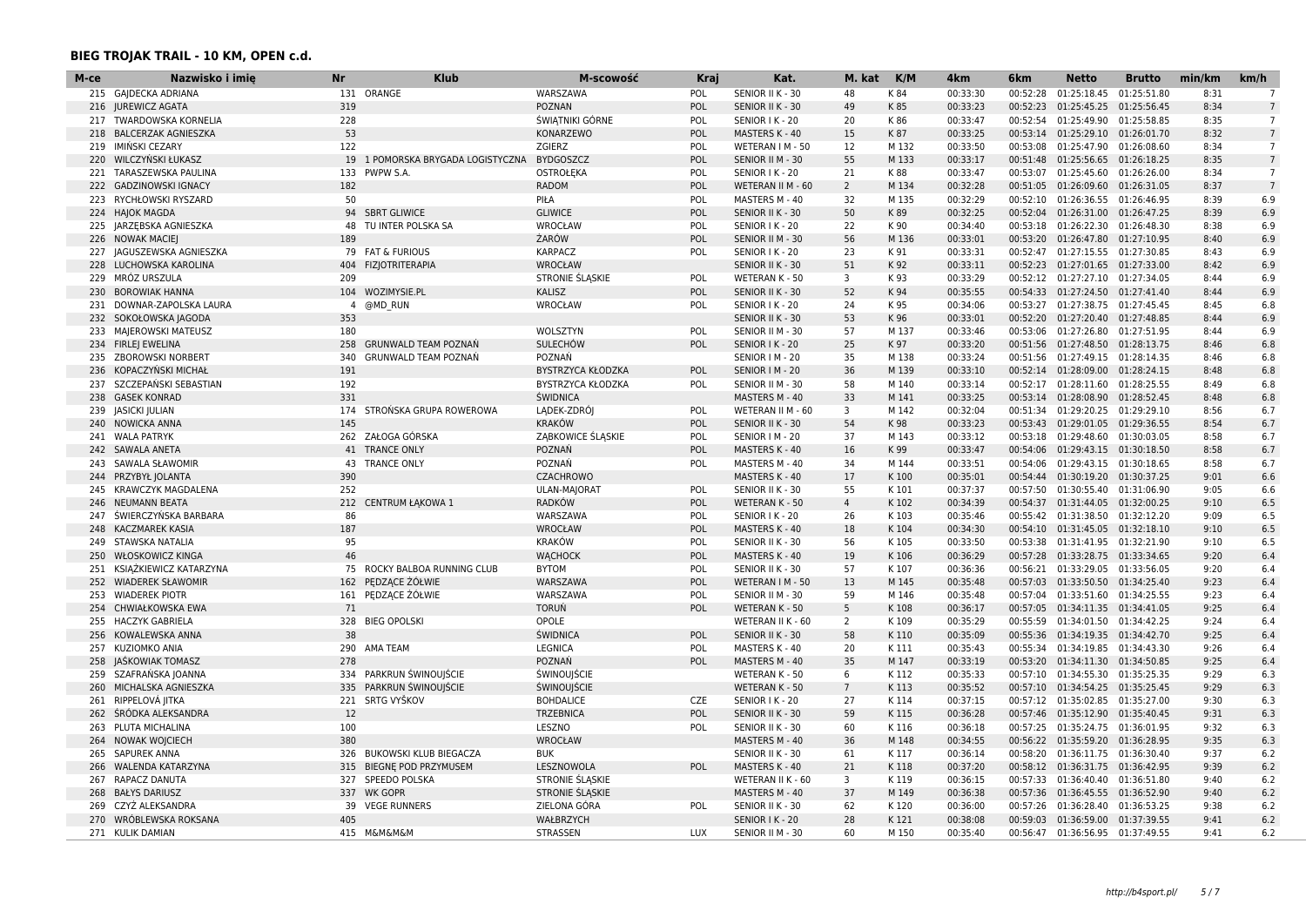| 215 GAIDECKA ADRIANA<br>131 ORANGE<br>WARSZAWA<br>POL<br>SENIOR II K - 30<br>48<br>K 84<br>00:33:30<br>00:52:28<br>01:25:18.45<br>01:25:51.80<br>8:31<br>$7\overline{ }$<br>00:33:23<br>01:25:45.25 01:25:56.45<br><b>JUREWICZ AGATA</b><br>319<br><b>POZNAN</b><br><b>POL</b><br>SENIOR II K - 30<br>49<br>K85<br>00:52:23<br>8:34<br>7<br>216<br><b>TWARDOWSKA KORNELIA</b><br>228<br>ŚWIĄTNIKI GÓRNE<br>POL<br>20<br>00:33:47<br>00:52:54<br>01:25:49.90<br>01:25:58.85<br>$\overline{7}$<br>SENIOR I K - 20<br>K86<br>8:35<br>217<br>53<br><b>BALCERZAK AGNIESZKA</b><br>KONARZEWO<br>POL<br>MASTERS K - 40<br>15<br>K 87<br>00:33:25<br>00:53:14 01:25:29.10 01:26:01.70<br>8:32<br>$\overline{7}$<br>218<br>IMIŃSKI CEZARY<br>122<br>ZGIERZ<br>POL<br>12<br>00:33:50<br>00:53:08<br>$7^{\circ}$<br>WETERAN I M - 50<br>M 132<br>01:25:47.90 01:26:08.60<br>8:34<br>219<br>POL<br>55<br>M 133<br>00:33:17<br>00:51:48 01:25:56.65 01:26:18.25<br>$7\overline{ }$<br>220<br><b>WILCZYNSKI ŁUKASZ</b><br>19 1 POMORSKA BRYGADA LOGISTYCZNA<br><b>BYDGOSZCZ</b><br>SENIOR II M - 30<br>8:35<br><b>OSTROŁEKA</b><br>K 88<br>00:33:47<br>00:53:07<br>TARASZEWSKA PAULINA<br>133<br>PWPW S.A.<br>POL<br>SENIOR I K - 20<br>21<br>01:25:45.60<br>01:26:26.00<br>8:34<br>$\overline{7}$<br>221<br><b>RADOM</b><br>$\overline{2}$<br>222<br><b>GADZINOWSKI IGNACY</b><br>182<br>POL<br>WETERAN II M - 60<br>M 134<br>00:32:28<br>00:51:05<br>01:26:09.60<br>01:26:31.05<br>8:37<br>7<br>RYCHŁOWSKI RYSZARD<br>50<br>32<br>M 135<br>00:32:29<br>00:52:10 01:26:36.55 01:26:46.95<br>6.9<br>223<br>PIŁA<br>POL<br>MASTERS M - 40<br>8:39<br><b>HAJOK MAGDA</b><br>94<br><b>SBRT GLIWICE</b><br><b>GLIWICE</b><br>POL<br>SENIOR II K - 30<br>50<br>K89<br>00:32:25<br>00:52:04<br>01:26:31.00 01:26:47.25<br>8:39<br>6.9<br>224<br>JARZĘBSKA AGNIESZKA<br>TU INTER POLSKA SA<br>WROCŁAW<br>POL<br>22<br>K 90<br>00:34:40<br>00:53:18 01:26:22.30 01:26:48.30<br>8:38<br>6.9<br>225<br>48<br>SENIOR I K - 20<br>ŻARÓW<br>POL<br>00:33:01<br>00:53:20<br>6.9<br><b>NOWAK MACIEI</b><br>189<br>SENIOR II M - 30<br>56<br>M 136<br>01:26:47.80 01:27:10.95<br>8:40<br>226<br>79 FAT & FURIOUS<br>6.9<br>JAGUSZEWSKA AGNIESZKA<br><b>KARPACZ</b><br>POL<br>23<br>K 91<br>00:33:31<br>00:52:47<br>01:27:15.55 01:27:30.85<br>8:43<br>227<br>SENIOR I K - 20<br><b>WROCŁAW</b><br>00:33:11<br>6.9<br>LUCHOWSKA KAROLINA<br>404<br><b>FIZJOTRITERAPIA</b><br>51<br>K 92<br>00:52:23<br>01:27:01.65<br>01:27:33.00<br>8:42<br>228<br>SENIOR II K - 30<br>00:33:29<br>6.9<br>229<br>MRÓZ URSZULA<br>209<br>STRONIE ŚLĄSKIE<br>POL<br><b>WETERAN K - 50</b><br>3<br>K 93<br>00:52:12 01:27:27.10 01:27:34.05<br>8:44<br>6.9<br><b>BOROWIAK HANNA</b><br>104 WOZIMYSIE.PL<br><b>KALISZ</b><br>POL<br>SENIOR II K - 30<br>52<br>K 94<br>00:35:55<br>00:54:33 01:27:24.50 01:27:41.40<br>8:44<br>230<br>DOWNAR-ZAPOLSKA LAURA<br>@MD RUN<br><b>WROCŁAW</b><br>POL<br>24<br>00:34:06<br>00:53:27 01:27:38.75 01:27:45.45<br>8:45<br>6.8<br>231<br>SENIOR I K - 20<br>K 95<br>-4<br>53<br>00:33:01<br>6.9<br>SOKOŁOWSKA JAGODA<br>353<br>SENIOR II K - 30<br>K 96<br>00:52:20 01:27:20.40 01:27:48.85<br>8:44<br>232<br>00:33:46<br>MAJEROWSKI MATEUSZ<br>180<br>WOLSZTYN<br>POL<br>SENIOR II M - 30<br>57<br>M 137<br>00:53:06<br>01:27:26.80 01:27:51.95<br>8:44<br>6.9<br>233<br><b>FIRLEJ EWELINA</b><br><b>GRUNWALD TEAM POZNAŃ</b><br><b>SULECHÓW</b><br>POL<br>25<br>K 97<br>00:33:20<br>8:46<br>6.8<br>234<br>258<br>SENIOR I K - 20<br>00:51:56 01:27:48.50 01:28:13.75<br>POZNAŃ<br>00:33:24<br>6.8<br>ZBOROWSKI NORBERT<br>340<br>GRUNWALD TEAM POZNAŃ<br>SENIOR   M - 20<br>35<br>M 138<br>00:51:56<br>01:27:49.15 01:28:14.35<br>8:46<br>235<br>36<br>M 139<br>00:52:14 01:28:09.00 01:28:24.15<br>8:48<br>6.8<br>236<br>KOPACZYŃSKI MICHAŁ<br>191<br>BYSTRZYCA KŁODZKA<br>POL<br>SENIOR   M - 20<br>00:33:10<br>192<br>00:33:14<br>6.8<br>237<br>SZCZEPANSKI SEBASTIAN<br>BYSTRZYCA KŁODZKA<br>POL<br>SENIOR II M - 30<br>58<br>M 140<br>00:52:17 01:28:11.60 01:28:25.55<br>8:49<br>238<br><b>GASEK KONRAD</b><br>331<br><b>ŚWIDNICA</b><br>MASTERS M - 40<br>33<br>M 141<br>00:33:25<br>00:53:14  01:28:08.90  01:28:52.45<br>8:48<br>6.8<br><b>JASICKI JULIAN</b><br>174<br>STROŃSKA GRUPA ROWEROWA<br>LADEK-ZDRÓJ<br>POL<br>WETERAN II M - 60<br>3<br>M 142<br>00:32:04<br>00:51:34<br>01:29:20.25 01:29:29.10<br>8:56<br>6.7<br>239<br>145<br><b>KRAKÓW</b><br>POL<br>54<br>K 98<br>00:33:23<br>00:53:43 01:29:01.05 01:29:36.55<br>8:54<br>6.7<br>240<br><b>NOWICKA ANNA</b><br>SENIOR II K - 30<br><b>WALA PATRYK</b><br>262 ZAŁOGA GÓRSKA<br>ZABKOWICE ŚLĄSKIE<br>POL<br>37<br>00:33:12<br>00:53:18 01:29:48.60 01:30:03.05<br>8:58<br>241<br>SENIOR   M - 20<br>M 143<br>6.7<br>00:33:47<br><b>SAWALA ANETA</b><br>41<br><b>TRANCE ONLY</b><br>POZNAŃ<br>POL<br>K 99<br>00:54:06 01:29:43.15 01:30:18.50<br>8:58<br>6.7<br>242<br>MASTERS K - 40<br>16<br><b>TRANCE ONLY</b><br>POZNAŃ<br>POL<br>34<br>M 144<br>00:33:51<br>00:54:06<br>8:58<br>6.7<br>243<br>SAWALA SŁAWOMIR<br>43<br>MASTERS M - 40<br>01:29:43.15 01:30:18.65<br>390<br><b>CZACHROWO</b><br>MASTERS K - 40<br>17<br>K 100<br>00:35:01<br>9:01<br>6.6<br>244<br>PRZYBYŁ JOLANTA<br>00:54:44 01:30:19.20 01:30:37.25<br><b>KRAWCZYK MAGDALENA</b><br>252<br>ULAN-MAJORAT<br>POL<br>SENIOR II K - 30<br>55<br>K101<br>00:37:37<br>00:57:50 01:30:55.40 01:31:06.90<br>9:05<br>6.6<br>245<br>212<br><b>RADKÓW</b><br>POL<br>K102<br>00:34:39<br>9:10<br>6.5<br>246<br>NEUMANN BEATA<br><b>CENTRUM ŁAKOWA 1</b><br><b>WETERAN K - 50</b><br>$\overline{4}$<br>00:54:37<br>01:31:44.05 01:32:00.25<br>ŚWIERCZYŃSKA BARBARA<br>86<br>00:35:46<br>6.5<br>247<br>WARSZAWA<br>POL<br>SENIOR I K - 20<br>26<br>K103<br>00:55:42 01:31:38.50 01:32:12.20<br>9:09<br>187<br>6.5<br><b>KACZMAREK KASIA</b><br><b>WROCŁAW</b><br>POL<br>MASTERS K - 40<br>18<br>K104<br>00:34:30<br>00:54:10 01:31:45.05 01:32:18.10<br>9:10<br>248<br>95<br><b>KRAKÓW</b><br>00:33:50<br>STAWSKA NATALIA<br>POL<br>56<br>K105<br>00:53:38<br>01:31:41.95<br>01:32:21.90<br>9:10<br>6.5<br>SENIOR II K - 30<br>249<br>46<br><b>WACHOCK</b><br>POL<br>19<br>K106<br>00:36:29<br>9:20<br>6.4<br>250<br><b>WŁOSKOWICZ KINGA</b><br>MASTERS K - 40<br>00:57:28 01:33:28.75 01:33:34.65<br>6.4<br>KSIAŻKIEWICZ KATARZYNA<br>75<br>ROCKY BALBOA RUNNING CLUB<br><b>BYTOM</b><br>POL<br>57<br>K 107<br>00:36:36<br>00:56:21<br>01:33:29.05 01:33:56.05<br>9:20<br>251<br>SENIOR II K - 30<br>PEDZACE ŻÓŁWIE<br>252<br><b>WIADEREK SŁAWOMIR</b><br>162<br>WARSZAWA<br><b>POL</b><br>WETERAN I M - 50<br>13<br>M 145<br>00:35:48<br>00:57:03<br>01:33:50.50 01:34:25.40<br>9:23<br>6.4<br>253<br><b>WIADEREK PIOTR</b><br>161<br>PEDZĄCE ŻÓŁWIE<br>WARSZAWA<br>POL<br>SENIOR II M - 30<br>59<br>M 146<br>00:35:48<br>00:57:04<br>01:33:51.60<br>01:34:25.55<br>9:23<br>6.4<br>CHWIAŁKOWSKA EWA<br>71<br><b>TORUŃ</b><br>POL<br>WETERAN K - 50<br>5<br>K108<br>00:36:17<br>00:57:05<br>01:34:11.35 01:34:41.05<br>9:25<br>6.4<br>254<br><b>HACZYK GABRIELA</b><br>328<br><b>BIEG OPOLSKI</b><br>OPOLE<br>WETERAN II K - 60<br>$\overline{2}$<br>K109<br>00:35:29<br>00:55:59  01:34:01.50  01:34:42.25<br>9:24<br>6.4<br>255<br>38<br>KOWALEWSKA ANNA<br><b>ŚWIDNICA</b><br>POL<br>SENIOR II K - 30<br>58<br>K110<br>00:35:09<br>00:55:36<br>01:34:19.35 01:34:42.70<br>9:25<br>6.4<br>256<br>KUZIOMKO ANIA<br>290<br><b>LEGNICA</b><br>POL<br>K111<br>00:35:43<br>00:55:34 01:34:19.85<br>9:26<br>6.4<br>257<br>AMA TEAM<br>MASTERS K - 40<br>20<br>01:34:43.30<br>JAŚKOWIAK TOMASZ<br>278<br>POZNAŃ<br>POL<br>M 147<br>00:33:19<br>00:53:20<br>9:25<br>6.4<br>258<br>MASTERS M - 40<br>35<br>01:34:11.30 01:34:50.85<br>PARKRUN ŚWINOUJŚCIE<br>ŚWINOUJŚCIE<br>6<br>9:29<br>6.3<br>259<br>SZAFRAŃSKA JOANNA<br>334<br>WETERAN K - 50<br>K112<br>00:35:33<br>00:57:10 01:34:55.30 01:35:25.35<br>MICHALSKA AGNIESZKA<br>PARKRUN ŚWINOUJŚCIE<br>ŚWINOUJŚCIE<br>$7\overline{ }$<br>K113<br>00:35:52<br>9:29<br>6.3<br>260<br>335<br><b>WETERAN K - 50</b><br>00:57:10 01:34:54.25<br>01:35:25.45<br>RIPPELOVÁ JITKA<br>221 SRTG VYŠKOV<br><b>BOHDALICE</b><br><b>CZE</b><br>SENIOR I K - 20<br>27<br>K114<br>00:37:15<br>00:57:12 01:35:02.85 01:35:27.00<br>9:30<br>6.3<br>261<br>ŚRÓDKA ALEKSANDRA<br>12<br>59<br>K115<br>9:31<br>6.3<br>262<br><b>TRZEBNICA</b><br><b>POL</b><br>SENIOR II K - 30<br>00:36:28<br>00:57:46 01:35:12.90 01:35:40.45<br>PLUTA MICHALINA<br>100<br>LESZNO<br>POL<br>SENIOR II K - 30<br>60<br>K116<br>00:36:18<br>00:57:25<br>01:35:24.75 01:36:01.95<br>9:32<br>6.3<br>263<br><b>NOWAK WOJCIECH</b><br>380<br><b>WROCŁAW</b><br>MASTERS M - 40<br>36<br>M 148<br>00:34:55<br>00:56:22 01:35:59.20 01:36:28.95<br>9:35<br>6.3<br>264<br><b>SAPUREK ANNA</b><br><b>BUKOWSKI KLUB BIEGACZA</b><br>61<br>K117<br>00:36:14<br>00:58:20 01:36:11.75 01:36:30.40<br>9:37<br>6.2<br>265<br>326<br><b>BUK</b><br>SENIOR II K - 30<br>WALENDA KATARZYNA<br><b>BIEGNE POD PRZYMUSEM</b><br>LESZNOWOLA<br>MASTERS K - 40<br>21<br>K118<br>00:37:20<br>00:58:12 01:36:31.75 01:36:42.95<br>9:39<br>6.2<br>266<br>315<br><b>POL</b><br>SPEEDO POLSKA<br>STRONIE SLASKIE<br>K119<br>00:36:15<br>00:57:33<br>6.2<br>267<br>RAPACZ DANUTA<br>327<br>WETERAN II K - 60<br>3<br>01:36:40.40<br>01:36:51.80<br>9:40<br>268<br><b>BAŁYS DARIUSZ</b><br>337<br><b>WK GOPR</b><br><b>STRONIE SLASKIE</b><br>MASTERS M - 40<br>37<br>M 149<br>00:36:38<br>00:57:36<br>01:36:45.55 01:36:52.90<br>9:40<br>6.2<br>CZYŻ ALEKSANDRA<br>39 VEGE RUNNERS<br>ZIELONA GÓRA<br>SENIOR II K - 30<br>62<br>K120<br>00:36:00<br>00:57:26 01:36:28.40 01:36:53.25<br>9:38<br>6.2<br>269<br>POL<br>WRÓBLEWSKA ROKSANA<br>405<br>WAŁBRZYCH<br>28<br>K121<br>00:38:08<br>9:41<br>6.2<br>270<br>SENIOR I K - 20<br>00:59:03  01:36:59.00  01:37:39.55<br>271 KULIK DAMIAN<br>415 M&M&M&M<br>STRASSEN<br>LUX<br>SENIOR II M - 30<br>60<br>M 150<br>00:35:40<br>00:56:47 01:36:56.95 01:37:49.55<br>9:41<br>6.2 | М-се | Nazwisko i imię | Nr | <b>Klub</b> | M-scowość | Kraj | Kat. | M. kat | K/M | 4 <sub>km</sub> | 6 <sub>km</sub> | <b>Netto</b> | <b>Brutto</b> | min/km | km/h |
|------------------------------------------------------------------------------------------------------------------------------------------------------------------------------------------------------------------------------------------------------------------------------------------------------------------------------------------------------------------------------------------------------------------------------------------------------------------------------------------------------------------------------------------------------------------------------------------------------------------------------------------------------------------------------------------------------------------------------------------------------------------------------------------------------------------------------------------------------------------------------------------------------------------------------------------------------------------------------------------------------------------------------------------------------------------------------------------------------------------------------------------------------------------------------------------------------------------------------------------------------------------------------------------------------------------------------------------------------------------------------------------------------------------------------------------------------------------------------------------------------------------------------------------------------------------------------------------------------------------------------------------------------------------------------------------------------------------------------------------------------------------------------------------------------------------------------------------------------------------------------------------------------------------------------------------------------------------------------------------------------------------------------------------------------------------------------------------------------------------------------------------------------------------------------------------------------------------------------------------------------------------------------------------------------------------------------------------------------------------------------------------------------------------------------------------------------------------------------------------------------------------------------------------------------------------------------------------------------------------------------------------------------------------------------------------------------------------------------------------------------------------------------------------------------------------------------------------------------------------------------------------------------------------------------------------------------------------------------------------------------------------------------------------------------------------------------------------------------------------------------------------------------------------------------------------------------------------------------------------------------------------------------------------------------------------------------------------------------------------------------------------------------------------------------------------------------------------------------------------------------------------------------------------------------------------------------------------------------------------------------------------------------------------------------------------------------------------------------------------------------------------------------------------------------------------------------------------------------------------------------------------------------------------------------------------------------------------------------------------------------------------------------------------------------------------------------------------------------------------------------------------------------------------------------------------------------------------------------------------------------------------------------------------------------------------------------------------------------------------------------------------------------------------------------------------------------------------------------------------------------------------------------------------------------------------------------------------------------------------------------------------------------------------------------------------------------------------------------------------------------------------------------------------------------------------------------------------------------------------------------------------------------------------------------------------------------------------------------------------------------------------------------------------------------------------------------------------------------------------------------------------------------------------------------------------------------------------------------------------------------------------------------------------------------------------------------------------------------------------------------------------------------------------------------------------------------------------------------------------------------------------------------------------------------------------------------------------------------------------------------------------------------------------------------------------------------------------------------------------------------------------------------------------------------------------------------------------------------------------------------------------------------------------------------------------------------------------------------------------------------------------------------------------------------------------------------------------------------------------------------------------------------------------------------------------------------------------------------------------------------------------------------------------------------------------------------------------------------------------------------------------------------------------------------------------------------------------------------------------------------------------------------------------------------------------------------------------------------------------------------------------------------------------------------------------------------------------------------------------------------------------------------------------------------------------------------------------------------------------------------------------------------------------------------------------------------------------------------------------------------------------------------------------------------------------------------------------------------------------------------------------------------------------------------------------------------------------------------------------------------------------------------------------------------------------------------------------------------------------------------------------------------------------------------------------------------------------------------------------------------------------------------------------------------------------------------------------------------------------------------------------------------------------------------------------------------------------------------------------------------------------------------------------------------------------------------------------------------------------------------------------------------------------------------------------------------------------------------------------------------------------------------------------------------------------------------------------------------------------------------------------------------------------------------------------------------------------------------------------------------------------------------------------------------------------------------------------------------------------------------------------------------------------------------------------------------------------------------------------------------------------------------------------------------------------------------------------------------------------------------------------------------------------------------------------------------------------------------------------------------------------------------------------------------------------------------------------------------------------------------------------------------------------------------------------------------------------------------------------------------------------------------------------------------------------------------------------------------------------------------------------------------------------------------------------------------------------------------------------------------------------------------------------------------------------------------------------------------------------------------------------------------------------------------------------------------------------------------------------------------------------------------------------------------------------------------------------------------------------------------------------------------------------------------------------------------------------------------------------------------------------------------------------------------------------------------------------------------------------------------------------------------------------------------------------------------------------------------------------------------------------------------|------|-----------------|----|-------------|-----------|------|------|--------|-----|-----------------|-----------------|--------------|---------------|--------|------|
|                                                                                                                                                                                                                                                                                                                                                                                                                                                                                                                                                                                                                                                                                                                                                                                                                                                                                                                                                                                                                                                                                                                                                                                                                                                                                                                                                                                                                                                                                                                                                                                                                                                                                                                                                                                                                                                                                                                                                                                                                                                                                                                                                                                                                                                                                                                                                                                                                                                                                                                                                                                                                                                                                                                                                                                                                                                                                                                                                                                                                                                                                                                                                                                                                                                                                                                                                                                                                                                                                                                                                                                                                                                                                                                                                                                                                                                                                                                                                                                                                                                                                                                                                                                                                                                                                                                                                                                                                                                                                                                                                                                                                                                                                                                                                                                                                                                                                                                                                                                                                                                                                                                                                                                                                                                                                                                                                                                                                                                                                                                                                                                                                                                                                                                                                                                                                                                                                                                                                                                                                                                                                                                                                                                                                                                                                                                                                                                                                                                                                                                                                                                                                                                                                                                                                                                                                                                                                                                                                                                                                                                                                                                                                                                                                                                                                                                                                                                                                                                                                                                                                                                                                                                                                                                                                                                                                                                                                                                                                                                                                                                                                                                                                                                                                                                                                                                                                                                                                                                                                                                                                                                                                                                                                                                                                                                                                                                                                                                                                                                                                                                                                                                                                                                                                                                                                                                                                                                                                                                                                                                                                                                                                                                                                                                                                                                                                                                                                                                                                                                                                              |      |                 |    |             |           |      |      |        |     |                 |                 |              |               |        |      |
|                                                                                                                                                                                                                                                                                                                                                                                                                                                                                                                                                                                                                                                                                                                                                                                                                                                                                                                                                                                                                                                                                                                                                                                                                                                                                                                                                                                                                                                                                                                                                                                                                                                                                                                                                                                                                                                                                                                                                                                                                                                                                                                                                                                                                                                                                                                                                                                                                                                                                                                                                                                                                                                                                                                                                                                                                                                                                                                                                                                                                                                                                                                                                                                                                                                                                                                                                                                                                                                                                                                                                                                                                                                                                                                                                                                                                                                                                                                                                                                                                                                                                                                                                                                                                                                                                                                                                                                                                                                                                                                                                                                                                                                                                                                                                                                                                                                                                                                                                                                                                                                                                                                                                                                                                                                                                                                                                                                                                                                                                                                                                                                                                                                                                                                                                                                                                                                                                                                                                                                                                                                                                                                                                                                                                                                                                                                                                                                                                                                                                                                                                                                                                                                                                                                                                                                                                                                                                                                                                                                                                                                                                                                                                                                                                                                                                                                                                                                                                                                                                                                                                                                                                                                                                                                                                                                                                                                                                                                                                                                                                                                                                                                                                                                                                                                                                                                                                                                                                                                                                                                                                                                                                                                                                                                                                                                                                                                                                                                                                                                                                                                                                                                                                                                                                                                                                                                                                                                                                                                                                                                                                                                                                                                                                                                                                                                                                                                                                                                                                                                                                              |      |                 |    |             |           |      |      |        |     |                 |                 |              |               |        |      |
|                                                                                                                                                                                                                                                                                                                                                                                                                                                                                                                                                                                                                                                                                                                                                                                                                                                                                                                                                                                                                                                                                                                                                                                                                                                                                                                                                                                                                                                                                                                                                                                                                                                                                                                                                                                                                                                                                                                                                                                                                                                                                                                                                                                                                                                                                                                                                                                                                                                                                                                                                                                                                                                                                                                                                                                                                                                                                                                                                                                                                                                                                                                                                                                                                                                                                                                                                                                                                                                                                                                                                                                                                                                                                                                                                                                                                                                                                                                                                                                                                                                                                                                                                                                                                                                                                                                                                                                                                                                                                                                                                                                                                                                                                                                                                                                                                                                                                                                                                                                                                                                                                                                                                                                                                                                                                                                                                                                                                                                                                                                                                                                                                                                                                                                                                                                                                                                                                                                                                                                                                                                                                                                                                                                                                                                                                                                                                                                                                                                                                                                                                                                                                                                                                                                                                                                                                                                                                                                                                                                                                                                                                                                                                                                                                                                                                                                                                                                                                                                                                                                                                                                                                                                                                                                                                                                                                                                                                                                                                                                                                                                                                                                                                                                                                                                                                                                                                                                                                                                                                                                                                                                                                                                                                                                                                                                                                                                                                                                                                                                                                                                                                                                                                                                                                                                                                                                                                                                                                                                                                                                                                                                                                                                                                                                                                                                                                                                                                                                                                                                                                              |      |                 |    |             |           |      |      |        |     |                 |                 |              |               |        |      |
|                                                                                                                                                                                                                                                                                                                                                                                                                                                                                                                                                                                                                                                                                                                                                                                                                                                                                                                                                                                                                                                                                                                                                                                                                                                                                                                                                                                                                                                                                                                                                                                                                                                                                                                                                                                                                                                                                                                                                                                                                                                                                                                                                                                                                                                                                                                                                                                                                                                                                                                                                                                                                                                                                                                                                                                                                                                                                                                                                                                                                                                                                                                                                                                                                                                                                                                                                                                                                                                                                                                                                                                                                                                                                                                                                                                                                                                                                                                                                                                                                                                                                                                                                                                                                                                                                                                                                                                                                                                                                                                                                                                                                                                                                                                                                                                                                                                                                                                                                                                                                                                                                                                                                                                                                                                                                                                                                                                                                                                                                                                                                                                                                                                                                                                                                                                                                                                                                                                                                                                                                                                                                                                                                                                                                                                                                                                                                                                                                                                                                                                                                                                                                                                                                                                                                                                                                                                                                                                                                                                                                                                                                                                                                                                                                                                                                                                                                                                                                                                                                                                                                                                                                                                                                                                                                                                                                                                                                                                                                                                                                                                                                                                                                                                                                                                                                                                                                                                                                                                                                                                                                                                                                                                                                                                                                                                                                                                                                                                                                                                                                                                                                                                                                                                                                                                                                                                                                                                                                                                                                                                                                                                                                                                                                                                                                                                                                                                                                                                                                                                                                              |      |                 |    |             |           |      |      |        |     |                 |                 |              |               |        |      |
|                                                                                                                                                                                                                                                                                                                                                                                                                                                                                                                                                                                                                                                                                                                                                                                                                                                                                                                                                                                                                                                                                                                                                                                                                                                                                                                                                                                                                                                                                                                                                                                                                                                                                                                                                                                                                                                                                                                                                                                                                                                                                                                                                                                                                                                                                                                                                                                                                                                                                                                                                                                                                                                                                                                                                                                                                                                                                                                                                                                                                                                                                                                                                                                                                                                                                                                                                                                                                                                                                                                                                                                                                                                                                                                                                                                                                                                                                                                                                                                                                                                                                                                                                                                                                                                                                                                                                                                                                                                                                                                                                                                                                                                                                                                                                                                                                                                                                                                                                                                                                                                                                                                                                                                                                                                                                                                                                                                                                                                                                                                                                                                                                                                                                                                                                                                                                                                                                                                                                                                                                                                                                                                                                                                                                                                                                                                                                                                                                                                                                                                                                                                                                                                                                                                                                                                                                                                                                                                                                                                                                                                                                                                                                                                                                                                                                                                                                                                                                                                                                                                                                                                                                                                                                                                                                                                                                                                                                                                                                                                                                                                                                                                                                                                                                                                                                                                                                                                                                                                                                                                                                                                                                                                                                                                                                                                                                                                                                                                                                                                                                                                                                                                                                                                                                                                                                                                                                                                                                                                                                                                                                                                                                                                                                                                                                                                                                                                                                                                                                                                                                              |      |                 |    |             |           |      |      |        |     |                 |                 |              |               |        |      |
|                                                                                                                                                                                                                                                                                                                                                                                                                                                                                                                                                                                                                                                                                                                                                                                                                                                                                                                                                                                                                                                                                                                                                                                                                                                                                                                                                                                                                                                                                                                                                                                                                                                                                                                                                                                                                                                                                                                                                                                                                                                                                                                                                                                                                                                                                                                                                                                                                                                                                                                                                                                                                                                                                                                                                                                                                                                                                                                                                                                                                                                                                                                                                                                                                                                                                                                                                                                                                                                                                                                                                                                                                                                                                                                                                                                                                                                                                                                                                                                                                                                                                                                                                                                                                                                                                                                                                                                                                                                                                                                                                                                                                                                                                                                                                                                                                                                                                                                                                                                                                                                                                                                                                                                                                                                                                                                                                                                                                                                                                                                                                                                                                                                                                                                                                                                                                                                                                                                                                                                                                                                                                                                                                                                                                                                                                                                                                                                                                                                                                                                                                                                                                                                                                                                                                                                                                                                                                                                                                                                                                                                                                                                                                                                                                                                                                                                                                                                                                                                                                                                                                                                                                                                                                                                                                                                                                                                                                                                                                                                                                                                                                                                                                                                                                                                                                                                                                                                                                                                                                                                                                                                                                                                                                                                                                                                                                                                                                                                                                                                                                                                                                                                                                                                                                                                                                                                                                                                                                                                                                                                                                                                                                                                                                                                                                                                                                                                                                                                                                                                                                              |      |                 |    |             |           |      |      |        |     |                 |                 |              |               |        |      |
|                                                                                                                                                                                                                                                                                                                                                                                                                                                                                                                                                                                                                                                                                                                                                                                                                                                                                                                                                                                                                                                                                                                                                                                                                                                                                                                                                                                                                                                                                                                                                                                                                                                                                                                                                                                                                                                                                                                                                                                                                                                                                                                                                                                                                                                                                                                                                                                                                                                                                                                                                                                                                                                                                                                                                                                                                                                                                                                                                                                                                                                                                                                                                                                                                                                                                                                                                                                                                                                                                                                                                                                                                                                                                                                                                                                                                                                                                                                                                                                                                                                                                                                                                                                                                                                                                                                                                                                                                                                                                                                                                                                                                                                                                                                                                                                                                                                                                                                                                                                                                                                                                                                                                                                                                                                                                                                                                                                                                                                                                                                                                                                                                                                                                                                                                                                                                                                                                                                                                                                                                                                                                                                                                                                                                                                                                                                                                                                                                                                                                                                                                                                                                                                                                                                                                                                                                                                                                                                                                                                                                                                                                                                                                                                                                                                                                                                                                                                                                                                                                                                                                                                                                                                                                                                                                                                                                                                                                                                                                                                                                                                                                                                                                                                                                                                                                                                                                                                                                                                                                                                                                                                                                                                                                                                                                                                                                                                                                                                                                                                                                                                                                                                                                                                                                                                                                                                                                                                                                                                                                                                                                                                                                                                                                                                                                                                                                                                                                                                                                                                                                              |      |                 |    |             |           |      |      |        |     |                 |                 |              |               |        |      |
|                                                                                                                                                                                                                                                                                                                                                                                                                                                                                                                                                                                                                                                                                                                                                                                                                                                                                                                                                                                                                                                                                                                                                                                                                                                                                                                                                                                                                                                                                                                                                                                                                                                                                                                                                                                                                                                                                                                                                                                                                                                                                                                                                                                                                                                                                                                                                                                                                                                                                                                                                                                                                                                                                                                                                                                                                                                                                                                                                                                                                                                                                                                                                                                                                                                                                                                                                                                                                                                                                                                                                                                                                                                                                                                                                                                                                                                                                                                                                                                                                                                                                                                                                                                                                                                                                                                                                                                                                                                                                                                                                                                                                                                                                                                                                                                                                                                                                                                                                                                                                                                                                                                                                                                                                                                                                                                                                                                                                                                                                                                                                                                                                                                                                                                                                                                                                                                                                                                                                                                                                                                                                                                                                                                                                                                                                                                                                                                                                                                                                                                                                                                                                                                                                                                                                                                                                                                                                                                                                                                                                                                                                                                                                                                                                                                                                                                                                                                                                                                                                                                                                                                                                                                                                                                                                                                                                                                                                                                                                                                                                                                                                                                                                                                                                                                                                                                                                                                                                                                                                                                                                                                                                                                                                                                                                                                                                                                                                                                                                                                                                                                                                                                                                                                                                                                                                                                                                                                                                                                                                                                                                                                                                                                                                                                                                                                                                                                                                                                                                                                                                              |      |                 |    |             |           |      |      |        |     |                 |                 |              |               |        |      |
|                                                                                                                                                                                                                                                                                                                                                                                                                                                                                                                                                                                                                                                                                                                                                                                                                                                                                                                                                                                                                                                                                                                                                                                                                                                                                                                                                                                                                                                                                                                                                                                                                                                                                                                                                                                                                                                                                                                                                                                                                                                                                                                                                                                                                                                                                                                                                                                                                                                                                                                                                                                                                                                                                                                                                                                                                                                                                                                                                                                                                                                                                                                                                                                                                                                                                                                                                                                                                                                                                                                                                                                                                                                                                                                                                                                                                                                                                                                                                                                                                                                                                                                                                                                                                                                                                                                                                                                                                                                                                                                                                                                                                                                                                                                                                                                                                                                                                                                                                                                                                                                                                                                                                                                                                                                                                                                                                                                                                                                                                                                                                                                                                                                                                                                                                                                                                                                                                                                                                                                                                                                                                                                                                                                                                                                                                                                                                                                                                                                                                                                                                                                                                                                                                                                                                                                                                                                                                                                                                                                                                                                                                                                                                                                                                                                                                                                                                                                                                                                                                                                                                                                                                                                                                                                                                                                                                                                                                                                                                                                                                                                                                                                                                                                                                                                                                                                                                                                                                                                                                                                                                                                                                                                                                                                                                                                                                                                                                                                                                                                                                                                                                                                                                                                                                                                                                                                                                                                                                                                                                                                                                                                                                                                                                                                                                                                                                                                                                                                                                                                                                              |      |                 |    |             |           |      |      |        |     |                 |                 |              |               |        |      |
|                                                                                                                                                                                                                                                                                                                                                                                                                                                                                                                                                                                                                                                                                                                                                                                                                                                                                                                                                                                                                                                                                                                                                                                                                                                                                                                                                                                                                                                                                                                                                                                                                                                                                                                                                                                                                                                                                                                                                                                                                                                                                                                                                                                                                                                                                                                                                                                                                                                                                                                                                                                                                                                                                                                                                                                                                                                                                                                                                                                                                                                                                                                                                                                                                                                                                                                                                                                                                                                                                                                                                                                                                                                                                                                                                                                                                                                                                                                                                                                                                                                                                                                                                                                                                                                                                                                                                                                                                                                                                                                                                                                                                                                                                                                                                                                                                                                                                                                                                                                                                                                                                                                                                                                                                                                                                                                                                                                                                                                                                                                                                                                                                                                                                                                                                                                                                                                                                                                                                                                                                                                                                                                                                                                                                                                                                                                                                                                                                                                                                                                                                                                                                                                                                                                                                                                                                                                                                                                                                                                                                                                                                                                                                                                                                                                                                                                                                                                                                                                                                                                                                                                                                                                                                                                                                                                                                                                                                                                                                                                                                                                                                                                                                                                                                                                                                                                                                                                                                                                                                                                                                                                                                                                                                                                                                                                                                                                                                                                                                                                                                                                                                                                                                                                                                                                                                                                                                                                                                                                                                                                                                                                                                                                                                                                                                                                                                                                                                                                                                                                                                              |      |                 |    |             |           |      |      |        |     |                 |                 |              |               |        |      |
|                                                                                                                                                                                                                                                                                                                                                                                                                                                                                                                                                                                                                                                                                                                                                                                                                                                                                                                                                                                                                                                                                                                                                                                                                                                                                                                                                                                                                                                                                                                                                                                                                                                                                                                                                                                                                                                                                                                                                                                                                                                                                                                                                                                                                                                                                                                                                                                                                                                                                                                                                                                                                                                                                                                                                                                                                                                                                                                                                                                                                                                                                                                                                                                                                                                                                                                                                                                                                                                                                                                                                                                                                                                                                                                                                                                                                                                                                                                                                                                                                                                                                                                                                                                                                                                                                                                                                                                                                                                                                                                                                                                                                                                                                                                                                                                                                                                                                                                                                                                                                                                                                                                                                                                                                                                                                                                                                                                                                                                                                                                                                                                                                                                                                                                                                                                                                                                                                                                                                                                                                                                                                                                                                                                                                                                                                                                                                                                                                                                                                                                                                                                                                                                                                                                                                                                                                                                                                                                                                                                                                                                                                                                                                                                                                                                                                                                                                                                                                                                                                                                                                                                                                                                                                                                                                                                                                                                                                                                                                                                                                                                                                                                                                                                                                                                                                                                                                                                                                                                                                                                                                                                                                                                                                                                                                                                                                                                                                                                                                                                                                                                                                                                                                                                                                                                                                                                                                                                                                                                                                                                                                                                                                                                                                                                                                                                                                                                                                                                                                                                                                              |      |                 |    |             |           |      |      |        |     |                 |                 |              |               |        |      |
|                                                                                                                                                                                                                                                                                                                                                                                                                                                                                                                                                                                                                                                                                                                                                                                                                                                                                                                                                                                                                                                                                                                                                                                                                                                                                                                                                                                                                                                                                                                                                                                                                                                                                                                                                                                                                                                                                                                                                                                                                                                                                                                                                                                                                                                                                                                                                                                                                                                                                                                                                                                                                                                                                                                                                                                                                                                                                                                                                                                                                                                                                                                                                                                                                                                                                                                                                                                                                                                                                                                                                                                                                                                                                                                                                                                                                                                                                                                                                                                                                                                                                                                                                                                                                                                                                                                                                                                                                                                                                                                                                                                                                                                                                                                                                                                                                                                                                                                                                                                                                                                                                                                                                                                                                                                                                                                                                                                                                                                                                                                                                                                                                                                                                                                                                                                                                                                                                                                                                                                                                                                                                                                                                                                                                                                                                                                                                                                                                                                                                                                                                                                                                                                                                                                                                                                                                                                                                                                                                                                                                                                                                                                                                                                                                                                                                                                                                                                                                                                                                                                                                                                                                                                                                                                                                                                                                                                                                                                                                                                                                                                                                                                                                                                                                                                                                                                                                                                                                                                                                                                                                                                                                                                                                                                                                                                                                                                                                                                                                                                                                                                                                                                                                                                                                                                                                                                                                                                                                                                                                                                                                                                                                                                                                                                                                                                                                                                                                                                                                                                                                              |      |                 |    |             |           |      |      |        |     |                 |                 |              |               |        |      |
|                                                                                                                                                                                                                                                                                                                                                                                                                                                                                                                                                                                                                                                                                                                                                                                                                                                                                                                                                                                                                                                                                                                                                                                                                                                                                                                                                                                                                                                                                                                                                                                                                                                                                                                                                                                                                                                                                                                                                                                                                                                                                                                                                                                                                                                                                                                                                                                                                                                                                                                                                                                                                                                                                                                                                                                                                                                                                                                                                                                                                                                                                                                                                                                                                                                                                                                                                                                                                                                                                                                                                                                                                                                                                                                                                                                                                                                                                                                                                                                                                                                                                                                                                                                                                                                                                                                                                                                                                                                                                                                                                                                                                                                                                                                                                                                                                                                                                                                                                                                                                                                                                                                                                                                                                                                                                                                                                                                                                                                                                                                                                                                                                                                                                                                                                                                                                                                                                                                                                                                                                                                                                                                                                                                                                                                                                                                                                                                                                                                                                                                                                                                                                                                                                                                                                                                                                                                                                                                                                                                                                                                                                                                                                                                                                                                                                                                                                                                                                                                                                                                                                                                                                                                                                                                                                                                                                                                                                                                                                                                                                                                                                                                                                                                                                                                                                                                                                                                                                                                                                                                                                                                                                                                                                                                                                                                                                                                                                                                                                                                                                                                                                                                                                                                                                                                                                                                                                                                                                                                                                                                                                                                                                                                                                                                                                                                                                                                                                                                                                                                                                              |      |                 |    |             |           |      |      |        |     |                 |                 |              |               |        |      |
|                                                                                                                                                                                                                                                                                                                                                                                                                                                                                                                                                                                                                                                                                                                                                                                                                                                                                                                                                                                                                                                                                                                                                                                                                                                                                                                                                                                                                                                                                                                                                                                                                                                                                                                                                                                                                                                                                                                                                                                                                                                                                                                                                                                                                                                                                                                                                                                                                                                                                                                                                                                                                                                                                                                                                                                                                                                                                                                                                                                                                                                                                                                                                                                                                                                                                                                                                                                                                                                                                                                                                                                                                                                                                                                                                                                                                                                                                                                                                                                                                                                                                                                                                                                                                                                                                                                                                                                                                                                                                                                                                                                                                                                                                                                                                                                                                                                                                                                                                                                                                                                                                                                                                                                                                                                                                                                                                                                                                                                                                                                                                                                                                                                                                                                                                                                                                                                                                                                                                                                                                                                                                                                                                                                                                                                                                                                                                                                                                                                                                                                                                                                                                                                                                                                                                                                                                                                                                                                                                                                                                                                                                                                                                                                                                                                                                                                                                                                                                                                                                                                                                                                                                                                                                                                                                                                                                                                                                                                                                                                                                                                                                                                                                                                                                                                                                                                                                                                                                                                                                                                                                                                                                                                                                                                                                                                                                                                                                                                                                                                                                                                                                                                                                                                                                                                                                                                                                                                                                                                                                                                                                                                                                                                                                                                                                                                                                                                                                                                                                                                                                              |      |                 |    |             |           |      |      |        |     |                 |                 |              |               |        |      |
|                                                                                                                                                                                                                                                                                                                                                                                                                                                                                                                                                                                                                                                                                                                                                                                                                                                                                                                                                                                                                                                                                                                                                                                                                                                                                                                                                                                                                                                                                                                                                                                                                                                                                                                                                                                                                                                                                                                                                                                                                                                                                                                                                                                                                                                                                                                                                                                                                                                                                                                                                                                                                                                                                                                                                                                                                                                                                                                                                                                                                                                                                                                                                                                                                                                                                                                                                                                                                                                                                                                                                                                                                                                                                                                                                                                                                                                                                                                                                                                                                                                                                                                                                                                                                                                                                                                                                                                                                                                                                                                                                                                                                                                                                                                                                                                                                                                                                                                                                                                                                                                                                                                                                                                                                                                                                                                                                                                                                                                                                                                                                                                                                                                                                                                                                                                                                                                                                                                                                                                                                                                                                                                                                                                                                                                                                                                                                                                                                                                                                                                                                                                                                                                                                                                                                                                                                                                                                                                                                                                                                                                                                                                                                                                                                                                                                                                                                                                                                                                                                                                                                                                                                                                                                                                                                                                                                                                                                                                                                                                                                                                                                                                                                                                                                                                                                                                                                                                                                                                                                                                                                                                                                                                                                                                                                                                                                                                                                                                                                                                                                                                                                                                                                                                                                                                                                                                                                                                                                                                                                                                                                                                                                                                                                                                                                                                                                                                                                                                                                                                                                              |      |                 |    |             |           |      |      |        |     |                 |                 |              |               |        |      |
|                                                                                                                                                                                                                                                                                                                                                                                                                                                                                                                                                                                                                                                                                                                                                                                                                                                                                                                                                                                                                                                                                                                                                                                                                                                                                                                                                                                                                                                                                                                                                                                                                                                                                                                                                                                                                                                                                                                                                                                                                                                                                                                                                                                                                                                                                                                                                                                                                                                                                                                                                                                                                                                                                                                                                                                                                                                                                                                                                                                                                                                                                                                                                                                                                                                                                                                                                                                                                                                                                                                                                                                                                                                                                                                                                                                                                                                                                                                                                                                                                                                                                                                                                                                                                                                                                                                                                                                                                                                                                                                                                                                                                                                                                                                                                                                                                                                                                                                                                                                                                                                                                                                                                                                                                                                                                                                                                                                                                                                                                                                                                                                                                                                                                                                                                                                                                                                                                                                                                                                                                                                                                                                                                                                                                                                                                                                                                                                                                                                                                                                                                                                                                                                                                                                                                                                                                                                                                                                                                                                                                                                                                                                                                                                                                                                                                                                                                                                                                                                                                                                                                                                                                                                                                                                                                                                                                                                                                                                                                                                                                                                                                                                                                                                                                                                                                                                                                                                                                                                                                                                                                                                                                                                                                                                                                                                                                                                                                                                                                                                                                                                                                                                                                                                                                                                                                                                                                                                                                                                                                                                                                                                                                                                                                                                                                                                                                                                                                                                                                                                                                              |      |                 |    |             |           |      |      |        |     |                 |                 |              |               |        |      |
|                                                                                                                                                                                                                                                                                                                                                                                                                                                                                                                                                                                                                                                                                                                                                                                                                                                                                                                                                                                                                                                                                                                                                                                                                                                                                                                                                                                                                                                                                                                                                                                                                                                                                                                                                                                                                                                                                                                                                                                                                                                                                                                                                                                                                                                                                                                                                                                                                                                                                                                                                                                                                                                                                                                                                                                                                                                                                                                                                                                                                                                                                                                                                                                                                                                                                                                                                                                                                                                                                                                                                                                                                                                                                                                                                                                                                                                                                                                                                                                                                                                                                                                                                                                                                                                                                                                                                                                                                                                                                                                                                                                                                                                                                                                                                                                                                                                                                                                                                                                                                                                                                                                                                                                                                                                                                                                                                                                                                                                                                                                                                                                                                                                                                                                                                                                                                                                                                                                                                                                                                                                                                                                                                                                                                                                                                                                                                                                                                                                                                                                                                                                                                                                                                                                                                                                                                                                                                                                                                                                                                                                                                                                                                                                                                                                                                                                                                                                                                                                                                                                                                                                                                                                                                                                                                                                                                                                                                                                                                                                                                                                                                                                                                                                                                                                                                                                                                                                                                                                                                                                                                                                                                                                                                                                                                                                                                                                                                                                                                                                                                                                                                                                                                                                                                                                                                                                                                                                                                                                                                                                                                                                                                                                                                                                                                                                                                                                                                                                                                                                                                              |      |                 |    |             |           |      |      |        |     |                 |                 |              |               |        |      |
|                                                                                                                                                                                                                                                                                                                                                                                                                                                                                                                                                                                                                                                                                                                                                                                                                                                                                                                                                                                                                                                                                                                                                                                                                                                                                                                                                                                                                                                                                                                                                                                                                                                                                                                                                                                                                                                                                                                                                                                                                                                                                                                                                                                                                                                                                                                                                                                                                                                                                                                                                                                                                                                                                                                                                                                                                                                                                                                                                                                                                                                                                                                                                                                                                                                                                                                                                                                                                                                                                                                                                                                                                                                                                                                                                                                                                                                                                                                                                                                                                                                                                                                                                                                                                                                                                                                                                                                                                                                                                                                                                                                                                                                                                                                                                                                                                                                                                                                                                                                                                                                                                                                                                                                                                                                                                                                                                                                                                                                                                                                                                                                                                                                                                                                                                                                                                                                                                                                                                                                                                                                                                                                                                                                                                                                                                                                                                                                                                                                                                                                                                                                                                                                                                                                                                                                                                                                                                                                                                                                                                                                                                                                                                                                                                                                                                                                                                                                                                                                                                                                                                                                                                                                                                                                                                                                                                                                                                                                                                                                                                                                                                                                                                                                                                                                                                                                                                                                                                                                                                                                                                                                                                                                                                                                                                                                                                                                                                                                                                                                                                                                                                                                                                                                                                                                                                                                                                                                                                                                                                                                                                                                                                                                                                                                                                                                                                                                                                                                                                                                                                              |      |                 |    |             |           |      |      |        |     |                 |                 |              |               |        |      |
|                                                                                                                                                                                                                                                                                                                                                                                                                                                                                                                                                                                                                                                                                                                                                                                                                                                                                                                                                                                                                                                                                                                                                                                                                                                                                                                                                                                                                                                                                                                                                                                                                                                                                                                                                                                                                                                                                                                                                                                                                                                                                                                                                                                                                                                                                                                                                                                                                                                                                                                                                                                                                                                                                                                                                                                                                                                                                                                                                                                                                                                                                                                                                                                                                                                                                                                                                                                                                                                                                                                                                                                                                                                                                                                                                                                                                                                                                                                                                                                                                                                                                                                                                                                                                                                                                                                                                                                                                                                                                                                                                                                                                                                                                                                                                                                                                                                                                                                                                                                                                                                                                                                                                                                                                                                                                                                                                                                                                                                                                                                                                                                                                                                                                                                                                                                                                                                                                                                                                                                                                                                                                                                                                                                                                                                                                                                                                                                                                                                                                                                                                                                                                                                                                                                                                                                                                                                                                                                                                                                                                                                                                                                                                                                                                                                                                                                                                                                                                                                                                                                                                                                                                                                                                                                                                                                                                                                                                                                                                                                                                                                                                                                                                                                                                                                                                                                                                                                                                                                                                                                                                                                                                                                                                                                                                                                                                                                                                                                                                                                                                                                                                                                                                                                                                                                                                                                                                                                                                                                                                                                                                                                                                                                                                                                                                                                                                                                                                                                                                                                                                              |      |                 |    |             |           |      |      |        |     |                 |                 |              |               |        |      |
|                                                                                                                                                                                                                                                                                                                                                                                                                                                                                                                                                                                                                                                                                                                                                                                                                                                                                                                                                                                                                                                                                                                                                                                                                                                                                                                                                                                                                                                                                                                                                                                                                                                                                                                                                                                                                                                                                                                                                                                                                                                                                                                                                                                                                                                                                                                                                                                                                                                                                                                                                                                                                                                                                                                                                                                                                                                                                                                                                                                                                                                                                                                                                                                                                                                                                                                                                                                                                                                                                                                                                                                                                                                                                                                                                                                                                                                                                                                                                                                                                                                                                                                                                                                                                                                                                                                                                                                                                                                                                                                                                                                                                                                                                                                                                                                                                                                                                                                                                                                                                                                                                                                                                                                                                                                                                                                                                                                                                                                                                                                                                                                                                                                                                                                                                                                                                                                                                                                                                                                                                                                                                                                                                                                                                                                                                                                                                                                                                                                                                                                                                                                                                                                                                                                                                                                                                                                                                                                                                                                                                                                                                                                                                                                                                                                                                                                                                                                                                                                                                                                                                                                                                                                                                                                                                                                                                                                                                                                                                                                                                                                                                                                                                                                                                                                                                                                                                                                                                                                                                                                                                                                                                                                                                                                                                                                                                                                                                                                                                                                                                                                                                                                                                                                                                                                                                                                                                                                                                                                                                                                                                                                                                                                                                                                                                                                                                                                                                                                                                                                                                              |      |                 |    |             |           |      |      |        |     |                 |                 |              |               |        |      |
|                                                                                                                                                                                                                                                                                                                                                                                                                                                                                                                                                                                                                                                                                                                                                                                                                                                                                                                                                                                                                                                                                                                                                                                                                                                                                                                                                                                                                                                                                                                                                                                                                                                                                                                                                                                                                                                                                                                                                                                                                                                                                                                                                                                                                                                                                                                                                                                                                                                                                                                                                                                                                                                                                                                                                                                                                                                                                                                                                                                                                                                                                                                                                                                                                                                                                                                                                                                                                                                                                                                                                                                                                                                                                                                                                                                                                                                                                                                                                                                                                                                                                                                                                                                                                                                                                                                                                                                                                                                                                                                                                                                                                                                                                                                                                                                                                                                                                                                                                                                                                                                                                                                                                                                                                                                                                                                                                                                                                                                                                                                                                                                                                                                                                                                                                                                                                                                                                                                                                                                                                                                                                                                                                                                                                                                                                                                                                                                                                                                                                                                                                                                                                                                                                                                                                                                                                                                                                                                                                                                                                                                                                                                                                                                                                                                                                                                                                                                                                                                                                                                                                                                                                                                                                                                                                                                                                                                                                                                                                                                                                                                                                                                                                                                                                                                                                                                                                                                                                                                                                                                                                                                                                                                                                                                                                                                                                                                                                                                                                                                                                                                                                                                                                                                                                                                                                                                                                                                                                                                                                                                                                                                                                                                                                                                                                                                                                                                                                                                                                                                                                              |      |                 |    |             |           |      |      |        |     |                 |                 |              |               |        |      |
|                                                                                                                                                                                                                                                                                                                                                                                                                                                                                                                                                                                                                                                                                                                                                                                                                                                                                                                                                                                                                                                                                                                                                                                                                                                                                                                                                                                                                                                                                                                                                                                                                                                                                                                                                                                                                                                                                                                                                                                                                                                                                                                                                                                                                                                                                                                                                                                                                                                                                                                                                                                                                                                                                                                                                                                                                                                                                                                                                                                                                                                                                                                                                                                                                                                                                                                                                                                                                                                                                                                                                                                                                                                                                                                                                                                                                                                                                                                                                                                                                                                                                                                                                                                                                                                                                                                                                                                                                                                                                                                                                                                                                                                                                                                                                                                                                                                                                                                                                                                                                                                                                                                                                                                                                                                                                                                                                                                                                                                                                                                                                                                                                                                                                                                                                                                                                                                                                                                                                                                                                                                                                                                                                                                                                                                                                                                                                                                                                                                                                                                                                                                                                                                                                                                                                                                                                                                                                                                                                                                                                                                                                                                                                                                                                                                                                                                                                                                                                                                                                                                                                                                                                                                                                                                                                                                                                                                                                                                                                                                                                                                                                                                                                                                                                                                                                                                                                                                                                                                                                                                                                                                                                                                                                                                                                                                                                                                                                                                                                                                                                                                                                                                                                                                                                                                                                                                                                                                                                                                                                                                                                                                                                                                                                                                                                                                                                                                                                                                                                                                                                              |      |                 |    |             |           |      |      |        |     |                 |                 |              |               |        |      |
|                                                                                                                                                                                                                                                                                                                                                                                                                                                                                                                                                                                                                                                                                                                                                                                                                                                                                                                                                                                                                                                                                                                                                                                                                                                                                                                                                                                                                                                                                                                                                                                                                                                                                                                                                                                                                                                                                                                                                                                                                                                                                                                                                                                                                                                                                                                                                                                                                                                                                                                                                                                                                                                                                                                                                                                                                                                                                                                                                                                                                                                                                                                                                                                                                                                                                                                                                                                                                                                                                                                                                                                                                                                                                                                                                                                                                                                                                                                                                                                                                                                                                                                                                                                                                                                                                                                                                                                                                                                                                                                                                                                                                                                                                                                                                                                                                                                                                                                                                                                                                                                                                                                                                                                                                                                                                                                                                                                                                                                                                                                                                                                                                                                                                                                                                                                                                                                                                                                                                                                                                                                                                                                                                                                                                                                                                                                                                                                                                                                                                                                                                                                                                                                                                                                                                                                                                                                                                                                                                                                                                                                                                                                                                                                                                                                                                                                                                                                                                                                                                                                                                                                                                                                                                                                                                                                                                                                                                                                                                                                                                                                                                                                                                                                                                                                                                                                                                                                                                                                                                                                                                                                                                                                                                                                                                                                                                                                                                                                                                                                                                                                                                                                                                                                                                                                                                                                                                                                                                                                                                                                                                                                                                                                                                                                                                                                                                                                                                                                                                                                                                              |      |                 |    |             |           |      |      |        |     |                 |                 |              |               |        |      |
|                                                                                                                                                                                                                                                                                                                                                                                                                                                                                                                                                                                                                                                                                                                                                                                                                                                                                                                                                                                                                                                                                                                                                                                                                                                                                                                                                                                                                                                                                                                                                                                                                                                                                                                                                                                                                                                                                                                                                                                                                                                                                                                                                                                                                                                                                                                                                                                                                                                                                                                                                                                                                                                                                                                                                                                                                                                                                                                                                                                                                                                                                                                                                                                                                                                                                                                                                                                                                                                                                                                                                                                                                                                                                                                                                                                                                                                                                                                                                                                                                                                                                                                                                                                                                                                                                                                                                                                                                                                                                                                                                                                                                                                                                                                                                                                                                                                                                                                                                                                                                                                                                                                                                                                                                                                                                                                                                                                                                                                                                                                                                                                                                                                                                                                                                                                                                                                                                                                                                                                                                                                                                                                                                                                                                                                                                                                                                                                                                                                                                                                                                                                                                                                                                                                                                                                                                                                                                                                                                                                                                                                                                                                                                                                                                                                                                                                                                                                                                                                                                                                                                                                                                                                                                                                                                                                                                                                                                                                                                                                                                                                                                                                                                                                                                                                                                                                                                                                                                                                                                                                                                                                                                                                                                                                                                                                                                                                                                                                                                                                                                                                                                                                                                                                                                                                                                                                                                                                                                                                                                                                                                                                                                                                                                                                                                                                                                                                                                                                                                                                                                              |      |                 |    |             |           |      |      |        |     |                 |                 |              |               |        |      |
|                                                                                                                                                                                                                                                                                                                                                                                                                                                                                                                                                                                                                                                                                                                                                                                                                                                                                                                                                                                                                                                                                                                                                                                                                                                                                                                                                                                                                                                                                                                                                                                                                                                                                                                                                                                                                                                                                                                                                                                                                                                                                                                                                                                                                                                                                                                                                                                                                                                                                                                                                                                                                                                                                                                                                                                                                                                                                                                                                                                                                                                                                                                                                                                                                                                                                                                                                                                                                                                                                                                                                                                                                                                                                                                                                                                                                                                                                                                                                                                                                                                                                                                                                                                                                                                                                                                                                                                                                                                                                                                                                                                                                                                                                                                                                                                                                                                                                                                                                                                                                                                                                                                                                                                                                                                                                                                                                                                                                                                                                                                                                                                                                                                                                                                                                                                                                                                                                                                                                                                                                                                                                                                                                                                                                                                                                                                                                                                                                                                                                                                                                                                                                                                                                                                                                                                                                                                                                                                                                                                                                                                                                                                                                                                                                                                                                                                                                                                                                                                                                                                                                                                                                                                                                                                                                                                                                                                                                                                                                                                                                                                                                                                                                                                                                                                                                                                                                                                                                                                                                                                                                                                                                                                                                                                                                                                                                                                                                                                                                                                                                                                                                                                                                                                                                                                                                                                                                                                                                                                                                                                                                                                                                                                                                                                                                                                                                                                                                                                                                                                                                              |      |                 |    |             |           |      |      |        |     |                 |                 |              |               |        |      |
|                                                                                                                                                                                                                                                                                                                                                                                                                                                                                                                                                                                                                                                                                                                                                                                                                                                                                                                                                                                                                                                                                                                                                                                                                                                                                                                                                                                                                                                                                                                                                                                                                                                                                                                                                                                                                                                                                                                                                                                                                                                                                                                                                                                                                                                                                                                                                                                                                                                                                                                                                                                                                                                                                                                                                                                                                                                                                                                                                                                                                                                                                                                                                                                                                                                                                                                                                                                                                                                                                                                                                                                                                                                                                                                                                                                                                                                                                                                                                                                                                                                                                                                                                                                                                                                                                                                                                                                                                                                                                                                                                                                                                                                                                                                                                                                                                                                                                                                                                                                                                                                                                                                                                                                                                                                                                                                                                                                                                                                                                                                                                                                                                                                                                                                                                                                                                                                                                                                                                                                                                                                                                                                                                                                                                                                                                                                                                                                                                                                                                                                                                                                                                                                                                                                                                                                                                                                                                                                                                                                                                                                                                                                                                                                                                                                                                                                                                                                                                                                                                                                                                                                                                                                                                                                                                                                                                                                                                                                                                                                                                                                                                                                                                                                                                                                                                                                                                                                                                                                                                                                                                                                                                                                                                                                                                                                                                                                                                                                                                                                                                                                                                                                                                                                                                                                                                                                                                                                                                                                                                                                                                                                                                                                                                                                                                                                                                                                                                                                                                                                                                              |      |                 |    |             |           |      |      |        |     |                 |                 |              |               |        |      |
|                                                                                                                                                                                                                                                                                                                                                                                                                                                                                                                                                                                                                                                                                                                                                                                                                                                                                                                                                                                                                                                                                                                                                                                                                                                                                                                                                                                                                                                                                                                                                                                                                                                                                                                                                                                                                                                                                                                                                                                                                                                                                                                                                                                                                                                                                                                                                                                                                                                                                                                                                                                                                                                                                                                                                                                                                                                                                                                                                                                                                                                                                                                                                                                                                                                                                                                                                                                                                                                                                                                                                                                                                                                                                                                                                                                                                                                                                                                                                                                                                                                                                                                                                                                                                                                                                                                                                                                                                                                                                                                                                                                                                                                                                                                                                                                                                                                                                                                                                                                                                                                                                                                                                                                                                                                                                                                                                                                                                                                                                                                                                                                                                                                                                                                                                                                                                                                                                                                                                                                                                                                                                                                                                                                                                                                                                                                                                                                                                                                                                                                                                                                                                                                                                                                                                                                                                                                                                                                                                                                                                                                                                                                                                                                                                                                                                                                                                                                                                                                                                                                                                                                                                                                                                                                                                                                                                                                                                                                                                                                                                                                                                                                                                                                                                                                                                                                                                                                                                                                                                                                                                                                                                                                                                                                                                                                                                                                                                                                                                                                                                                                                                                                                                                                                                                                                                                                                                                                                                                                                                                                                                                                                                                                                                                                                                                                                                                                                                                                                                                                                                              |      |                 |    |             |           |      |      |        |     |                 |                 |              |               |        |      |
|                                                                                                                                                                                                                                                                                                                                                                                                                                                                                                                                                                                                                                                                                                                                                                                                                                                                                                                                                                                                                                                                                                                                                                                                                                                                                                                                                                                                                                                                                                                                                                                                                                                                                                                                                                                                                                                                                                                                                                                                                                                                                                                                                                                                                                                                                                                                                                                                                                                                                                                                                                                                                                                                                                                                                                                                                                                                                                                                                                                                                                                                                                                                                                                                                                                                                                                                                                                                                                                                                                                                                                                                                                                                                                                                                                                                                                                                                                                                                                                                                                                                                                                                                                                                                                                                                                                                                                                                                                                                                                                                                                                                                                                                                                                                                                                                                                                                                                                                                                                                                                                                                                                                                                                                                                                                                                                                                                                                                                                                                                                                                                                                                                                                                                                                                                                                                                                                                                                                                                                                                                                                                                                                                                                                                                                                                                                                                                                                                                                                                                                                                                                                                                                                                                                                                                                                                                                                                                                                                                                                                                                                                                                                                                                                                                                                                                                                                                                                                                                                                                                                                                                                                                                                                                                                                                                                                                                                                                                                                                                                                                                                                                                                                                                                                                                                                                                                                                                                                                                                                                                                                                                                                                                                                                                                                                                                                                                                                                                                                                                                                                                                                                                                                                                                                                                                                                                                                                                                                                                                                                                                                                                                                                                                                                                                                                                                                                                                                                                                                                                                                              |      |                 |    |             |           |      |      |        |     |                 |                 |              |               |        |      |
|                                                                                                                                                                                                                                                                                                                                                                                                                                                                                                                                                                                                                                                                                                                                                                                                                                                                                                                                                                                                                                                                                                                                                                                                                                                                                                                                                                                                                                                                                                                                                                                                                                                                                                                                                                                                                                                                                                                                                                                                                                                                                                                                                                                                                                                                                                                                                                                                                                                                                                                                                                                                                                                                                                                                                                                                                                                                                                                                                                                                                                                                                                                                                                                                                                                                                                                                                                                                                                                                                                                                                                                                                                                                                                                                                                                                                                                                                                                                                                                                                                                                                                                                                                                                                                                                                                                                                                                                                                                                                                                                                                                                                                                                                                                                                                                                                                                                                                                                                                                                                                                                                                                                                                                                                                                                                                                                                                                                                                                                                                                                                                                                                                                                                                                                                                                                                                                                                                                                                                                                                                                                                                                                                                                                                                                                                                                                                                                                                                                                                                                                                                                                                                                                                                                                                                                                                                                                                                                                                                                                                                                                                                                                                                                                                                                                                                                                                                                                                                                                                                                                                                                                                                                                                                                                                                                                                                                                                                                                                                                                                                                                                                                                                                                                                                                                                                                                                                                                                                                                                                                                                                                                                                                                                                                                                                                                                                                                                                                                                                                                                                                                                                                                                                                                                                                                                                                                                                                                                                                                                                                                                                                                                                                                                                                                                                                                                                                                                                                                                                                                                              |      |                 |    |             |           |      |      |        |     |                 |                 |              |               |        |      |
|                                                                                                                                                                                                                                                                                                                                                                                                                                                                                                                                                                                                                                                                                                                                                                                                                                                                                                                                                                                                                                                                                                                                                                                                                                                                                                                                                                                                                                                                                                                                                                                                                                                                                                                                                                                                                                                                                                                                                                                                                                                                                                                                                                                                                                                                                                                                                                                                                                                                                                                                                                                                                                                                                                                                                                                                                                                                                                                                                                                                                                                                                                                                                                                                                                                                                                                                                                                                                                                                                                                                                                                                                                                                                                                                                                                                                                                                                                                                                                                                                                                                                                                                                                                                                                                                                                                                                                                                                                                                                                                                                                                                                                                                                                                                                                                                                                                                                                                                                                                                                                                                                                                                                                                                                                                                                                                                                                                                                                                                                                                                                                                                                                                                                                                                                                                                                                                                                                                                                                                                                                                                                                                                                                                                                                                                                                                                                                                                                                                                                                                                                                                                                                                                                                                                                                                                                                                                                                                                                                                                                                                                                                                                                                                                                                                                                                                                                                                                                                                                                                                                                                                                                                                                                                                                                                                                                                                                                                                                                                                                                                                                                                                                                                                                                                                                                                                                                                                                                                                                                                                                                                                                                                                                                                                                                                                                                                                                                                                                                                                                                                                                                                                                                                                                                                                                                                                                                                                                                                                                                                                                                                                                                                                                                                                                                                                                                                                                                                                                                                                                                              |      |                 |    |             |           |      |      |        |     |                 |                 |              |               |        |      |
|                                                                                                                                                                                                                                                                                                                                                                                                                                                                                                                                                                                                                                                                                                                                                                                                                                                                                                                                                                                                                                                                                                                                                                                                                                                                                                                                                                                                                                                                                                                                                                                                                                                                                                                                                                                                                                                                                                                                                                                                                                                                                                                                                                                                                                                                                                                                                                                                                                                                                                                                                                                                                                                                                                                                                                                                                                                                                                                                                                                                                                                                                                                                                                                                                                                                                                                                                                                                                                                                                                                                                                                                                                                                                                                                                                                                                                                                                                                                                                                                                                                                                                                                                                                                                                                                                                                                                                                                                                                                                                                                                                                                                                                                                                                                                                                                                                                                                                                                                                                                                                                                                                                                                                                                                                                                                                                                                                                                                                                                                                                                                                                                                                                                                                                                                                                                                                                                                                                                                                                                                                                                                                                                                                                                                                                                                                                                                                                                                                                                                                                                                                                                                                                                                                                                                                                                                                                                                                                                                                                                                                                                                                                                                                                                                                                                                                                                                                                                                                                                                                                                                                                                                                                                                                                                                                                                                                                                                                                                                                                                                                                                                                                                                                                                                                                                                                                                                                                                                                                                                                                                                                                                                                                                                                                                                                                                                                                                                                                                                                                                                                                                                                                                                                                                                                                                                                                                                                                                                                                                                                                                                                                                                                                                                                                                                                                                                                                                                                                                                                                                                              |      |                 |    |             |           |      |      |        |     |                 |                 |              |               |        |      |
|                                                                                                                                                                                                                                                                                                                                                                                                                                                                                                                                                                                                                                                                                                                                                                                                                                                                                                                                                                                                                                                                                                                                                                                                                                                                                                                                                                                                                                                                                                                                                                                                                                                                                                                                                                                                                                                                                                                                                                                                                                                                                                                                                                                                                                                                                                                                                                                                                                                                                                                                                                                                                                                                                                                                                                                                                                                                                                                                                                                                                                                                                                                                                                                                                                                                                                                                                                                                                                                                                                                                                                                                                                                                                                                                                                                                                                                                                                                                                                                                                                                                                                                                                                                                                                                                                                                                                                                                                                                                                                                                                                                                                                                                                                                                                                                                                                                                                                                                                                                                                                                                                                                                                                                                                                                                                                                                                                                                                                                                                                                                                                                                                                                                                                                                                                                                                                                                                                                                                                                                                                                                                                                                                                                                                                                                                                                                                                                                                                                                                                                                                                                                                                                                                                                                                                                                                                                                                                                                                                                                                                                                                                                                                                                                                                                                                                                                                                                                                                                                                                                                                                                                                                                                                                                                                                                                                                                                                                                                                                                                                                                                                                                                                                                                                                                                                                                                                                                                                                                                                                                                                                                                                                                                                                                                                                                                                                                                                                                                                                                                                                                                                                                                                                                                                                                                                                                                                                                                                                                                                                                                                                                                                                                                                                                                                                                                                                                                                                                                                                                                                              |      |                 |    |             |           |      |      |        |     |                 |                 |              |               |        |      |
|                                                                                                                                                                                                                                                                                                                                                                                                                                                                                                                                                                                                                                                                                                                                                                                                                                                                                                                                                                                                                                                                                                                                                                                                                                                                                                                                                                                                                                                                                                                                                                                                                                                                                                                                                                                                                                                                                                                                                                                                                                                                                                                                                                                                                                                                                                                                                                                                                                                                                                                                                                                                                                                                                                                                                                                                                                                                                                                                                                                                                                                                                                                                                                                                                                                                                                                                                                                                                                                                                                                                                                                                                                                                                                                                                                                                                                                                                                                                                                                                                                                                                                                                                                                                                                                                                                                                                                                                                                                                                                                                                                                                                                                                                                                                                                                                                                                                                                                                                                                                                                                                                                                                                                                                                                                                                                                                                                                                                                                                                                                                                                                                                                                                                                                                                                                                                                                                                                                                                                                                                                                                                                                                                                                                                                                                                                                                                                                                                                                                                                                                                                                                                                                                                                                                                                                                                                                                                                                                                                                                                                                                                                                                                                                                                                                                                                                                                                                                                                                                                                                                                                                                                                                                                                                                                                                                                                                                                                                                                                                                                                                                                                                                                                                                                                                                                                                                                                                                                                                                                                                                                                                                                                                                                                                                                                                                                                                                                                                                                                                                                                                                                                                                                                                                                                                                                                                                                                                                                                                                                                                                                                                                                                                                                                                                                                                                                                                                                                                                                                                                                              |      |                 |    |             |           |      |      |        |     |                 |                 |              |               |        |      |
|                                                                                                                                                                                                                                                                                                                                                                                                                                                                                                                                                                                                                                                                                                                                                                                                                                                                                                                                                                                                                                                                                                                                                                                                                                                                                                                                                                                                                                                                                                                                                                                                                                                                                                                                                                                                                                                                                                                                                                                                                                                                                                                                                                                                                                                                                                                                                                                                                                                                                                                                                                                                                                                                                                                                                                                                                                                                                                                                                                                                                                                                                                                                                                                                                                                                                                                                                                                                                                                                                                                                                                                                                                                                                                                                                                                                                                                                                                                                                                                                                                                                                                                                                                                                                                                                                                                                                                                                                                                                                                                                                                                                                                                                                                                                                                                                                                                                                                                                                                                                                                                                                                                                                                                                                                                                                                                                                                                                                                                                                                                                                                                                                                                                                                                                                                                                                                                                                                                                                                                                                                                                                                                                                                                                                                                                                                                                                                                                                                                                                                                                                                                                                                                                                                                                                                                                                                                                                                                                                                                                                                                                                                                                                                                                                                                                                                                                                                                                                                                                                                                                                                                                                                                                                                                                                                                                                                                                                                                                                                                                                                                                                                                                                                                                                                                                                                                                                                                                                                                                                                                                                                                                                                                                                                                                                                                                                                                                                                                                                                                                                                                                                                                                                                                                                                                                                                                                                                                                                                                                                                                                                                                                                                                                                                                                                                                                                                                                                                                                                                                                                              |      |                 |    |             |           |      |      |        |     |                 |                 |              |               |        |      |
|                                                                                                                                                                                                                                                                                                                                                                                                                                                                                                                                                                                                                                                                                                                                                                                                                                                                                                                                                                                                                                                                                                                                                                                                                                                                                                                                                                                                                                                                                                                                                                                                                                                                                                                                                                                                                                                                                                                                                                                                                                                                                                                                                                                                                                                                                                                                                                                                                                                                                                                                                                                                                                                                                                                                                                                                                                                                                                                                                                                                                                                                                                                                                                                                                                                                                                                                                                                                                                                                                                                                                                                                                                                                                                                                                                                                                                                                                                                                                                                                                                                                                                                                                                                                                                                                                                                                                                                                                                                                                                                                                                                                                                                                                                                                                                                                                                                                                                                                                                                                                                                                                                                                                                                                                                                                                                                                                                                                                                                                                                                                                                                                                                                                                                                                                                                                                                                                                                                                                                                                                                                                                                                                                                                                                                                                                                                                                                                                                                                                                                                                                                                                                                                                                                                                                                                                                                                                                                                                                                                                                                                                                                                                                                                                                                                                                                                                                                                                                                                                                                                                                                                                                                                                                                                                                                                                                                                                                                                                                                                                                                                                                                                                                                                                                                                                                                                                                                                                                                                                                                                                                                                                                                                                                                                                                                                                                                                                                                                                                                                                                                                                                                                                                                                                                                                                                                                                                                                                                                                                                                                                                                                                                                                                                                                                                                                                                                                                                                                                                                                                                              |      |                 |    |             |           |      |      |        |     |                 |                 |              |               |        |      |
|                                                                                                                                                                                                                                                                                                                                                                                                                                                                                                                                                                                                                                                                                                                                                                                                                                                                                                                                                                                                                                                                                                                                                                                                                                                                                                                                                                                                                                                                                                                                                                                                                                                                                                                                                                                                                                                                                                                                                                                                                                                                                                                                                                                                                                                                                                                                                                                                                                                                                                                                                                                                                                                                                                                                                                                                                                                                                                                                                                                                                                                                                                                                                                                                                                                                                                                                                                                                                                                                                                                                                                                                                                                                                                                                                                                                                                                                                                                                                                                                                                                                                                                                                                                                                                                                                                                                                                                                                                                                                                                                                                                                                                                                                                                                                                                                                                                                                                                                                                                                                                                                                                                                                                                                                                                                                                                                                                                                                                                                                                                                                                                                                                                                                                                                                                                                                                                                                                                                                                                                                                                                                                                                                                                                                                                                                                                                                                                                                                                                                                                                                                                                                                                                                                                                                                                                                                                                                                                                                                                                                                                                                                                                                                                                                                                                                                                                                                                                                                                                                                                                                                                                                                                                                                                                                                                                                                                                                                                                                                                                                                                                                                                                                                                                                                                                                                                                                                                                                                                                                                                                                                                                                                                                                                                                                                                                                                                                                                                                                                                                                                                                                                                                                                                                                                                                                                                                                                                                                                                                                                                                                                                                                                                                                                                                                                                                                                                                                                                                                                                                                              |      |                 |    |             |           |      |      |        |     |                 |                 |              |               |        |      |
|                                                                                                                                                                                                                                                                                                                                                                                                                                                                                                                                                                                                                                                                                                                                                                                                                                                                                                                                                                                                                                                                                                                                                                                                                                                                                                                                                                                                                                                                                                                                                                                                                                                                                                                                                                                                                                                                                                                                                                                                                                                                                                                                                                                                                                                                                                                                                                                                                                                                                                                                                                                                                                                                                                                                                                                                                                                                                                                                                                                                                                                                                                                                                                                                                                                                                                                                                                                                                                                                                                                                                                                                                                                                                                                                                                                                                                                                                                                                                                                                                                                                                                                                                                                                                                                                                                                                                                                                                                                                                                                                                                                                                                                                                                                                                                                                                                                                                                                                                                                                                                                                                                                                                                                                                                                                                                                                                                                                                                                                                                                                                                                                                                                                                                                                                                                                                                                                                                                                                                                                                                                                                                                                                                                                                                                                                                                                                                                                                                                                                                                                                                                                                                                                                                                                                                                                                                                                                                                                                                                                                                                                                                                                                                                                                                                                                                                                                                                                                                                                                                                                                                                                                                                                                                                                                                                                                                                                                                                                                                                                                                                                                                                                                                                                                                                                                                                                                                                                                                                                                                                                                                                                                                                                                                                                                                                                                                                                                                                                                                                                                                                                                                                                                                                                                                                                                                                                                                                                                                                                                                                                                                                                                                                                                                                                                                                                                                                                                                                                                                                                                              |      |                 |    |             |           |      |      |        |     |                 |                 |              |               |        |      |
|                                                                                                                                                                                                                                                                                                                                                                                                                                                                                                                                                                                                                                                                                                                                                                                                                                                                                                                                                                                                                                                                                                                                                                                                                                                                                                                                                                                                                                                                                                                                                                                                                                                                                                                                                                                                                                                                                                                                                                                                                                                                                                                                                                                                                                                                                                                                                                                                                                                                                                                                                                                                                                                                                                                                                                                                                                                                                                                                                                                                                                                                                                                                                                                                                                                                                                                                                                                                                                                                                                                                                                                                                                                                                                                                                                                                                                                                                                                                                                                                                                                                                                                                                                                                                                                                                                                                                                                                                                                                                                                                                                                                                                                                                                                                                                                                                                                                                                                                                                                                                                                                                                                                                                                                                                                                                                                                                                                                                                                                                                                                                                                                                                                                                                                                                                                                                                                                                                                                                                                                                                                                                                                                                                                                                                                                                                                                                                                                                                                                                                                                                                                                                                                                                                                                                                                                                                                                                                                                                                                                                                                                                                                                                                                                                                                                                                                                                                                                                                                                                                                                                                                                                                                                                                                                                                                                                                                                                                                                                                                                                                                                                                                                                                                                                                                                                                                                                                                                                                                                                                                                                                                                                                                                                                                                                                                                                                                                                                                                                                                                                                                                                                                                                                                                                                                                                                                                                                                                                                                                                                                                                                                                                                                                                                                                                                                                                                                                                                                                                                                                                              |      |                 |    |             |           |      |      |        |     |                 |                 |              |               |        |      |
|                                                                                                                                                                                                                                                                                                                                                                                                                                                                                                                                                                                                                                                                                                                                                                                                                                                                                                                                                                                                                                                                                                                                                                                                                                                                                                                                                                                                                                                                                                                                                                                                                                                                                                                                                                                                                                                                                                                                                                                                                                                                                                                                                                                                                                                                                                                                                                                                                                                                                                                                                                                                                                                                                                                                                                                                                                                                                                                                                                                                                                                                                                                                                                                                                                                                                                                                                                                                                                                                                                                                                                                                                                                                                                                                                                                                                                                                                                                                                                                                                                                                                                                                                                                                                                                                                                                                                                                                                                                                                                                                                                                                                                                                                                                                                                                                                                                                                                                                                                                                                                                                                                                                                                                                                                                                                                                                                                                                                                                                                                                                                                                                                                                                                                                                                                                                                                                                                                                                                                                                                                                                                                                                                                                                                                                                                                                                                                                                                                                                                                                                                                                                                                                                                                                                                                                                                                                                                                                                                                                                                                                                                                                                                                                                                                                                                                                                                                                                                                                                                                                                                                                                                                                                                                                                                                                                                                                                                                                                                                                                                                                                                                                                                                                                                                                                                                                                                                                                                                                                                                                                                                                                                                                                                                                                                                                                                                                                                                                                                                                                                                                                                                                                                                                                                                                                                                                                                                                                                                                                                                                                                                                                                                                                                                                                                                                                                                                                                                                                                                                                                              |      |                 |    |             |           |      |      |        |     |                 |                 |              |               |        |      |
|                                                                                                                                                                                                                                                                                                                                                                                                                                                                                                                                                                                                                                                                                                                                                                                                                                                                                                                                                                                                                                                                                                                                                                                                                                                                                                                                                                                                                                                                                                                                                                                                                                                                                                                                                                                                                                                                                                                                                                                                                                                                                                                                                                                                                                                                                                                                                                                                                                                                                                                                                                                                                                                                                                                                                                                                                                                                                                                                                                                                                                                                                                                                                                                                                                                                                                                                                                                                                                                                                                                                                                                                                                                                                                                                                                                                                                                                                                                                                                                                                                                                                                                                                                                                                                                                                                                                                                                                                                                                                                                                                                                                                                                                                                                                                                                                                                                                                                                                                                                                                                                                                                                                                                                                                                                                                                                                                                                                                                                                                                                                                                                                                                                                                                                                                                                                                                                                                                                                                                                                                                                                                                                                                                                                                                                                                                                                                                                                                                                                                                                                                                                                                                                                                                                                                                                                                                                                                                                                                                                                                                                                                                                                                                                                                                                                                                                                                                                                                                                                                                                                                                                                                                                                                                                                                                                                                                                                                                                                                                                                                                                                                                                                                                                                                                                                                                                                                                                                                                                                                                                                                                                                                                                                                                                                                                                                                                                                                                                                                                                                                                                                                                                                                                                                                                                                                                                                                                                                                                                                                                                                                                                                                                                                                                                                                                                                                                                                                                                                                                                                                              |      |                 |    |             |           |      |      |        |     |                 |                 |              |               |        |      |
|                                                                                                                                                                                                                                                                                                                                                                                                                                                                                                                                                                                                                                                                                                                                                                                                                                                                                                                                                                                                                                                                                                                                                                                                                                                                                                                                                                                                                                                                                                                                                                                                                                                                                                                                                                                                                                                                                                                                                                                                                                                                                                                                                                                                                                                                                                                                                                                                                                                                                                                                                                                                                                                                                                                                                                                                                                                                                                                                                                                                                                                                                                                                                                                                                                                                                                                                                                                                                                                                                                                                                                                                                                                                                                                                                                                                                                                                                                                                                                                                                                                                                                                                                                                                                                                                                                                                                                                                                                                                                                                                                                                                                                                                                                                                                                                                                                                                                                                                                                                                                                                                                                                                                                                                                                                                                                                                                                                                                                                                                                                                                                                                                                                                                                                                                                                                                                                                                                                                                                                                                                                                                                                                                                                                                                                                                                                                                                                                                                                                                                                                                                                                                                                                                                                                                                                                                                                                                                                                                                                                                                                                                                                                                                                                                                                                                                                                                                                                                                                                                                                                                                                                                                                                                                                                                                                                                                                                                                                                                                                                                                                                                                                                                                                                                                                                                                                                                                                                                                                                                                                                                                                                                                                                                                                                                                                                                                                                                                                                                                                                                                                                                                                                                                                                                                                                                                                                                                                                                                                                                                                                                                                                                                                                                                                                                                                                                                                                                                                                                                                                                              |      |                 |    |             |           |      |      |        |     |                 |                 |              |               |        |      |
|                                                                                                                                                                                                                                                                                                                                                                                                                                                                                                                                                                                                                                                                                                                                                                                                                                                                                                                                                                                                                                                                                                                                                                                                                                                                                                                                                                                                                                                                                                                                                                                                                                                                                                                                                                                                                                                                                                                                                                                                                                                                                                                                                                                                                                                                                                                                                                                                                                                                                                                                                                                                                                                                                                                                                                                                                                                                                                                                                                                                                                                                                                                                                                                                                                                                                                                                                                                                                                                                                                                                                                                                                                                                                                                                                                                                                                                                                                                                                                                                                                                                                                                                                                                                                                                                                                                                                                                                                                                                                                                                                                                                                                                                                                                                                                                                                                                                                                                                                                                                                                                                                                                                                                                                                                                                                                                                                                                                                                                                                                                                                                                                                                                                                                                                                                                                                                                                                                                                                                                                                                                                                                                                                                                                                                                                                                                                                                                                                                                                                                                                                                                                                                                                                                                                                                                                                                                                                                                                                                                                                                                                                                                                                                                                                                                                                                                                                                                                                                                                                                                                                                                                                                                                                                                                                                                                                                                                                                                                                                                                                                                                                                                                                                                                                                                                                                                                                                                                                                                                                                                                                                                                                                                                                                                                                                                                                                                                                                                                                                                                                                                                                                                                                                                                                                                                                                                                                                                                                                                                                                                                                                                                                                                                                                                                                                                                                                                                                                                                                                                                                              |      |                 |    |             |           |      |      |        |     |                 |                 |              |               |        |      |
|                                                                                                                                                                                                                                                                                                                                                                                                                                                                                                                                                                                                                                                                                                                                                                                                                                                                                                                                                                                                                                                                                                                                                                                                                                                                                                                                                                                                                                                                                                                                                                                                                                                                                                                                                                                                                                                                                                                                                                                                                                                                                                                                                                                                                                                                                                                                                                                                                                                                                                                                                                                                                                                                                                                                                                                                                                                                                                                                                                                                                                                                                                                                                                                                                                                                                                                                                                                                                                                                                                                                                                                                                                                                                                                                                                                                                                                                                                                                                                                                                                                                                                                                                                                                                                                                                                                                                                                                                                                                                                                                                                                                                                                                                                                                                                                                                                                                                                                                                                                                                                                                                                                                                                                                                                                                                                                                                                                                                                                                                                                                                                                                                                                                                                                                                                                                                                                                                                                                                                                                                                                                                                                                                                                                                                                                                                                                                                                                                                                                                                                                                                                                                                                                                                                                                                                                                                                                                                                                                                                                                                                                                                                                                                                                                                                                                                                                                                                                                                                                                                                                                                                                                                                                                                                                                                                                                                                                                                                                                                                                                                                                                                                                                                                                                                                                                                                                                                                                                                                                                                                                                                                                                                                                                                                                                                                                                                                                                                                                                                                                                                                                                                                                                                                                                                                                                                                                                                                                                                                                                                                                                                                                                                                                                                                                                                                                                                                                                                                                                                                                                              |      |                 |    |             |           |      |      |        |     |                 |                 |              |               |        |      |
|                                                                                                                                                                                                                                                                                                                                                                                                                                                                                                                                                                                                                                                                                                                                                                                                                                                                                                                                                                                                                                                                                                                                                                                                                                                                                                                                                                                                                                                                                                                                                                                                                                                                                                                                                                                                                                                                                                                                                                                                                                                                                                                                                                                                                                                                                                                                                                                                                                                                                                                                                                                                                                                                                                                                                                                                                                                                                                                                                                                                                                                                                                                                                                                                                                                                                                                                                                                                                                                                                                                                                                                                                                                                                                                                                                                                                                                                                                                                                                                                                                                                                                                                                                                                                                                                                                                                                                                                                                                                                                                                                                                                                                                                                                                                                                                                                                                                                                                                                                                                                                                                                                                                                                                                                                                                                                                                                                                                                                                                                                                                                                                                                                                                                                                                                                                                                                                                                                                                                                                                                                                                                                                                                                                                                                                                                                                                                                                                                                                                                                                                                                                                                                                                                                                                                                                                                                                                                                                                                                                                                                                                                                                                                                                                                                                                                                                                                                                                                                                                                                                                                                                                                                                                                                                                                                                                                                                                                                                                                                                                                                                                                                                                                                                                                                                                                                                                                                                                                                                                                                                                                                                                                                                                                                                                                                                                                                                                                                                                                                                                                                                                                                                                                                                                                                                                                                                                                                                                                                                                                                                                                                                                                                                                                                                                                                                                                                                                                                                                                                                                                              |      |                 |    |             |           |      |      |        |     |                 |                 |              |               |        |      |
|                                                                                                                                                                                                                                                                                                                                                                                                                                                                                                                                                                                                                                                                                                                                                                                                                                                                                                                                                                                                                                                                                                                                                                                                                                                                                                                                                                                                                                                                                                                                                                                                                                                                                                                                                                                                                                                                                                                                                                                                                                                                                                                                                                                                                                                                                                                                                                                                                                                                                                                                                                                                                                                                                                                                                                                                                                                                                                                                                                                                                                                                                                                                                                                                                                                                                                                                                                                                                                                                                                                                                                                                                                                                                                                                                                                                                                                                                                                                                                                                                                                                                                                                                                                                                                                                                                                                                                                                                                                                                                                                                                                                                                                                                                                                                                                                                                                                                                                                                                                                                                                                                                                                                                                                                                                                                                                                                                                                                                                                                                                                                                                                                                                                                                                                                                                                                                                                                                                                                                                                                                                                                                                                                                                                                                                                                                                                                                                                                                                                                                                                                                                                                                                                                                                                                                                                                                                                                                                                                                                                                                                                                                                                                                                                                                                                                                                                                                                                                                                                                                                                                                                                                                                                                                                                                                                                                                                                                                                                                                                                                                                                                                                                                                                                                                                                                                                                                                                                                                                                                                                                                                                                                                                                                                                                                                                                                                                                                                                                                                                                                                                                                                                                                                                                                                                                                                                                                                                                                                                                                                                                                                                                                                                                                                                                                                                                                                                                                                                                                                                                                              |      |                 |    |             |           |      |      |        |     |                 |                 |              |               |        |      |
|                                                                                                                                                                                                                                                                                                                                                                                                                                                                                                                                                                                                                                                                                                                                                                                                                                                                                                                                                                                                                                                                                                                                                                                                                                                                                                                                                                                                                                                                                                                                                                                                                                                                                                                                                                                                                                                                                                                                                                                                                                                                                                                                                                                                                                                                                                                                                                                                                                                                                                                                                                                                                                                                                                                                                                                                                                                                                                                                                                                                                                                                                                                                                                                                                                                                                                                                                                                                                                                                                                                                                                                                                                                                                                                                                                                                                                                                                                                                                                                                                                                                                                                                                                                                                                                                                                                                                                                                                                                                                                                                                                                                                                                                                                                                                                                                                                                                                                                                                                                                                                                                                                                                                                                                                                                                                                                                                                                                                                                                                                                                                                                                                                                                                                                                                                                                                                                                                                                                                                                                                                                                                                                                                                                                                                                                                                                                                                                                                                                                                                                                                                                                                                                                                                                                                                                                                                                                                                                                                                                                                                                                                                                                                                                                                                                                                                                                                                                                                                                                                                                                                                                                                                                                                                                                                                                                                                                                                                                                                                                                                                                                                                                                                                                                                                                                                                                                                                                                                                                                                                                                                                                                                                                                                                                                                                                                                                                                                                                                                                                                                                                                                                                                                                                                                                                                                                                                                                                                                                                                                                                                                                                                                                                                                                                                                                                                                                                                                                                                                                                                                              |      |                 |    |             |           |      |      |        |     |                 |                 |              |               |        |      |
|                                                                                                                                                                                                                                                                                                                                                                                                                                                                                                                                                                                                                                                                                                                                                                                                                                                                                                                                                                                                                                                                                                                                                                                                                                                                                                                                                                                                                                                                                                                                                                                                                                                                                                                                                                                                                                                                                                                                                                                                                                                                                                                                                                                                                                                                                                                                                                                                                                                                                                                                                                                                                                                                                                                                                                                                                                                                                                                                                                                                                                                                                                                                                                                                                                                                                                                                                                                                                                                                                                                                                                                                                                                                                                                                                                                                                                                                                                                                                                                                                                                                                                                                                                                                                                                                                                                                                                                                                                                                                                                                                                                                                                                                                                                                                                                                                                                                                                                                                                                                                                                                                                                                                                                                                                                                                                                                                                                                                                                                                                                                                                                                                                                                                                                                                                                                                                                                                                                                                                                                                                                                                                                                                                                                                                                                                                                                                                                                                                                                                                                                                                                                                                                                                                                                                                                                                                                                                                                                                                                                                                                                                                                                                                                                                                                                                                                                                                                                                                                                                                                                                                                                                                                                                                                                                                                                                                                                                                                                                                                                                                                                                                                                                                                                                                                                                                                                                                                                                                                                                                                                                                                                                                                                                                                                                                                                                                                                                                                                                                                                                                                                                                                                                                                                                                                                                                                                                                                                                                                                                                                                                                                                                                                                                                                                                                                                                                                                                                                                                                                                                              |      |                 |    |             |           |      |      |        |     |                 |                 |              |               |        |      |
|                                                                                                                                                                                                                                                                                                                                                                                                                                                                                                                                                                                                                                                                                                                                                                                                                                                                                                                                                                                                                                                                                                                                                                                                                                                                                                                                                                                                                                                                                                                                                                                                                                                                                                                                                                                                                                                                                                                                                                                                                                                                                                                                                                                                                                                                                                                                                                                                                                                                                                                                                                                                                                                                                                                                                                                                                                                                                                                                                                                                                                                                                                                                                                                                                                                                                                                                                                                                                                                                                                                                                                                                                                                                                                                                                                                                                                                                                                                                                                                                                                                                                                                                                                                                                                                                                                                                                                                                                                                                                                                                                                                                                                                                                                                                                                                                                                                                                                                                                                                                                                                                                                                                                                                                                                                                                                                                                                                                                                                                                                                                                                                                                                                                                                                                                                                                                                                                                                                                                                                                                                                                                                                                                                                                                                                                                                                                                                                                                                                                                                                                                                                                                                                                                                                                                                                                                                                                                                                                                                                                                                                                                                                                                                                                                                                                                                                                                                                                                                                                                                                                                                                                                                                                                                                                                                                                                                                                                                                                                                                                                                                                                                                                                                                                                                                                                                                                                                                                                                                                                                                                                                                                                                                                                                                                                                                                                                                                                                                                                                                                                                                                                                                                                                                                                                                                                                                                                                                                                                                                                                                                                                                                                                                                                                                                                                                                                                                                                                                                                                                                                              |      |                 |    |             |           |      |      |        |     |                 |                 |              |               |        |      |
|                                                                                                                                                                                                                                                                                                                                                                                                                                                                                                                                                                                                                                                                                                                                                                                                                                                                                                                                                                                                                                                                                                                                                                                                                                                                                                                                                                                                                                                                                                                                                                                                                                                                                                                                                                                                                                                                                                                                                                                                                                                                                                                                                                                                                                                                                                                                                                                                                                                                                                                                                                                                                                                                                                                                                                                                                                                                                                                                                                                                                                                                                                                                                                                                                                                                                                                                                                                                                                                                                                                                                                                                                                                                                                                                                                                                                                                                                                                                                                                                                                                                                                                                                                                                                                                                                                                                                                                                                                                                                                                                                                                                                                                                                                                                                                                                                                                                                                                                                                                                                                                                                                                                                                                                                                                                                                                                                                                                                                                                                                                                                                                                                                                                                                                                                                                                                                                                                                                                                                                                                                                                                                                                                                                                                                                                                                                                                                                                                                                                                                                                                                                                                                                                                                                                                                                                                                                                                                                                                                                                                                                                                                                                                                                                                                                                                                                                                                                                                                                                                                                                                                                                                                                                                                                                                                                                                                                                                                                                                                                                                                                                                                                                                                                                                                                                                                                                                                                                                                                                                                                                                                                                                                                                                                                                                                                                                                                                                                                                                                                                                                                                                                                                                                                                                                                                                                                                                                                                                                                                                                                                                                                                                                                                                                                                                                                                                                                                                                                                                                                                                              |      |                 |    |             |           |      |      |        |     |                 |                 |              |               |        |      |
|                                                                                                                                                                                                                                                                                                                                                                                                                                                                                                                                                                                                                                                                                                                                                                                                                                                                                                                                                                                                                                                                                                                                                                                                                                                                                                                                                                                                                                                                                                                                                                                                                                                                                                                                                                                                                                                                                                                                                                                                                                                                                                                                                                                                                                                                                                                                                                                                                                                                                                                                                                                                                                                                                                                                                                                                                                                                                                                                                                                                                                                                                                                                                                                                                                                                                                                                                                                                                                                                                                                                                                                                                                                                                                                                                                                                                                                                                                                                                                                                                                                                                                                                                                                                                                                                                                                                                                                                                                                                                                                                                                                                                                                                                                                                                                                                                                                                                                                                                                                                                                                                                                                                                                                                                                                                                                                                                                                                                                                                                                                                                                                                                                                                                                                                                                                                                                                                                                                                                                                                                                                                                                                                                                                                                                                                                                                                                                                                                                                                                                                                                                                                                                                                                                                                                                                                                                                                                                                                                                                                                                                                                                                                                                                                                                                                                                                                                                                                                                                                                                                                                                                                                                                                                                                                                                                                                                                                                                                                                                                                                                                                                                                                                                                                                                                                                                                                                                                                                                                                                                                                                                                                                                                                                                                                                                                                                                                                                                                                                                                                                                                                                                                                                                                                                                                                                                                                                                                                                                                                                                                                                                                                                                                                                                                                                                                                                                                                                                                                                                                                                              |      |                 |    |             |           |      |      |        |     |                 |                 |              |               |        |      |
|                                                                                                                                                                                                                                                                                                                                                                                                                                                                                                                                                                                                                                                                                                                                                                                                                                                                                                                                                                                                                                                                                                                                                                                                                                                                                                                                                                                                                                                                                                                                                                                                                                                                                                                                                                                                                                                                                                                                                                                                                                                                                                                                                                                                                                                                                                                                                                                                                                                                                                                                                                                                                                                                                                                                                                                                                                                                                                                                                                                                                                                                                                                                                                                                                                                                                                                                                                                                                                                                                                                                                                                                                                                                                                                                                                                                                                                                                                                                                                                                                                                                                                                                                                                                                                                                                                                                                                                                                                                                                                                                                                                                                                                                                                                                                                                                                                                                                                                                                                                                                                                                                                                                                                                                                                                                                                                                                                                                                                                                                                                                                                                                                                                                                                                                                                                                                                                                                                                                                                                                                                                                                                                                                                                                                                                                                                                                                                                                                                                                                                                                                                                                                                                                                                                                                                                                                                                                                                                                                                                                                                                                                                                                                                                                                                                                                                                                                                                                                                                                                                                                                                                                                                                                                                                                                                                                                                                                                                                                                                                                                                                                                                                                                                                                                                                                                                                                                                                                                                                                                                                                                                                                                                                                                                                                                                                                                                                                                                                                                                                                                                                                                                                                                                                                                                                                                                                                                                                                                                                                                                                                                                                                                                                                                                                                                                                                                                                                                                                                                                                                                              |      |                 |    |             |           |      |      |        |     |                 |                 |              |               |        |      |
|                                                                                                                                                                                                                                                                                                                                                                                                                                                                                                                                                                                                                                                                                                                                                                                                                                                                                                                                                                                                                                                                                                                                                                                                                                                                                                                                                                                                                                                                                                                                                                                                                                                                                                                                                                                                                                                                                                                                                                                                                                                                                                                                                                                                                                                                                                                                                                                                                                                                                                                                                                                                                                                                                                                                                                                                                                                                                                                                                                                                                                                                                                                                                                                                                                                                                                                                                                                                                                                                                                                                                                                                                                                                                                                                                                                                                                                                                                                                                                                                                                                                                                                                                                                                                                                                                                                                                                                                                                                                                                                                                                                                                                                                                                                                                                                                                                                                                                                                                                                                                                                                                                                                                                                                                                                                                                                                                                                                                                                                                                                                                                                                                                                                                                                                                                                                                                                                                                                                                                                                                                                                                                                                                                                                                                                                                                                                                                                                                                                                                                                                                                                                                                                                                                                                                                                                                                                                                                                                                                                                                                                                                                                                                                                                                                                                                                                                                                                                                                                                                                                                                                                                                                                                                                                                                                                                                                                                                                                                                                                                                                                                                                                                                                                                                                                                                                                                                                                                                                                                                                                                                                                                                                                                                                                                                                                                                                                                                                                                                                                                                                                                                                                                                                                                                                                                                                                                                                                                                                                                                                                                                                                                                                                                                                                                                                                                                                                                                                                                                                                                                              |      |                 |    |             |           |      |      |        |     |                 |                 |              |               |        |      |
|                                                                                                                                                                                                                                                                                                                                                                                                                                                                                                                                                                                                                                                                                                                                                                                                                                                                                                                                                                                                                                                                                                                                                                                                                                                                                                                                                                                                                                                                                                                                                                                                                                                                                                                                                                                                                                                                                                                                                                                                                                                                                                                                                                                                                                                                                                                                                                                                                                                                                                                                                                                                                                                                                                                                                                                                                                                                                                                                                                                                                                                                                                                                                                                                                                                                                                                                                                                                                                                                                                                                                                                                                                                                                                                                                                                                                                                                                                                                                                                                                                                                                                                                                                                                                                                                                                                                                                                                                                                                                                                                                                                                                                                                                                                                                                                                                                                                                                                                                                                                                                                                                                                                                                                                                                                                                                                                                                                                                                                                                                                                                                                                                                                                                                                                                                                                                                                                                                                                                                                                                                                                                                                                                                                                                                                                                                                                                                                                                                                                                                                                                                                                                                                                                                                                                                                                                                                                                                                                                                                                                                                                                                                                                                                                                                                                                                                                                                                                                                                                                                                                                                                                                                                                                                                                                                                                                                                                                                                                                                                                                                                                                                                                                                                                                                                                                                                                                                                                                                                                                                                                                                                                                                                                                                                                                                                                                                                                                                                                                                                                                                                                                                                                                                                                                                                                                                                                                                                                                                                                                                                                                                                                                                                                                                                                                                                                                                                                                                                                                                                                                              |      |                 |    |             |           |      |      |        |     |                 |                 |              |               |        |      |
|                                                                                                                                                                                                                                                                                                                                                                                                                                                                                                                                                                                                                                                                                                                                                                                                                                                                                                                                                                                                                                                                                                                                                                                                                                                                                                                                                                                                                                                                                                                                                                                                                                                                                                                                                                                                                                                                                                                                                                                                                                                                                                                                                                                                                                                                                                                                                                                                                                                                                                                                                                                                                                                                                                                                                                                                                                                                                                                                                                                                                                                                                                                                                                                                                                                                                                                                                                                                                                                                                                                                                                                                                                                                                                                                                                                                                                                                                                                                                                                                                                                                                                                                                                                                                                                                                                                                                                                                                                                                                                                                                                                                                                                                                                                                                                                                                                                                                                                                                                                                                                                                                                                                                                                                                                                                                                                                                                                                                                                                                                                                                                                                                                                                                                                                                                                                                                                                                                                                                                                                                                                                                                                                                                                                                                                                                                                                                                                                                                                                                                                                                                                                                                                                                                                                                                                                                                                                                                                                                                                                                                                                                                                                                                                                                                                                                                                                                                                                                                                                                                                                                                                                                                                                                                                                                                                                                                                                                                                                                                                                                                                                                                                                                                                                                                                                                                                                                                                                                                                                                                                                                                                                                                                                                                                                                                                                                                                                                                                                                                                                                                                                                                                                                                                                                                                                                                                                                                                                                                                                                                                                                                                                                                                                                                                                                                                                                                                                                                                                                                                                                              |      |                 |    |             |           |      |      |        |     |                 |                 |              |               |        |      |
|                                                                                                                                                                                                                                                                                                                                                                                                                                                                                                                                                                                                                                                                                                                                                                                                                                                                                                                                                                                                                                                                                                                                                                                                                                                                                                                                                                                                                                                                                                                                                                                                                                                                                                                                                                                                                                                                                                                                                                                                                                                                                                                                                                                                                                                                                                                                                                                                                                                                                                                                                                                                                                                                                                                                                                                                                                                                                                                                                                                                                                                                                                                                                                                                                                                                                                                                                                                                                                                                                                                                                                                                                                                                                                                                                                                                                                                                                                                                                                                                                                                                                                                                                                                                                                                                                                                                                                                                                                                                                                                                                                                                                                                                                                                                                                                                                                                                                                                                                                                                                                                                                                                                                                                                                                                                                                                                                                                                                                                                                                                                                                                                                                                                                                                                                                                                                                                                                                                                                                                                                                                                                                                                                                                                                                                                                                                                                                                                                                                                                                                                                                                                                                                                                                                                                                                                                                                                                                                                                                                                                                                                                                                                                                                                                                                                                                                                                                                                                                                                                                                                                                                                                                                                                                                                                                                                                                                                                                                                                                                                                                                                                                                                                                                                                                                                                                                                                                                                                                                                                                                                                                                                                                                                                                                                                                                                                                                                                                                                                                                                                                                                                                                                                                                                                                                                                                                                                                                                                                                                                                                                                                                                                                                                                                                                                                                                                                                                                                                                                                                                                              |      |                 |    |             |           |      |      |        |     |                 |                 |              |               |        |      |
|                                                                                                                                                                                                                                                                                                                                                                                                                                                                                                                                                                                                                                                                                                                                                                                                                                                                                                                                                                                                                                                                                                                                                                                                                                                                                                                                                                                                                                                                                                                                                                                                                                                                                                                                                                                                                                                                                                                                                                                                                                                                                                                                                                                                                                                                                                                                                                                                                                                                                                                                                                                                                                                                                                                                                                                                                                                                                                                                                                                                                                                                                                                                                                                                                                                                                                                                                                                                                                                                                                                                                                                                                                                                                                                                                                                                                                                                                                                                                                                                                                                                                                                                                                                                                                                                                                                                                                                                                                                                                                                                                                                                                                                                                                                                                                                                                                                                                                                                                                                                                                                                                                                                                                                                                                                                                                                                                                                                                                                                                                                                                                                                                                                                                                                                                                                                                                                                                                                                                                                                                                                                                                                                                                                                                                                                                                                                                                                                                                                                                                                                                                                                                                                                                                                                                                                                                                                                                                                                                                                                                                                                                                                                                                                                                                                                                                                                                                                                                                                                                                                                                                                                                                                                                                                                                                                                                                                                                                                                                                                                                                                                                                                                                                                                                                                                                                                                                                                                                                                                                                                                                                                                                                                                                                                                                                                                                                                                                                                                                                                                                                                                                                                                                                                                                                                                                                                                                                                                                                                                                                                                                                                                                                                                                                                                                                                                                                                                                                                                                                                                                              |      |                 |    |             |           |      |      |        |     |                 |                 |              |               |        |      |
|                                                                                                                                                                                                                                                                                                                                                                                                                                                                                                                                                                                                                                                                                                                                                                                                                                                                                                                                                                                                                                                                                                                                                                                                                                                                                                                                                                                                                                                                                                                                                                                                                                                                                                                                                                                                                                                                                                                                                                                                                                                                                                                                                                                                                                                                                                                                                                                                                                                                                                                                                                                                                                                                                                                                                                                                                                                                                                                                                                                                                                                                                                                                                                                                                                                                                                                                                                                                                                                                                                                                                                                                                                                                                                                                                                                                                                                                                                                                                                                                                                                                                                                                                                                                                                                                                                                                                                                                                                                                                                                                                                                                                                                                                                                                                                                                                                                                                                                                                                                                                                                                                                                                                                                                                                                                                                                                                                                                                                                                                                                                                                                                                                                                                                                                                                                                                                                                                                                                                                                                                                                                                                                                                                                                                                                                                                                                                                                                                                                                                                                                                                                                                                                                                                                                                                                                                                                                                                                                                                                                                                                                                                                                                                                                                                                                                                                                                                                                                                                                                                                                                                                                                                                                                                                                                                                                                                                                                                                                                                                                                                                                                                                                                                                                                                                                                                                                                                                                                                                                                                                                                                                                                                                                                                                                                                                                                                                                                                                                                                                                                                                                                                                                                                                                                                                                                                                                                                                                                                                                                                                                                                                                                                                                                                                                                                                                                                                                                                                                                                                                                              |      |                 |    |             |           |      |      |        |     |                 |                 |              |               |        |      |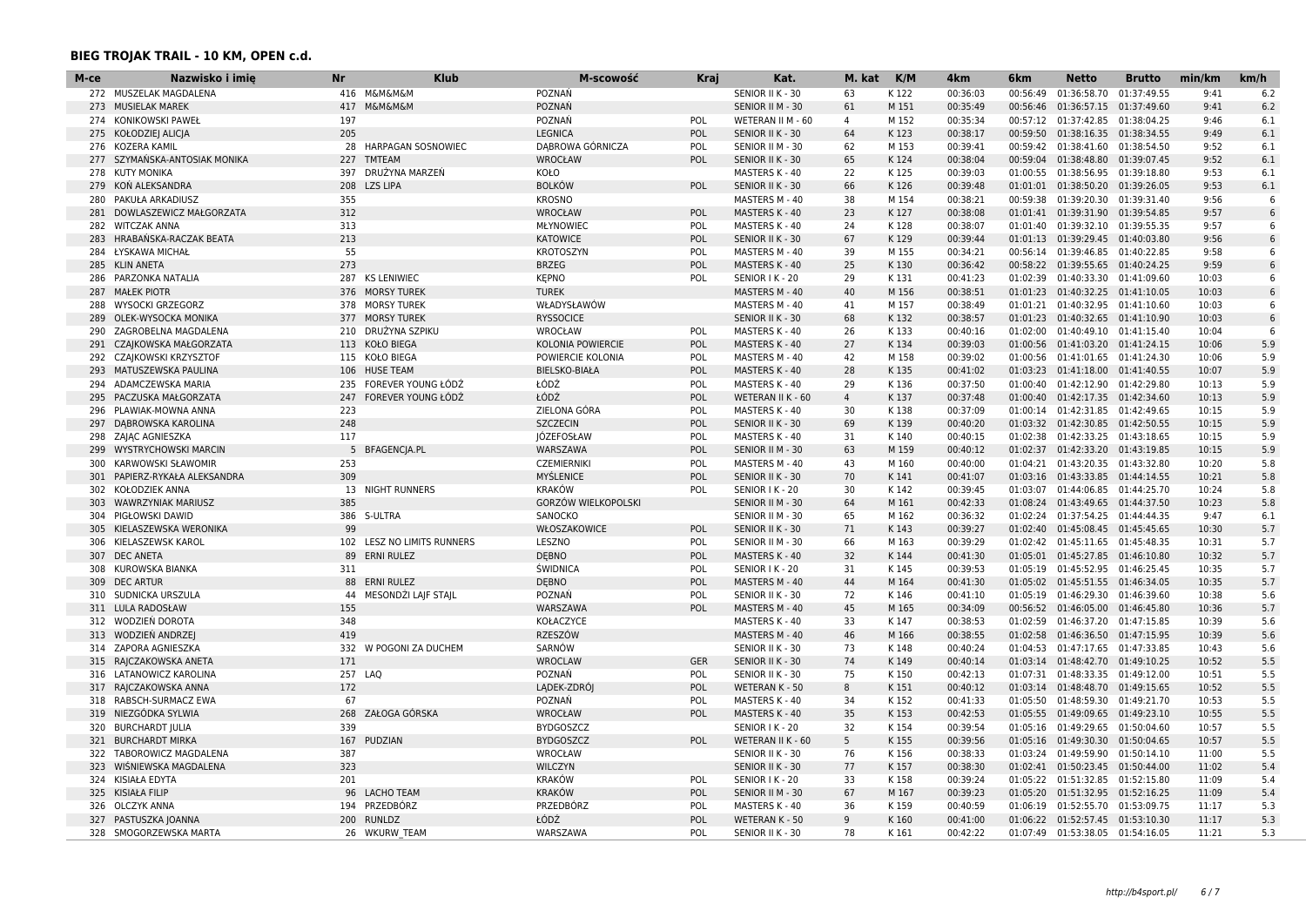| М-се | Nazwisko i imię             | <b>Nr</b>  | <b>Klub</b>                | M-scowość                  | Kraj       | Kat.                  | M. kat             | K/M          | 4km      | 6 <sub>km</sub> | <b>Netto</b>                       | <b>Brutto</b> | min/km | km/h |
|------|-----------------------------|------------|----------------------------|----------------------------|------------|-----------------------|--------------------|--------------|----------|-----------------|------------------------------------|---------------|--------|------|
|      | 272 MUSZELAK MAGDALENA      |            | 416 M&M&M&M                | POZNAŃ                     |            | SENIOR II K - 30      | 63                 | K122         | 00:36:03 | 00:56:49        | 01:36:58.70                        | 01:37:49.55   | 9:41   | 6.2  |
| 273  | <b>MUSIELAK MAREK</b>       | 417        | <b>M&amp;M&amp;M&amp;M</b> | POZNAŃ                     |            | SENIOR II M - 30      | 61                 | M 151        | 00:35:49 | 00:56:46        | 01:36:57.15 01:37:49.60            |               | 9:41   | 6.2  |
| 274  | KONIKOWSKI PAWEŁ            | 197        |                            | POZNAŃ                     | POL        | WETERAN II M - 60     | $\overline{4}$     | M 152        | 00:35:34 | 00:57:12        | 01:37:42.85                        | 01:38:04.25   | 9:46   | 6.1  |
| 275  | KOŁODZIEJ ALICJA            | 205        |                            | <b>LEGNICA</b>             | POL        | SENIOR II K - 30      | 64                 | K123         | 00:38:17 |                 | 00:59:50 01:38:16.35 01:38:34.55   |               | 9:49   | 6.1  |
| 276  | KOZERA KAMIL                | 28         | <b>HARPAGAN SOSNOWIEC</b>  | DABROWA GÓRNICZA           | POL        | SENIOR II M - 30      | 62                 | M 153        | 00:39:41 |                 | 00:59:42 01:38:41.60               | 01:38:54.50   | 9:52   | 6.1  |
| 277  | SZYMAŃSKA-ANTOSIAK MONIKA   | 227        | <b>TMTEAM</b>              | <b>WROCŁAW</b>             | <b>POL</b> | SENIOR II K - 30      | 65                 | K124         | 00:38:04 |                 | 00:59:04 01:38:48.80               | 01:39:07.45   | 9:52   | 6.1  |
| 278  | <b>KUTY MONIKA</b>          | 397        | DRUŻYNA MARZEŃ             | KOŁO                       |            | MASTERS K - 40        | 22                 | K125         | 00:39:03 | 01:00:55        | 01:38:56.95                        | 01:39:18.80   | 9:53   | 6.1  |
| 279  | KOŃ ALEKSANDRA              | 208        | <b>LZS LIPA</b>            | <b>BOLKÓW</b>              | POL        | SENIOR II K - 30      | 66                 | K126         | 00:39:48 |                 | 01:01:01 01:38:50.20               | 01:39:26.05   | 9:53   | 6.1  |
| 280  | PAKUŁA ARKADIUSZ            | 355        |                            | <b>KROSNO</b>              |            | MASTERS M - 40        | 38                 | M 154        | 00:38:21 |                 | 00:59:38  01:39:20.30  01:39:31.40 |               | 9:56   | 6    |
| 281  | DOWLASZEWICZ MAŁGORZATA     | 312        |                            | <b>WROCŁAW</b>             | POL        | MASTERS K - 40        | 23                 | K127         | 00:38:08 |                 | 01:01:41 01:39:31.90               | 01:39:54.85   | 9:57   | 6    |
| 282  | <b>WITCZAK ANNA</b>         | 313        |                            | MŁYNOWIEC                  | POL        | MASTERS K - 40        | 24                 | K128         | 00:38:07 |                 | 01:01:40 01:39:32.10 01:39:55.35   |               | 9:57   | -6   |
| 283  | HRABAŃSKA-RACZAK BEATA      | 213        |                            | <b>KATOWICE</b>            | POL        | SENIOR II K - 30      | 67                 | K129         | 00:39:44 |                 | 01:01:13 01:39:29.45 01:40:03.80   |               | 9:56   | 6    |
| 284  | ŁYSKAWA MICHAŁ              | 55         |                            | <b>KROTOSZYN</b>           | POL        | MASTERS M - 40        | 39                 | M 155        | 00:34:21 |                 | 00:56:14 01:39:46.85 01:40:22.85   |               | 9:58   | 6    |
| 285  | <b>KLIN ANETA</b>           | 273        |                            | <b>BRZEG</b>               | POL        | MASTERS K - 40        | 25                 | K130         | 00:36:42 |                 | 00:58:22 01:39:55.65 01:40:24.25   |               | 9:59   | 6    |
| 286  | PARZONKA NATALIA            | 287        | <b>KS LENIWIEC</b>         | <b>KEPNO</b>               | POL        | SENIOR I K - 20       | 29                 | K131         | 00:41:23 |                 | 01:02:39 01:40:33.30               | 01:41:09.60   | 10:03  | -6   |
| 287  | <b>MAŁEK PIOTR</b>          | 376        | <b>MORSY TUREK</b>         | <b>TUREK</b>               |            | MASTERS M - 40        | 40                 | M 156        | 00:38:51 |                 | 01:01:23 01:40:32.25 01:41:10.05   |               | 10:03  | 6    |
| 288  | <b>WYSOCKI GRZEGORZ</b>     | 378        | <b>MORSY TUREK</b>         | WŁADYSŁAWÓW                |            | MASTERS M - 40        | 41                 | M 157        | 00:38:49 |                 | 01:01:21  01:40:32.95  01:41:10.60 |               | 10:03  | -6   |
| 289  | OLEK-WYSOCKA MONIKA         | 377        | <b>MORSY TUREK</b>         | <b>RYSSOCICE</b>           |            | SENIOR II K - 30      | 68                 | K132         | 00:38:57 |                 | 01:01:23 01:40:32.65 01:41:10.90   |               | 10:03  | 6    |
| 290  | ZAGROBELNA MAGDALENA        | 210        | DRUŻYNA SZPIKU             | WROCŁAW                    | POL        | MASTERS K - 40        | 26                 | K133         | 00:40:16 | 01:02:00        | 01:40:49.10 01:41:15.40            |               | 10:04  | 6    |
| 291  | CZAJKOWSKA MAŁGORZATA       | 113        | <b>KOŁO BIEGA</b>          | <b>KOLONIA POWIERCIE</b>   | POL        | MASTERS K - 40        | 27                 | K134         | 00:39:03 |                 | 01:00:56 01:41:03.20 01:41:24.15   |               | 10:06  | 5.9  |
| 292  | CZAJKOWSKI KRZYSZTOF        | 115        | KOŁO BIEGA                 | POWIERCIE KOLONIA          | <b>POL</b> | MASTERS M - 40        | 42                 | M 158        | 00:39:02 |                 | 01:00:56 01:41:01.65 01:41:24.30   |               | 10:06  | 5.9  |
| 293  | MATUSZEWSKA PAULINA         | 106        | <b>HUSE TEAM</b>           | <b>BIELSKO-BIAŁA</b>       | POL        | <b>MASTERS K - 40</b> | 28                 | K135         | 00:41:02 |                 | 01:03:23 01:41:18.00               | 01:41:40.55   | 10:07  | 5.9  |
| 294  | ADAMCZEWSKA MARIA           | 235        | FOREVER YOUNG ŁÓDŹ         | ŁÓDŹ                       | POL        | MASTERS K - 40        | 29                 | K136         | 00:37:50 |                 | 01:00:40 01:42:12.90 01:42:29.80   |               | 10:13  | 5.9  |
| 295  | PACZUSKA MAŁGORZATA         | 247        | FOREVER YOUNG ŁÓDŹ         | ŁÓDŹ                       | POL        | WETERAN II K - 60     | $\overline{4}$     | K137         | 00:37:48 |                 | 01:00:40  01:42:17.35  01:42:34.60 |               | 10:13  | 5.9  |
| 296  | PLAWIAK-MOWNA ANNA          | 223        |                            | ZIELONA GÓRA               | POL        | MASTERS K - 40        | 30                 | K138         | 00:37:09 |                 | 01:00:14 01:42:31.85 01:42:49.65   |               | 10:15  | 5.9  |
| 297  | DABROWSKA KAROLINA          | 248        |                            | <b>SZCZECIN</b>            | POL        | SENIOR II K - 30      | 69                 | K139         | 00:40:20 |                 | 01:03:32 01:42:30.85 01:42:50.55   |               | 10:15  | 5.9  |
| 298  | ZAJĄC AGNIESZKA             | 117        |                            | JÓZEFOSŁAW                 | POL        | MASTERS K - 40        | 31                 | K140         | 00:40:15 |                 | 01:02:38 01:42:33.25 01:43:18.65   |               | 10:15  | 5.9  |
| 299  | <b>WYSTRYCHOWSKI MARCIN</b> | 5          | <b>BFAGENCIA.PL</b>        | WARSZAWA                   | POL        | SENIOR II M - 30      | 63                 | M 159        | 00:40:12 | 01:02:37        | 01:42:33.20                        | 01:43:19.85   | 10:15  | 5.9  |
| 300  | KARWOWSKI SŁAWOMIR          | 253        |                            | <b>CZEMIERNIKI</b>         | POL        | MASTERS M - 40        | 43                 | M 160        | 00:40:00 |                 | 01:04:21 01:43:20.35 01:43:32.80   |               | 10:20  | 5.8  |
| 301  | PAPIERZ-RYKAŁA ALEKSANDRA   | 309        |                            | MYŚLENICE                  | POL        | SENIOR II K - 30      | 70                 | K141         | 00:41:07 |                 | 01:03:16 01:43:33.85 01:44:14.55   |               | 10:21  | 5.8  |
| 302  | KOŁODZIEK ANNA              | 13         | <b>NIGHT RUNNERS</b>       | <b>KRAKÓW</b>              | POL        | SENIOR I K - 20       | 30                 | K 142        | 00:39:45 |                 | 01:03:07 01:44:06.85 01:44:25.70   |               | 10:24  | 5.8  |
| 303  | <b>WAWRZYNIAK MARIUSZ</b>   | 385        |                            | <b>GORZÓW WIELKOPOLSKI</b> |            | SENIOR II M - 30      | 64                 | M 161        | 00:42:33 |                 | 01:08:24 01:43:49.65               | 01:44:37.50   | 10:23  | 5.8  |
| 304  | PIGŁOWSKI DAWID             |            | 386 S-ULTRA                | SANOCKO                    |            | SENIOR II M - 30      | 65                 | M 162        | 00:36:32 |                 | 01:02:24 01:37:54.25               | 01:44:44.35   | 9:47   | 6.1  |
| 305  | KIELASZEWSKA WERONIKA       | 99         |                            | WŁOSZAKOWICE               | POL        | SENIOR II K - 30      | 71                 | K143         | 00:39:27 |                 | 01:02:40 01:45:08.45 01:45:45.65   |               | 10:30  | 5.7  |
| 306  | KIELASZEWSK KAROL           | 102        | LESZ NO LIMITS RUNNERS     | LESZNO                     | POL        | SENIOR II M - 30      | 66                 | M 163        | 00:39:29 | 01:02:42        | 01:45:11.65                        | 01:45:48.35   | 10:31  | 5.7  |
| 307  | <b>DEC ANETA</b>            | 89         | <b>ERNI RULEZ</b>          | <b>DEBNO</b>               | POL        | MASTERS K - 40        | 32                 | K144         | 00:41:30 |                 | 01:05:01 01:45:27.85 01:46:10.80   |               | 10:32  | 5.7  |
| 308  | KUROWSKA BIANKA             | 311        |                            | <b>ŚWIDNICA</b>            | POL        | SENIOR I K - 20       | 31                 | K145         | 00:39:53 |                 | 01:05:19 01:45:52.95 01:46:25.45   |               | 10:35  | 5.7  |
| 309  | <b>DEC ARTUR</b>            | 88         | <b>ERNI RULEZ</b>          | <b>DEBNO</b>               | <b>POL</b> | <b>MASTERS M - 40</b> | 44                 | M 164        | 00:41:30 |                 | 01:05:02 01:45:51.55 01:46:34.05   |               | 10:35  | 5.7  |
| 310  | SUDNICKA URSZULA            | 44         | MESONDŻI LAJF STAJL        | POZNAŃ                     | POL        | SENIOR II K - 30      | 72                 | K146         | 00:41:10 | 01:05:19        | 01:46:29.30                        | 01:46:39.60   | 10:38  | 5.6  |
|      | 311 LULA RADOSŁAW           | 155        |                            | WARSZAWA                   | POL        | MASTERS M - 40        | 45                 | M 165        | 00:34:09 |                 | 00:56:52 01:46:05.00 01:46:45.80   |               | 10:36  | 5.7  |
| 312  | WODZIEŃ DOROTA              | 348        |                            | KOŁACZYCE                  |            | MASTERS K - 40        | 33                 | K147         | 00:38:53 |                 | 01:02:59 01:46:37.20 01:47:15.85   |               | 10:39  | 5.6  |
| 313  | WODZIEŃ ANDRZEJ             | 419        |                            | <b>RZESZÓW</b>             |            | MASTERS M - 40        | 46                 | M 166        | 00:38:55 | 01:02:58        | 01:46:36.50 01:47:15.95            |               | 10:39  | 5.6  |
| 314  | ZAPORA AGNIESZKA            | 332        | POGONI ZA DUCHEM           | SARNÓW                     |            | SENIOR II K - 30      | 73                 | K 148        | 00:40:24 |                 | 01:04:53 01:47:17.65 01:47:33.85   |               | 10:43  | 5.6  |
|      | RAJCZAKOWSKA ANETA          | 171        |                            | <b>WROCLAW</b>             | <b>GER</b> | SENIOR II K - 30      | 74                 | K149         | 00:40:14 |                 | 01:03:14 01:48:42.70 01:49:10.25   |               | 10:52  | 5.5  |
| 315  |                             |            |                            | POZNAŃ                     |            |                       | 75                 |              |          |                 |                                    |               |        | 5.5  |
| 316  | LATANOWICZ KAROLINA         | 172        | 257 LAO                    |                            | POL<br>POL | SENIOR II K - 30      | 8                  | K150<br>K151 | 00:42:13 |                 | 01:07:31 01:48:33.35 01:49:12.00   |               | 10:51  | 5.5  |
| 317  | RAJCZAKOWSKA ANNA           |            |                            | LĄDEK-ZDRÓJ                |            | WETERAN K - 50        | 34                 |              | 00:40:12 |                 | 01:03:14 01:48:48.70               | 01:49:15.65   | 10:52  |      |
| 318  | RABSCH-SURMACZ EWA          | 67         | ZAŁOGA GÓRSKA              | POZNAŃ                     | POL        | MASTERS K - 40        |                    | K152         | 00:41:33 |                 | 01:05:50 01:48:59.30               | 01:49:21.70   | 10:53  | 5.5  |
| 319  | NIEZGÓDKA SYLWIA            | 268<br>339 |                            | <b>WROCŁAW</b>             | POL        | MASTERS K - 40        | 35                 | K153         | 00:42:53 |                 | 01:05:55 01:49:09.65 01:49:23.10   |               | 10:55  | 5.5  |
| 320  | <b>BURCHARDT JULIA</b>      |            |                            | <b>BYDGOSZCZ</b>           |            | SENIOR I K - 20       | 32                 | K 154        | 00:39:54 |                 | 01:05:16 01:49:29.65 01:50:04.60   |               | 10:57  | 5.5  |
|      | 321 BURCHARDT MIRKA         |            | 167 PUDZIAN                | <b>BYDGOSZCZ</b>           | POL        | WETERAN II K - 60     | 5                  | K155         | 00:39:56 |                 | 01:05:16 01:49:30.30 01:50:04.65   |               | 10:57  | 5.5  |
| 322  | TABOROWICZ MAGDALENA        | 387<br>323 |                            | WROCŁAW                    |            | SENIOR II K - 30      | 76                 | K156         | 00:38:33 |                 | 01:03:24 01:49:59.90               | 01:50:14.10   | 11:00  | 5.5  |
| 323  | WIŚNIEWSKA MAGDALENA        |            |                            | WILCZYN                    |            | SENIOR II K - 30      | 77                 | K 157        | 00:38:30 |                 | 01:02:41 01:50:23.45 01:50:44.00   |               | 11:02  | 5.4  |
| 324  | KISIAŁA EDYTA               | 201        |                            | <b>KRAKÓW</b>              | <b>POL</b> | SENIOR I K - 20       | 33                 | K158         | 00:39:24 |                 | 01:05:22 01:51:32.85 01:52:15.80   |               | 11:09  | 5.4  |
|      | 325 KISIAŁA FILIP           | 96         | <b>LACHO TEAM</b>          | <b>KRAKÓW</b>              | <b>POL</b> | SENIOR II M - 30      | 67                 | M 167        | 00:39:23 | 01:05:20        | 01:51:32.95 01:52:16.25            |               | 11:09  | 5.4  |
|      | 326 OLCZYK ANNA             | 194        | PRZEDBÓRZ                  | <b>PRZEDBÓRZ</b>           | POL        | MASTERS K - 40        | 36<br>$\mathsf{Q}$ | K159         | 00:40:59 |                 | 01:06:19 01:52:55.70 01:53:09.75   |               | 11:17  | 5.3  |
| 327  | PASTUSZKA JOANNA            | 200        | <b>RUNLDZ</b>              | ŁÓDŹ                       | POL        | <b>WETERAN K - 50</b> |                    | K160         | 00:41:00 |                 | 01:06:22 01:52:57.45 01:53:10.30   |               | 11:17  | 5.3  |
|      | 328 SMOGORZEWSKA MARTA      |            | 26 WKURW TEAM              | WARSZAWA                   | POL        | SENIOR II K - 30      | 78                 | K161         | 00:42:22 |                 | 01:07:49 01:53:38.05 01:54:16.05   |               | 11:21  | 5.3  |